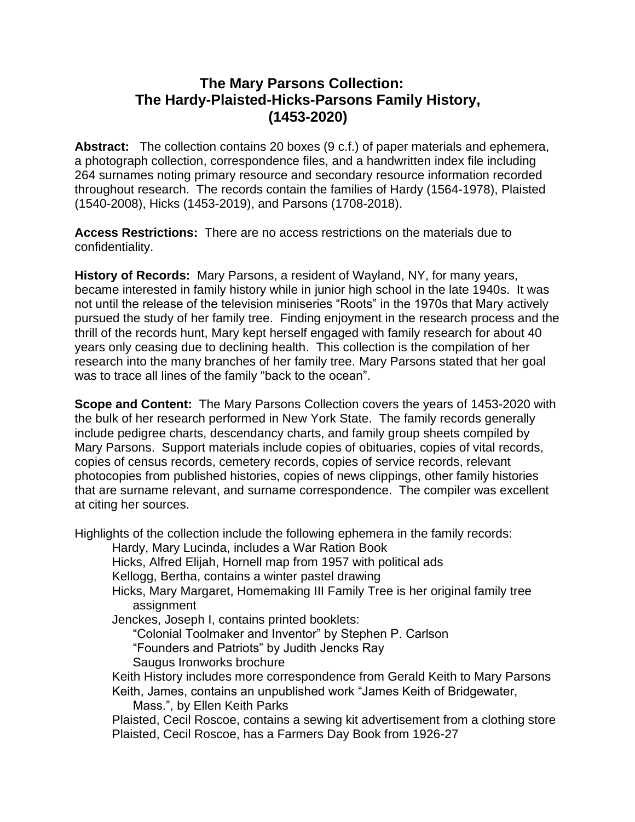## **The Mary Parsons Collection: The Hardy-Plaisted-Hicks-Parsons Family History, (1453-2020)**

**Abstract:** The collection contains 20 boxes (9 c.f.) of paper materials and ephemera, a photograph collection, correspondence files, and a handwritten index file including 264 surnames noting primary resource and secondary resource information recorded throughout research. The records contain the families of Hardy (1564-1978), Plaisted (1540-2008), Hicks (1453-2019), and Parsons (1708-2018).

**Access Restrictions:** There are no access restrictions on the materials due to confidentiality.

**History of Records:** Mary Parsons, a resident of Wayland, NY, for many years, became interested in family history while in junior high school in the late 1940s. It was not until the release of the television miniseries "Roots" in the 1970s that Mary actively pursued the study of her family tree. Finding enjoyment in the research process and the thrill of the records hunt, Mary kept herself engaged with family research for about 40 years only ceasing due to declining health. This collection is the compilation of her research into the many branches of her family tree. Mary Parsons stated that her goal was to trace all lines of the family "back to the ocean".

**Scope and Content:** The Mary Parsons Collection covers the years of 1453-2020 with the bulk of her research performed in New York State. The family records generally include pedigree charts, descendancy charts, and family group sheets compiled by Mary Parsons. Support materials include copies of obituaries, copies of vital records, copies of census records, cemetery records, copies of service records, relevant photocopies from published histories, copies of news clippings, other family histories that are surname relevant, and surname correspondence. The compiler was excellent at citing her sources.

Highlights of the collection include the following ephemera in the family records:

Hardy, Mary Lucinda, includes a War Ration Book

Hicks, Alfred Elijah, Hornell map from 1957 with political ads

Kellogg, Bertha, contains a winter pastel drawing

Hicks, Mary Margaret, Homemaking III Family Tree is her original family tree assignment

Jenckes, Joseph I, contains printed booklets:

"Colonial Toolmaker and Inventor" by Stephen P. Carlson

"Founders and Patriots" by Judith Jencks Ray

Saugus Ironworks brochure

Keith History includes more correspondence from Gerald Keith to Mary Parsons Keith, James, contains an unpublished work "James Keith of Bridgewater,

Mass.", by Ellen Keith Parks

Plaisted, Cecil Roscoe, contains a sewing kit advertisement from a clothing store Plaisted, Cecil Roscoe, has a Farmers Day Book from 1926-27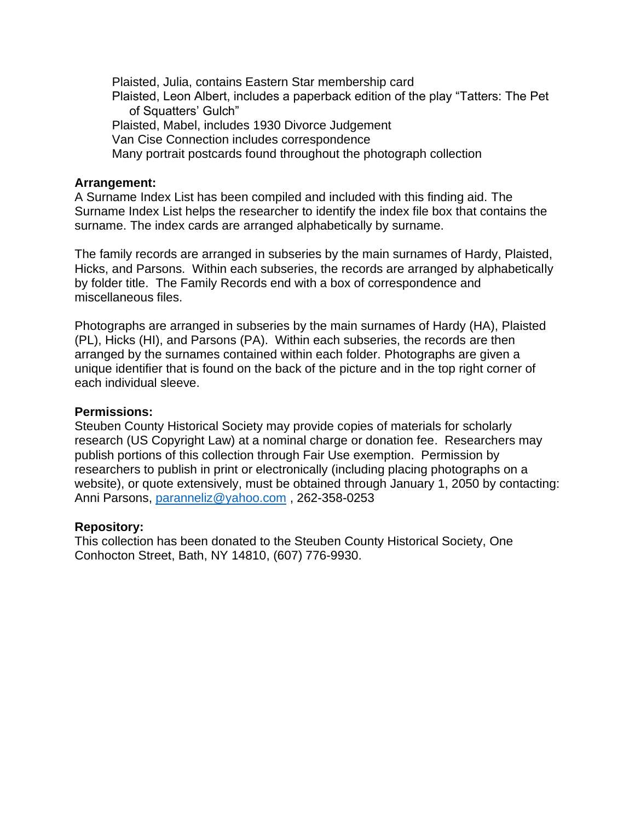Plaisted, Julia, contains Eastern Star membership card Plaisted, Leon Albert, includes a paperback edition of the play "Tatters: The Pet of Squatters' Gulch" Plaisted, Mabel, includes 1930 Divorce Judgement Van Cise Connection includes correspondence Many portrait postcards found throughout the photograph collection

#### **Arrangement:**

A Surname Index List has been compiled and included with this finding aid. The Surname Index List helps the researcher to identify the index file box that contains the surname. The index cards are arranged alphabetically by surname.

The family records are arranged in subseries by the main surnames of Hardy, Plaisted, Hicks, and Parsons. Within each subseries, the records are arranged by alphabetically by folder title. The Family Records end with a box of correspondence and miscellaneous files.

Photographs are arranged in subseries by the main surnames of Hardy (HA), Plaisted (PL), Hicks (HI), and Parsons (PA). Within each subseries, the records are then arranged by the surnames contained within each folder. Photographs are given a unique identifier that is found on the back of the picture and in the top right corner of each individual sleeve.

#### **Permissions:**

Steuben County Historical Society may provide copies of materials for scholarly research (US Copyright Law) at a nominal charge or donation fee. Researchers may publish portions of this collection through Fair Use exemption. Permission by researchers to publish in print or electronically (including placing photographs on a website), or quote extensively, must be obtained through January 1, 2050 by contacting: Anni Parsons, [paranneliz@yahoo.com](mailto:paranneliz@yahoo.com) , 262-358-0253

### **Repository:**

This collection has been donated to the Steuben County Historical Society, One Conhocton Street, Bath, NY 14810, (607) 776-9930.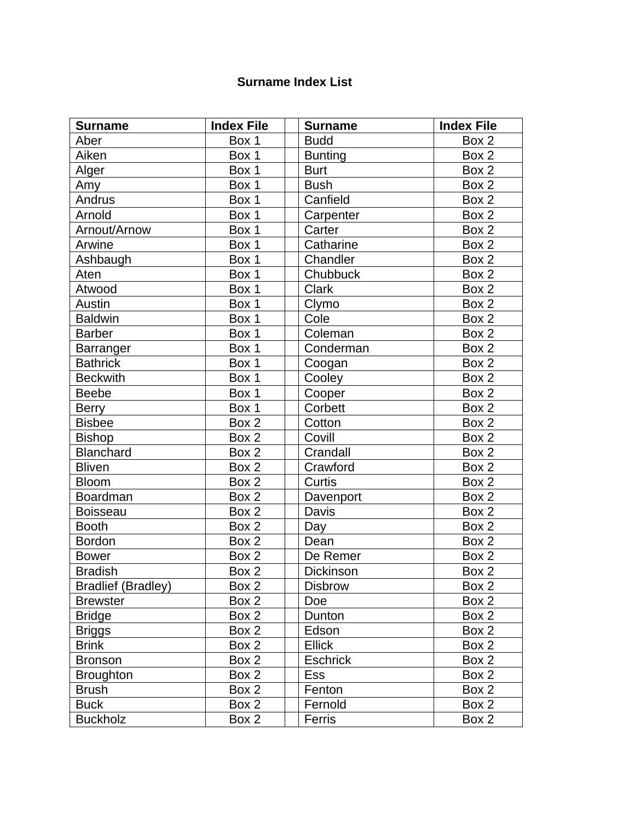### **Surname Index List**

| <b>Surname</b>            | <b>Index File</b> | <b>Surname</b>  | <b>Index File</b> |
|---------------------------|-------------------|-----------------|-------------------|
| Aber                      | Box 1             | <b>Budd</b>     | Box 2             |
| Aiken                     | Box 1             | <b>Bunting</b>  | Box 2             |
| Alger                     | Box 1             | <b>Burt</b>     | Box 2             |
| Amy                       | Box 1             | <b>Bush</b>     | Box 2             |
| Andrus                    | Box 1             | Canfield        | Box 2             |
| Arnold                    | Box 1             | Carpenter       | Box 2             |
| Arnout/Arnow              | Box 1             | Carter          | Box 2             |
| Arwine                    | Box 1             | Catharine       | Box 2             |
| Ashbaugh                  | Box 1             | Chandler        | Box 2             |
| Aten                      | Box 1             | Chubbuck        | Box 2             |
| Atwood                    | Box 1             | <b>Clark</b>    | Box 2             |
| Austin                    | Box 1             | Clymo           | Box 2             |
| <b>Baldwin</b>            | Box 1             | Cole            | Box 2             |
| <b>Barber</b>             | Box 1             | Coleman         | Box 2             |
| <b>Barranger</b>          | Box 1             | Conderman       | Box 2             |
| <b>Bathrick</b>           | Box 1             | Coogan          | Box 2             |
| <b>Beckwith</b>           | Box 1             | Cooley          | Box 2             |
| <b>Beebe</b>              | Box 1             | Cooper          | Box 2             |
| <b>Berry</b>              | Box 1             | Corbett         | Box 2             |
| <b>Bisbee</b>             | Box 2             | Cotton          | Box 2             |
| <b>Bishop</b>             | Box 2             | Covill          | Box 2             |
| <b>Blanchard</b>          | Box 2             | Crandall        | Box 2             |
| <b>Bliven</b>             | Box 2             | Crawford        | Box 2             |
| <b>Bloom</b>              | Box 2             | Curtis          | Box 2             |
| <b>Boardman</b>           | Box 2             | Davenport       | Box 2             |
| <b>Boisseau</b>           | Box 2             | Davis           | Box 2             |
| <b>Booth</b>              | Box 2             | Day             | Box 2             |
| <b>Bordon</b>             | Box 2             | Dean            | Box 2             |
| <b>Bower</b>              | Box 2             | De Remer        | Box 2             |
| <b>Bradish</b>            | Box 2             | Dickinson       | Box 2             |
| <b>Bradlief (Bradley)</b> | Box $2$           | <b>Disbrow</b>  | Box <sub>2</sub>  |
| <b>Brewster</b>           | Box 2             | Doe             | Box 2             |
| <b>Bridge</b>             | Box 2             | Dunton          | Box 2             |
| <b>Briggs</b>             | Box 2             | Edson           | Box 2             |
| <b>Brink</b>              | Box 2             | <b>Ellick</b>   | Box 2             |
| <b>Bronson</b>            | Box 2             | <b>Eschrick</b> | Box 2             |
| <b>Broughton</b>          | Box 2             | Ess             | Box 2             |
| <b>Brush</b>              | Box 2             | Fenton          | Box 2             |
| <b>Buck</b>               | Box 2             | Fernold         | Box 2             |
| <b>Buckholz</b>           | Box 2             | Ferris          | Box 2             |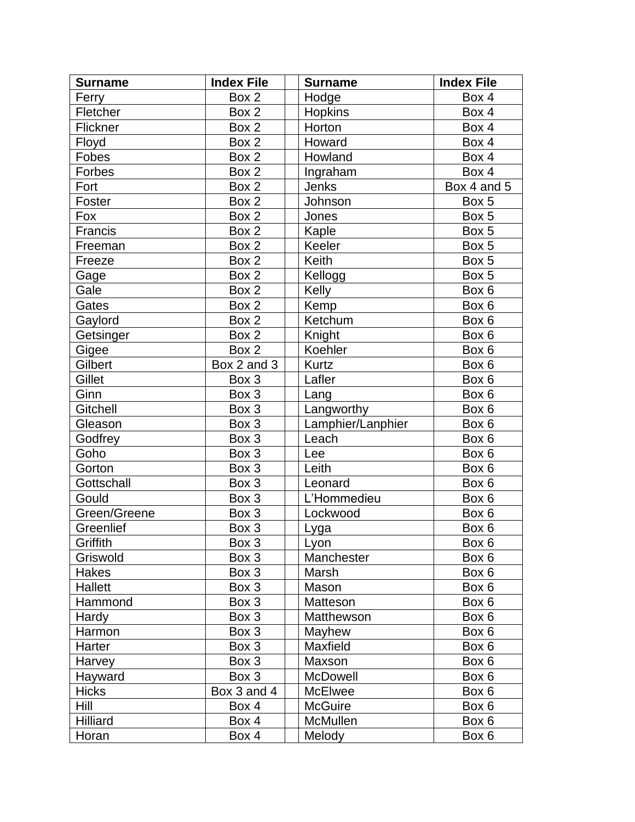| <b>Surname</b> | <b>Index File</b> | <b>Surname</b>    | <b>Index File</b> |
|----------------|-------------------|-------------------|-------------------|
| Ferry          | Box 2             | Hodge             | Box 4             |
| Fletcher       | Box 2             | <b>Hopkins</b>    | Box 4             |
| Flickner       | Box 2             | Horton            | Box 4             |
| Floyd          | Box 2             | Howard            | Box 4             |
| Fobes          | Box 2             | Howland           | Box 4             |
| Forbes         | Box 2             | Ingraham          | Box 4             |
| Fort           | Box 2             | Jenks             | Box 4 and 5       |
| Foster         | Box 2             | Johnson           | Box 5             |
| Fox            | Box 2             | Jones             | Box 5             |
| Francis        | Box 2             | Kaple             | Box 5             |
| Freeman        | Box 2             | Keeler            | Box 5             |
| Freeze         | Box 2             | Keith             | Box 5             |
| Gage           | Box 2             | Kellogg           | Box 5             |
| Gale           | Box 2             | Kelly             | Box 6             |
| Gates          | Box 2             | Kemp              | Box 6             |
| Gaylord        | Box 2             | Ketchum           | Box 6             |
| Getsinger      | Box 2             | Knight            | Box 6             |
| Gigee          | Box 2             | Koehler           | Box 6             |
| Gilbert        | Box 2 and 3       | <b>Kurtz</b>      | Box 6             |
| Gillet         | Box 3             | Lafler            | Box 6             |
| Ginn           | Box 3             | Lang              | Box 6             |
| Gitchell       | Box 3             | Langworthy        | Box 6             |
| Gleason        | Box 3             | Lamphier/Lanphier | Box 6             |
| Godfrey        | Box 3             | Leach             | Box 6             |
| Goho           | Box 3             | Lee               | Box 6             |
| Gorton         | Box 3             | Leith             | Box 6             |
| Gottschall     | Box 3             | Leonard           | Box 6             |
| Gould          | Box 3             | L'Hommedieu       | Box 6             |
| Green/Greene   | Box 3             | Lockwood          | Box 6             |
| Greenlief      | Box 3             | <u>Lyga</u>       | Box 6             |
| Griffith       | Box 3             | Lyon              | Box 6             |
| Griswold       | Box 3             | Manchester        | Box 6             |
| Hakes          | Box 3             | Marsh             | Box 6             |
| Hallett        | Box 3             | Mason             | Box 6             |
| Hammond        | Box 3             | Matteson          | Box 6             |
| Hardy          | Box 3             | Matthewson        | Box 6             |
| Harmon         | Box 3             | Mayhew            | Box 6             |
| Harter         | Box 3             | Maxfield          | Box 6             |
| Harvey         | Box 3             | Maxson            | Box 6             |
| Hayward        | Box 3             | <b>McDowell</b>   | Box 6             |
| <b>Hicks</b>   | Box 3 and 4       | McElwee           | Box 6             |
| Hill           | Box 4             | <b>McGuire</b>    | Box 6             |
| Hilliard       | Box 4             | McMullen          | Box 6             |
| Horan          | Box 4             | Melody            | Box 6             |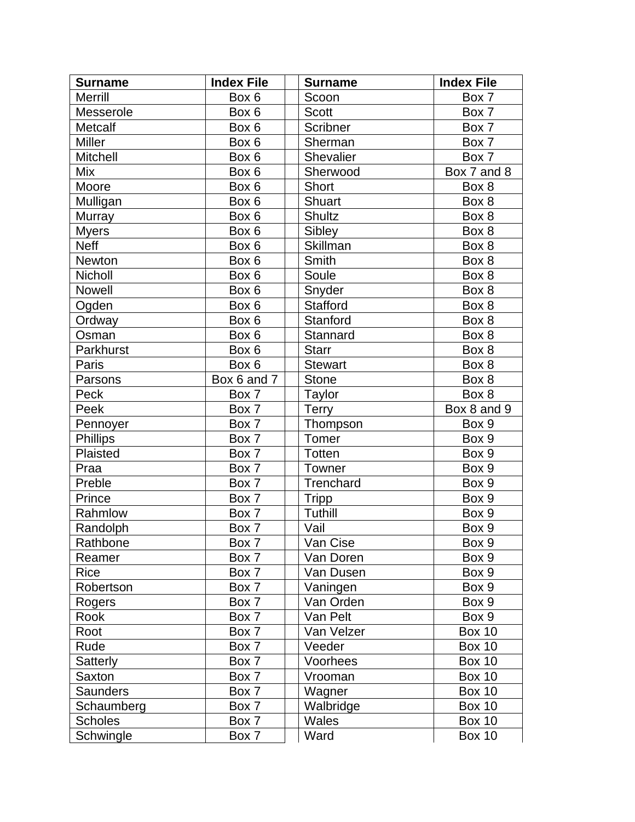| <b>Surname</b>  | <b>Index File</b> | <b>Surname</b>   | <b>Index File</b> |
|-----------------|-------------------|------------------|-------------------|
| Merrill         | Box 6             | Scoon            | Box 7             |
| Messerole       | Box 6             | <b>Scott</b>     | Box 7             |
| Metcalf         | Box 6             | Scribner         | Box 7             |
| <b>Miller</b>   | Box 6             | Sherman          | Box 7             |
| <b>Mitchell</b> | Box 6             | <b>Shevalier</b> | Box 7             |
| Mix             | Box 6             | Sherwood         | Box 7 and 8       |
| Moore           | Box 6             | Short            | Box 8             |
| Mulligan        | Box 6             | Shuart           | Box 8             |
| Murray          | Box 6             | <b>Shultz</b>    | Box 8             |
| <b>Myers</b>    | Box 6             | Sibley           | Box 8             |
| <b>Neff</b>     | Box 6             | Skillman         | Box 8             |
| <b>Newton</b>   | Box 6             | Smith            | Box 8             |
| Nicholl         | Box 6             | Soule            | Box 8             |
| Nowell          | Box 6             | Snyder           | Box 8             |
| Ogden           | Box 6             | <b>Stafford</b>  | Box 8             |
| Ordway          | Box 6             | Stanford         | Box 8             |
| Osman           | Box 6             | Stannard         | Box 8             |
| Parkhurst       | Box 6             | <b>Starr</b>     | Box 8             |
| Paris           | Box 6             | <b>Stewart</b>   | Box 8             |
| Parsons         | Box 6 and 7       | <b>Stone</b>     | Box 8             |
| Peck            | Box 7             | Taylor           | Box 8             |
| Peek            | Box 7             | <b>Terry</b>     | Box 8 and 9       |
| Pennoyer        | Box 7             | Thompson         | Box 9             |
| <b>Phillips</b> | Box 7             | Tomer            | Box 9             |
| Plaisted        | Box 7             | Totten           | Box 9             |
| Praa            | Box 7             | Towner           | Box 9             |
| Preble          | Box 7             | Trenchard        | Box 9             |
| Prince          | Box 7             | <b>Tripp</b>     | Box 9             |
| Rahmlow         | Box 7             | Tuthill          | Box 9             |
| Randolph        | Box 7             | Vail             | Box 9             |
| Rathbone        | Box 7             | Van Cise         | Box 9             |
| Reamer          | Box 7             | Van Doren        | Box 9             |
| Rice            | Box 7             | Van Dusen        | Box 9             |
| Robertson       | Box 7             | Vaningen         | Box 9             |
| Rogers          | Box 7             | Van Orden        | Box 9             |
| Rook            | Box 7             | Van Pelt         | Box 9             |
| Root            | Box 7             | Van Velzer       | <b>Box 10</b>     |
| Rude            | Box 7             | Veeder           | <b>Box 10</b>     |
| Satterly        | Box 7             | Voorhees         | <b>Box 10</b>     |
| Saxton          | Box 7             | Vrooman          | <b>Box 10</b>     |
| <b>Saunders</b> | Box 7             | Wagner           | <b>Box 10</b>     |
| Schaumberg      | Box 7             | Walbridge        | <b>Box 10</b>     |
| <b>Scholes</b>  | Box 7             | <b>Wales</b>     | <b>Box 10</b>     |
| Schwingle       | Box 7             | Ward             | <b>Box 10</b>     |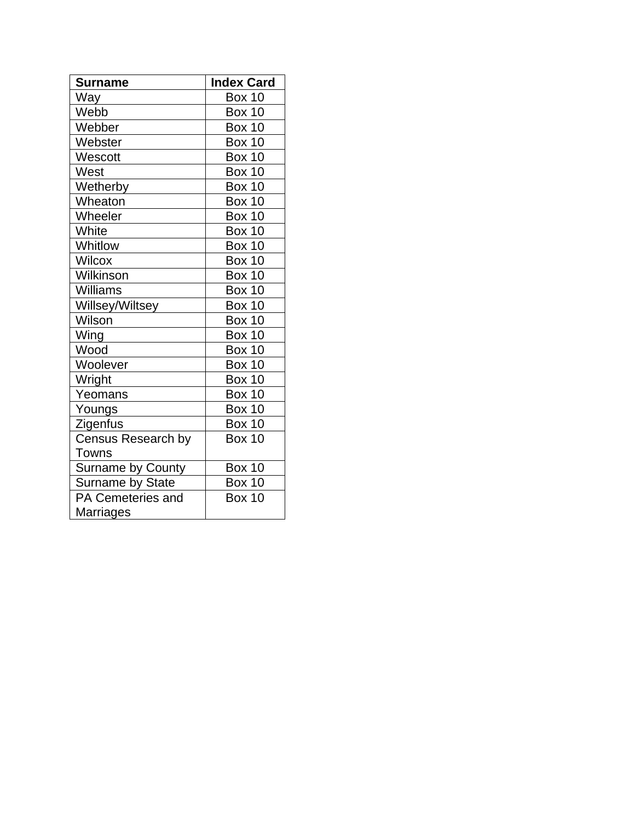| <b>Surname</b>            | <b>Index Card</b> |
|---------------------------|-------------------|
| Way                       | <b>Box 10</b>     |
| Webb                      | <b>Box 10</b>     |
| Webber                    | <b>Box 10</b>     |
| Webster                   | <b>Box 10</b>     |
| Wescott                   | <b>Box 10</b>     |
| West                      | <b>Box 10</b>     |
| Wetherby                  | <b>Box 10</b>     |
| Wheaton                   | <b>Box 10</b>     |
| Wheeler                   | <b>Box 10</b>     |
| White                     | <b>Box 10</b>     |
| Whitlow                   | <b>Box 10</b>     |
| <b>Wilcox</b>             | <b>Box 10</b>     |
| Wilkinson                 | <b>Box 10</b>     |
| Williams                  | <b>Box 10</b>     |
| Willsey/Wiltsey           | <b>Box 10</b>     |
| Wilson                    | <b>Box 10</b>     |
| Wing                      | <b>Box 10</b>     |
| Wood                      | <b>Box 10</b>     |
| Woolever                  | <b>Box 10</b>     |
| Wright                    | <b>Box 10</b>     |
| Yeomans                   | <b>Box 10</b>     |
| Youngs                    | <b>Box 10</b>     |
| Zigenfus                  | <b>Box 10</b>     |
| <b>Census Research by</b> | <b>Box 10</b>     |
| Towns                     |                   |
| Surname by County         | <b>Box 10</b>     |
| Surname by State          | Box 10            |
| PA Cemeteries and         | <b>Box 10</b>     |
| Marriages                 |                   |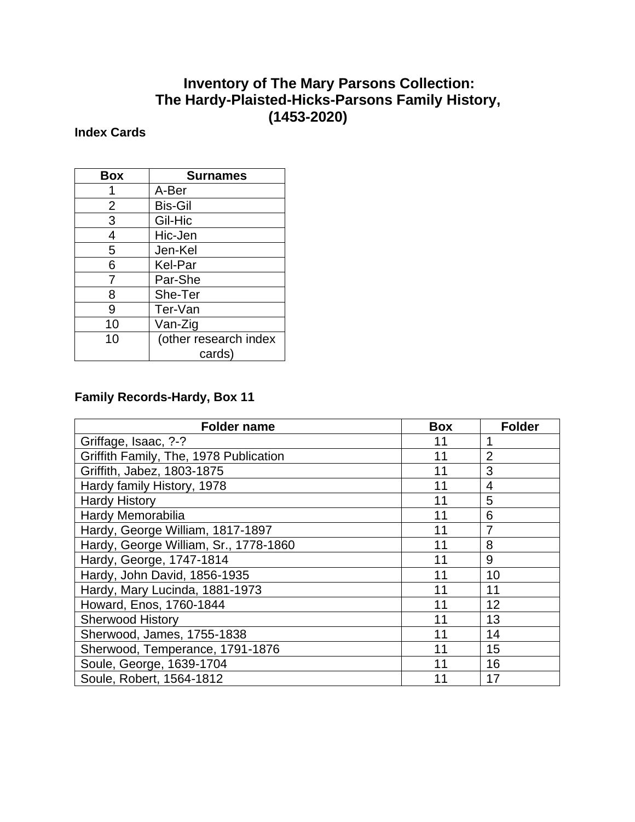## **Inventory of The Mary Parsons Collection: The Hardy-Plaisted-Hicks-Parsons Family History, (1453-2020)**

### **Index Cards**

| <b>Box</b>     | <b>Surnames</b>                 |
|----------------|---------------------------------|
|                | A-Ber                           |
| $\overline{2}$ | <b>Bis-Gil</b>                  |
| 3              | Gil-Hic                         |
| 4              | Hic-Jen                         |
| 5              | Jen-Kel                         |
| 6              | Kel-Par                         |
| 7              | Par-She                         |
| 8              | She-Ter                         |
| 9              | Ter-Van                         |
| 10             | Van-Zig                         |
| 10             | (other research index<br>cards) |

## **Family Records-Hardy, Box 11**

| <b>Folder name</b>                     | <b>Box</b> | <b>Folder</b>  |
|----------------------------------------|------------|----------------|
| Griffage, Isaac, ?-?                   | 11         | 1              |
| Griffith Family, The, 1978 Publication | 11         | $\overline{2}$ |
| Griffith, Jabez, 1803-1875             | 11         | 3              |
| Hardy family History, 1978             | 11         | 4              |
| <b>Hardy History</b>                   | 11         | 5              |
| Hardy Memorabilia                      | 11         | 6              |
| Hardy, George William, 1817-1897       | 11         | 7              |
| Hardy, George William, Sr., 1778-1860  | 11         | 8              |
| Hardy, George, 1747-1814               | 11         | 9              |
| Hardy, John David, 1856-1935           | 11         | 10             |
| Hardy, Mary Lucinda, 1881-1973         | 11         | 11             |
| Howard, Enos, 1760-1844                | 11         | 12             |
| <b>Sherwood History</b>                | 11         | 13             |
| Sherwood, James, 1755-1838             | 11         | 14             |
| Sherwood, Temperance, 1791-1876        | 11         | 15             |
| Soule, George, 1639-1704               | 11         | 16             |
| Soule, Robert, 1564-1812               | 11         | 17             |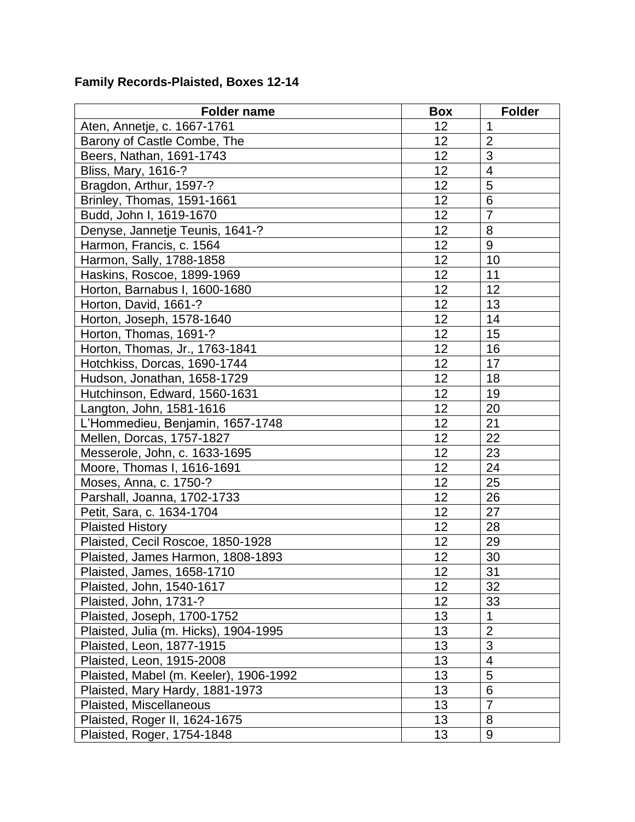#### **Family Records-Plaisted, Boxes 12-14**

| <b>Folder name</b>                     | <b>Box</b> | <b>Folder</b>   |
|----------------------------------------|------------|-----------------|
| Aten, Annetje, c. 1667-1761            | 12         | $\mathbf 1$     |
| Barony of Castle Combe, The            | 12         | $\overline{2}$  |
| Beers, Nathan, 1691-1743               | 12         | 3               |
| Bliss, Mary, 1616-?                    | 12         | $\overline{4}$  |
| Bragdon, Arthur, 1597-?                | 12         | 5               |
| Brinley, Thomas, 1591-1661             | 12         | $6\phantom{1}6$ |
| Budd, John I, 1619-1670                | 12         | $\overline{7}$  |
| Denyse, Jannetje Teunis, 1641-?        | 12         | 8               |
| Harmon, Francis, c. 1564               | 12         | 9               |
| Harmon, Sally, 1788-1858               | 12         | 10              |
| Haskins, Roscoe, 1899-1969             | 12         | 11              |
| Horton, Barnabus I, 1600-1680          | 12         | 12              |
| Horton, David, 1661-?                  | 12         | 13              |
| Horton, Joseph, 1578-1640              | 12         | 14              |
| Horton, Thomas, 1691-?                 | 12         | 15              |
| Horton, Thomas, Jr., 1763-1841         | 12         | 16              |
| Hotchkiss, Dorcas, 1690-1744           | 12         | 17              |
| Hudson, Jonathan, 1658-1729            | 12         | 18              |
| Hutchinson, Edward, 1560-1631          | 12         | 19              |
| Langton, John, 1581-1616               | 12         | 20              |
| L'Hommedieu, Benjamin, 1657-1748       | 12         | 21              |
| Mellen, Dorcas, 1757-1827              | 12         | 22              |
| Messerole, John, c. 1633-1695          | 12         | 23              |
| Moore, Thomas I, 1616-1691             | 12         | 24              |
| Moses, Anna, c. 1750-?                 | 12         | 25              |
| Parshall, Joanna, 1702-1733            | 12         | 26              |
| Petit, Sara, c. 1634-1704              | 12         | 27              |
| <b>Plaisted History</b>                | 12         | 28              |
| Plaisted, Cecil Roscoe, 1850-1928      | 12         | 29              |
| Plaisted, James Harmon, 1808-1893      | 12         | 30              |
| Plaisted, James, 1658-1710             | 12         | 31              |
| Plaisted, John, 1540-1617              | 12         | 32              |
| Plaisted, John, 1731-?                 | 12         | 33              |
| Plaisted, Joseph, 1700-1752            | 13         | 1               |
| Plaisted, Julia (m. Hicks), 1904-1995  | 13         | $\overline{2}$  |
| Plaisted, Leon, 1877-1915              | 13         | 3               |
| Plaisted, Leon, 1915-2008              | 13         | $\overline{4}$  |
| Plaisted, Mabel (m. Keeler), 1906-1992 | 13         | 5               |
| Plaisted, Mary Hardy, 1881-1973        | 13         | 6               |
| Plaisted, Miscellaneous                | 13         | $\overline{7}$  |
| Plaisted, Roger II, 1624-1675          | 13         | 8               |
| Plaisted, Roger, 1754-1848             | 13         | 9               |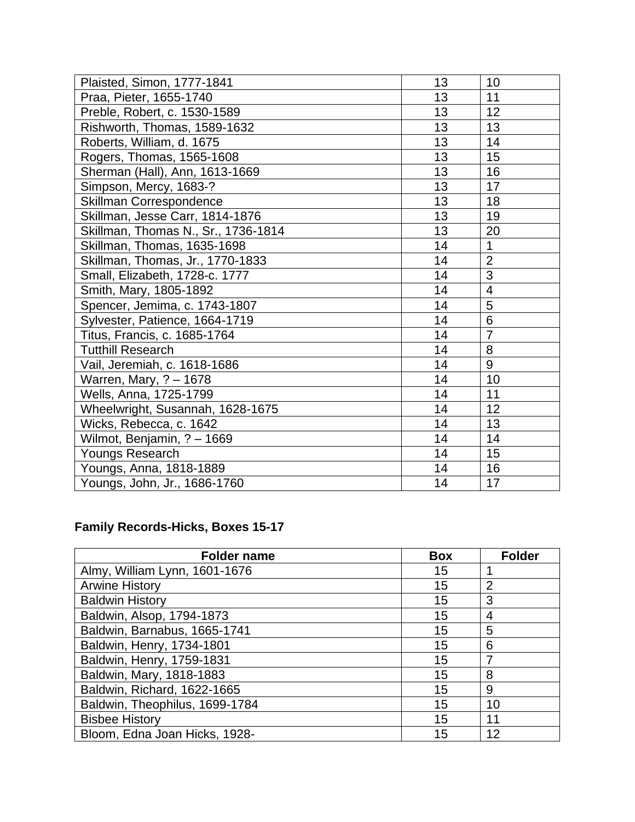| Plaisted, Simon, 1777-1841          | 13 | 10             |
|-------------------------------------|----|----------------|
| Praa, Pieter, 1655-1740             | 13 | 11             |
| Preble, Robert, c. 1530-1589        | 13 | 12             |
| Rishworth, Thomas, 1589-1632        | 13 | 13             |
| Roberts, William, d. 1675           | 13 | 14             |
| Rogers, Thomas, 1565-1608           | 13 | 15             |
| Sherman (Hall), Ann, 1613-1669      | 13 | 16             |
| Simpson, Mercy, 1683-?              | 13 | 17             |
| Skillman Correspondence             | 13 | 18             |
| Skillman, Jesse Carr, 1814-1876     | 13 | 19             |
| Skillman, Thomas N., Sr., 1736-1814 | 13 | 20             |
| Skillman, Thomas, 1635-1698         | 14 | 1              |
| Skillman, Thomas, Jr., 1770-1833    | 14 | $\overline{2}$ |
| Small, Elizabeth, 1728-c. 1777      | 14 | 3              |
| Smith, Mary, 1805-1892              | 14 | $\overline{4}$ |
| Spencer, Jemima, c. 1743-1807       | 14 | 5              |
| Sylvester, Patience, 1664-1719      | 14 | 6              |
| Titus, Francis, c. 1685-1764        | 14 | $\overline{7}$ |
| <b>Tutthill Research</b>            | 14 | 8              |
| Vail, Jeremiah, c. 1618-1686        | 14 | 9              |
| Warren, Mary, ? - 1678              | 14 | 10             |
| Wells, Anna, 1725-1799              | 14 | 11             |
| Wheelwright, Susannah, 1628-1675    | 14 | 12             |
| Wicks, Rebecca, c. 1642             | 14 | 13             |
| Wilmot, Benjamin, ? - 1669          | 14 | 14             |
| Youngs Research                     | 14 | 15             |
| Youngs, Anna, 1818-1889             | 14 | 16             |
| Youngs, John, Jr., 1686-1760        | 14 | 17             |

### **Family Records-Hicks, Boxes 15-17**

| <b>Folder name</b>             | <b>Box</b> | <b>Folder</b>  |
|--------------------------------|------------|----------------|
| Almy, William Lynn, 1601-1676  | 15         |                |
| <b>Arwine History</b>          | 15         | 2              |
| <b>Baldwin History</b>         | 15         | 3              |
| Baldwin, Alsop, 1794-1873      | 15         | $\overline{4}$ |
| Baldwin, Barnabus, 1665-1741   | 15         | 5              |
| Baldwin, Henry, 1734-1801      | 15         | 6              |
| Baldwin, Henry, 1759-1831      | 15         | 7              |
| Baldwin, Mary, 1818-1883       | 15         | 8              |
| Baldwin, Richard, 1622-1665    | 15         | 9              |
| Baldwin, Theophilus, 1699-1784 | 15         | 10             |
| <b>Bisbee History</b>          | 15         | 11             |
| Bloom, Edna Joan Hicks, 1928-  | 15         | 12             |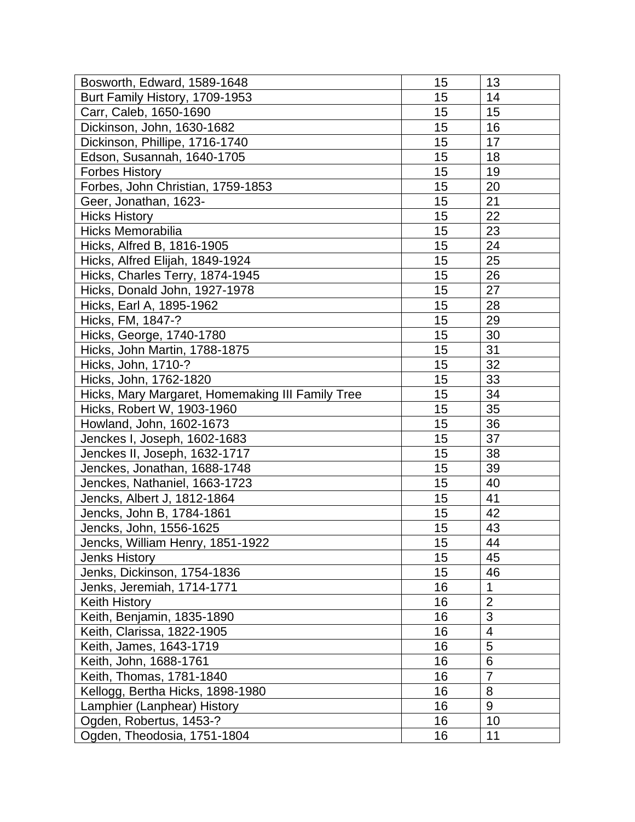| Bosworth, Edward, 1589-1648                      | 15              | 13             |
|--------------------------------------------------|-----------------|----------------|
| Burt Family History, 1709-1953                   | 15              | 14             |
| Carr, Caleb, 1650-1690                           | 15              | 15             |
| Dickinson, John, 1630-1682                       | 15              | 16             |
| Dickinson, Phillipe, 1716-1740                   | 15              | 17             |
| Edson, Susannah, 1640-1705                       | 15              | 18             |
| <b>Forbes History</b>                            | 15              | 19             |
| Forbes, John Christian, 1759-1853                | 15              | 20             |
| Geer, Jonathan, 1623-                            | 15              | 21             |
| <b>Hicks History</b>                             | 15              | 22             |
| Hicks Memorabilia                                | 15              | 23             |
| Hicks, Alfred B, 1816-1905                       | 15              | 24             |
| Hicks, Alfred Elijah, 1849-1924                  | 15              | 25             |
| Hicks, Charles Terry, 1874-1945                  | 15              | 26             |
| Hicks, Donald John, 1927-1978                    | 15              | 27             |
| Hicks, Earl A, 1895-1962                         | 15              | 28             |
| Hicks, FM, 1847-?                                | 15              | 29             |
| Hicks, George, 1740-1780                         | 15              | 30             |
| Hicks, John Martin, 1788-1875                    | 15              | 31             |
| Hicks, John, 1710-?                              | 15              | 32             |
| Hicks, John, 1762-1820                           | 15              | 33             |
| Hicks, Mary Margaret, Homemaking III Family Tree | 15              | 34             |
| Hicks, Robert W, 1903-1960                       | 15              | 35             |
| Howland, John, 1602-1673                         | 15              | 36             |
| Jenckes I, Joseph, 1602-1683                     | 15              | 37             |
| Jenckes II, Joseph, 1632-1717                    | 15              | 38             |
| Jenckes, Jonathan, 1688-1748                     | 15              | 39             |
| Jenckes, Nathaniel, 1663-1723                    | 15              | 40             |
| Jencks, Albert J, 1812-1864                      | 15              | 41             |
| Jencks, John B, 1784-1861                        | 15              | 42             |
| Jencks, John, 1556-1625                          | 15              | 43             |
| Jencks, William Henry, 1851-1922                 | $\overline{15}$ | 44             |
| <b>Jenks History</b>                             | 15              | 45             |
| Jenks, Dickinson, 1754-1836                      | 15              | 46             |
| Jenks, Jeremiah, 1714-1771                       | 16              | 1              |
| <b>Keith History</b>                             | 16              | $\overline{2}$ |
| Keith, Benjamin, 1835-1890                       | 16              | 3              |
| Keith, Clarissa, 1822-1905                       | 16              | $\overline{4}$ |
| Keith, James, 1643-1719                          | 16              | 5              |
| Keith, John, 1688-1761                           | 16              | 6              |
| Keith, Thomas, 1781-1840                         | 16              | $\overline{7}$ |
| Kellogg, Bertha Hicks, 1898-1980                 | 16              | 8              |
| Lamphier (Lanphear) History                      | 16              | 9              |
| Ogden, Robertus, 1453-?                          | 16              | 10             |
| Ogden, Theodosia, 1751-1804                      | 16              | 11             |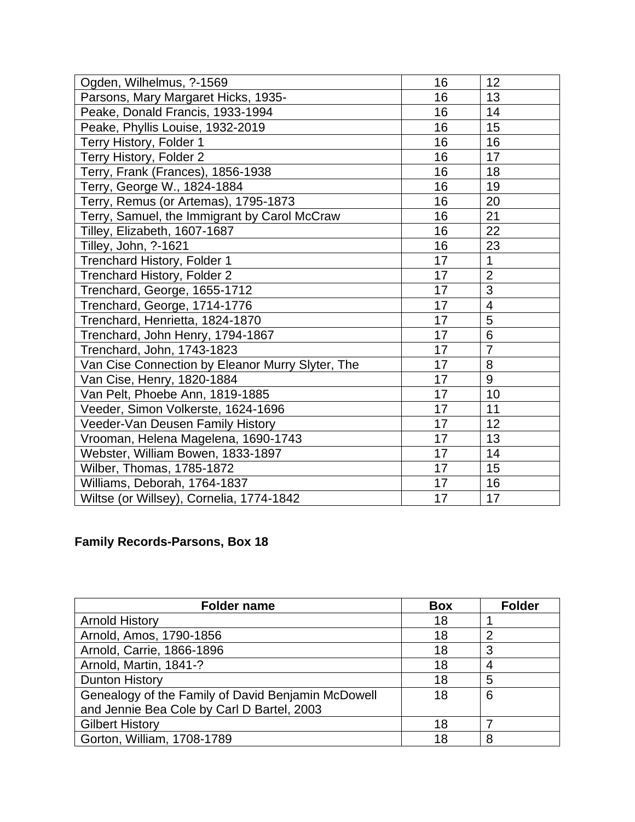| Ogden, Wilhelmus, ?-1569                         | 16 | 12             |
|--------------------------------------------------|----|----------------|
| Parsons, Mary Margaret Hicks, 1935-              | 16 | 13             |
| Peake, Donald Francis, 1933-1994                 | 16 | 14             |
| Peake, Phyllis Louise, 1932-2019                 | 16 | 15             |
| Terry History, Folder 1                          | 16 | 16             |
| Terry History, Folder 2                          | 16 | 17             |
| Terry, Frank (Frances), 1856-1938                | 16 | 18             |
| Terry, George W., 1824-1884                      | 16 | 19             |
| Terry, Remus (or Artemas), 1795-1873             | 16 | 20             |
| Terry, Samuel, the Immigrant by Carol McCraw     | 16 | 21             |
| Tilley, Elizabeth, 1607-1687                     | 16 | 22             |
| Tilley, John, ?-1621                             | 16 | 23             |
| Trenchard History, Folder 1                      | 17 | $\mathbf{1}$   |
| Trenchard History, Folder 2                      | 17 | $\overline{2}$ |
| Trenchard, George, 1655-1712                     | 17 | 3              |
| Trenchard, George, 1714-1776                     | 17 | $\overline{4}$ |
| Trenchard, Henrietta, 1824-1870                  | 17 | 5              |
| Trenchard, John Henry, 1794-1867                 | 17 | 6              |
| Trenchard, John, 1743-1823                       | 17 | $\overline{7}$ |
| Van Cise Connection by Eleanor Murry Slyter, The | 17 | 8              |
| Van Cise, Henry, 1820-1884                       | 17 | 9              |
| Van Pelt, Phoebe Ann, 1819-1885                  | 17 | 10             |
| Veeder, Simon Volkerste, 1624-1696               | 17 | 11             |
| Veeder-Van Deusen Family History                 | 17 | 12             |
| Vrooman, Helena Magelena, 1690-1743              | 17 | 13             |
| Webster, William Bowen, 1833-1897                | 17 | 14             |
| Wilber, Thomas, 1785-1872                        | 17 | 15             |
| Williams, Deborah, 1764-1837                     | 17 | 16             |
| Wiltse (or Willsey), Cornelia, 1774-1842         | 17 | 17             |

## **Family Records-Parsons, Box 18**

| <b>Folder name</b>                                 | <b>Box</b> | <b>Folder</b> |
|----------------------------------------------------|------------|---------------|
| <b>Arnold History</b>                              | 18         |               |
| Arnold, Amos, 1790-1856                            | 18         | າ             |
| Arnold, Carrie, 1866-1896                          | 18         | 3             |
| Arnold, Martin, 1841-?                             | 18         |               |
| Dunton History                                     | 18         | 5             |
| Genealogy of the Family of David Benjamin McDowell | 18         | 6             |
| and Jennie Bea Cole by Carl D Bartel, 2003         |            |               |
| <b>Gilbert History</b>                             | 18         |               |
| Gorton, William, 1708-1789                         | 18         | 8             |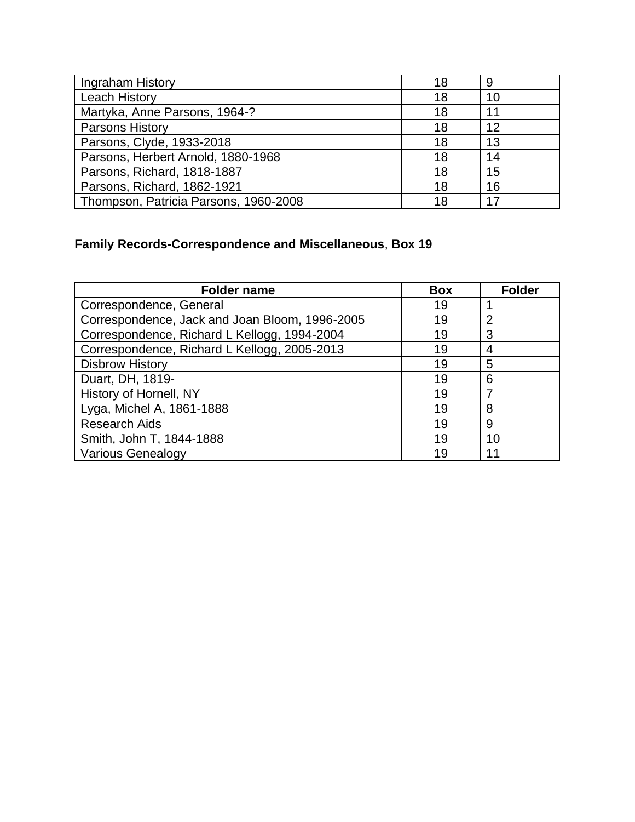| Ingraham History                      | 18 | 9  |
|---------------------------------------|----|----|
| <b>Leach History</b>                  | 18 | 10 |
| Martyka, Anne Parsons, 1964-?         | 18 | 11 |
| <b>Parsons History</b>                | 18 | 12 |
| Parsons, Clyde, 1933-2018             | 18 | 13 |
| Parsons, Herbert Arnold, 1880-1968    | 18 | 14 |
| Parsons, Richard, 1818-1887           | 18 | 15 |
| Parsons, Richard, 1862-1921           | 18 | 16 |
| Thompson, Patricia Parsons, 1960-2008 | 18 | 17 |

# **Family Records-Correspondence and Miscellaneous**, **Box 19**

| <b>Folder name</b>                             | <b>Box</b> | <b>Folder</b> |
|------------------------------------------------|------------|---------------|
| Correspondence, General                        | 19         |               |
| Correspondence, Jack and Joan Bloom, 1996-2005 | 19         | 2             |
| Correspondence, Richard L Kellogg, 1994-2004   | 19         | 3             |
| Correspondence, Richard L Kellogg, 2005-2013   | 19         | 4             |
| <b>Disbrow History</b>                         | 19         | 5             |
| Duart, DH, 1819-                               | 19         | 6             |
| History of Hornell, NY                         | 19         | 7             |
| Lyga, Michel A, 1861-1888                      | 19         | 8             |
| <b>Research Aids</b>                           | 19         | 9             |
| Smith, John T, 1844-1888                       | 19         | 10            |
| <b>Various Genealogy</b>                       | 19         | 11            |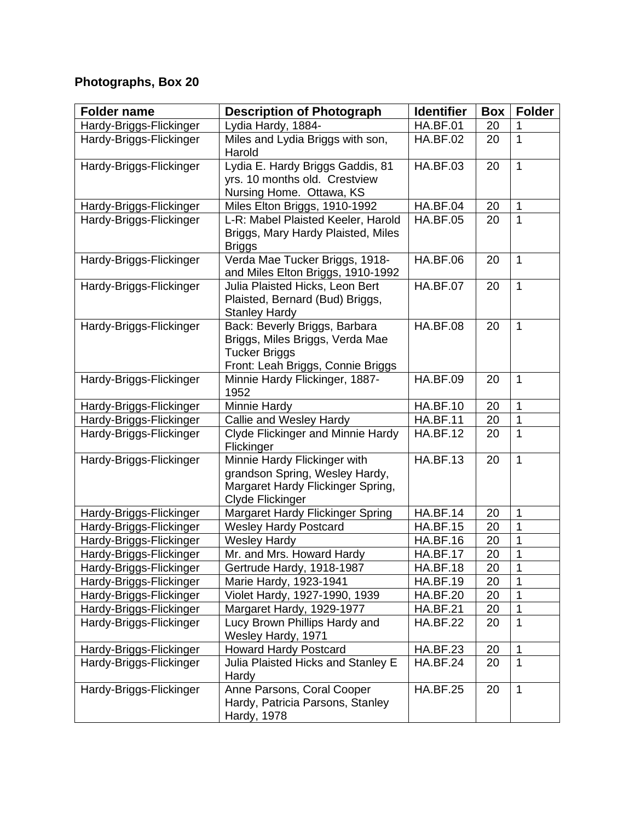# **Photographs, Box 20**

| <b>Folder name</b>      | <b>Description of Photograph</b>                                                                                              | <b>Identifier</b> | <b>Box</b> | <b>Folder</b> |
|-------------------------|-------------------------------------------------------------------------------------------------------------------------------|-------------------|------------|---------------|
| Hardy-Briggs-Flickinger | Lydia Hardy, 1884-                                                                                                            | <b>HA.BF.01</b>   | 20         |               |
| Hardy-Briggs-Flickinger | Miles and Lydia Briggs with son,<br>Harold                                                                                    | <b>HA.BF.02</b>   | 20         | 1             |
| Hardy-Briggs-Flickinger | Lydia E. Hardy Briggs Gaddis, 81<br>yrs. 10 months old. Crestview<br>Nursing Home. Ottawa, KS                                 | <b>HA.BF.03</b>   | 20         | 1             |
| Hardy-Briggs-Flickinger | Miles Elton Briggs, 1910-1992                                                                                                 | <b>HA.BF.04</b>   | 20         | 1             |
| Hardy-Briggs-Flickinger | L-R: Mabel Plaisted Keeler, Harold<br>Briggs, Mary Hardy Plaisted, Miles<br><b>Briggs</b>                                     | <b>HA.BF.05</b>   | 20         | 1             |
| Hardy-Briggs-Flickinger | Verda Mae Tucker Briggs, 1918-<br>and Miles Elton Briggs, 1910-1992                                                           | <b>HA.BF.06</b>   | 20         | 1             |
| Hardy-Briggs-Flickinger | Julia Plaisted Hicks, Leon Bert<br>Plaisted, Bernard (Bud) Briggs,<br><b>Stanley Hardy</b>                                    | <b>HA.BF.07</b>   | 20         | 1             |
| Hardy-Briggs-Flickinger | Back: Beverly Briggs, Barbara<br>Briggs, Miles Briggs, Verda Mae<br><b>Tucker Briggs</b><br>Front: Leah Briggs, Connie Briggs | <b>HA.BF.08</b>   | 20         | 1             |
| Hardy-Briggs-Flickinger | Minnie Hardy Flickinger, 1887-<br>1952                                                                                        | <b>HA.BF.09</b>   | 20         | 1             |
| Hardy-Briggs-Flickinger | Minnie Hardy                                                                                                                  | <b>HA.BF.10</b>   | 20         | 1             |
| Hardy-Briggs-Flickinger | Callie and Wesley Hardy                                                                                                       | <b>HA.BF.11</b>   | 20         | 1             |
| Hardy-Briggs-Flickinger | Clyde Flickinger and Minnie Hardy<br>Flickinger                                                                               | <b>HA.BF.12</b>   | 20         | 1             |
| Hardy-Briggs-Flickinger | Minnie Hardy Flickinger with<br>grandson Spring, Wesley Hardy,<br>Margaret Hardy Flickinger Spring,<br>Clyde Flickinger       | <b>HA.BF.13</b>   | 20         | 1             |
| Hardy-Briggs-Flickinger | Margaret Hardy Flickinger Spring                                                                                              | <b>HA.BF.14</b>   | 20         | 1             |
| Hardy-Briggs-Flickinger | <b>Wesley Hardy Postcard</b>                                                                                                  | <b>HA.BF.15</b>   | 20         | 1             |
| Hardy-Briggs-Flickinger | <b>Wesley Hardy</b>                                                                                                           | <b>HA.BF.16</b>   | 20         | 1             |
| Hardy-Briggs-Flickinger | Mr. and Mrs. Howard Hardy                                                                                                     | <b>HA.BF.17</b>   | 20         | 1             |
| Hardy-Briggs-Flickinger | Gertrude Hardy, 1918-1987                                                                                                     | <b>HA.BF.18</b>   | 20         | 1             |
| Hardy-Briggs-Flickinger | Marie Hardy, 1923-1941                                                                                                        | <b>HA.BF.19</b>   | 20         | 1             |
| Hardy-Briggs-Flickinger | Violet Hardy, 1927-1990, 1939                                                                                                 | <b>HA.BF.20</b>   | 20         | 1             |
| Hardy-Briggs-Flickinger | Margaret Hardy, 1929-1977                                                                                                     | <b>HA.BF.21</b>   | 20         | 1             |
| Hardy-Briggs-Flickinger | Lucy Brown Phillips Hardy and<br>Wesley Hardy, 1971                                                                           | <b>HA.BF.22</b>   | 20         | 1             |
| Hardy-Briggs-Flickinger | <b>Howard Hardy Postcard</b>                                                                                                  | <b>HA.BF.23</b>   | 20         | 1             |
| Hardy-Briggs-Flickinger | Julia Plaisted Hicks and Stanley E<br>Hardy                                                                                   | <b>HA.BF.24</b>   | 20         | 1             |
| Hardy-Briggs-Flickinger | Anne Parsons, Coral Cooper<br>Hardy, Patricia Parsons, Stanley<br>Hardy, 1978                                                 | <b>HA.BF.25</b>   | 20         | 1             |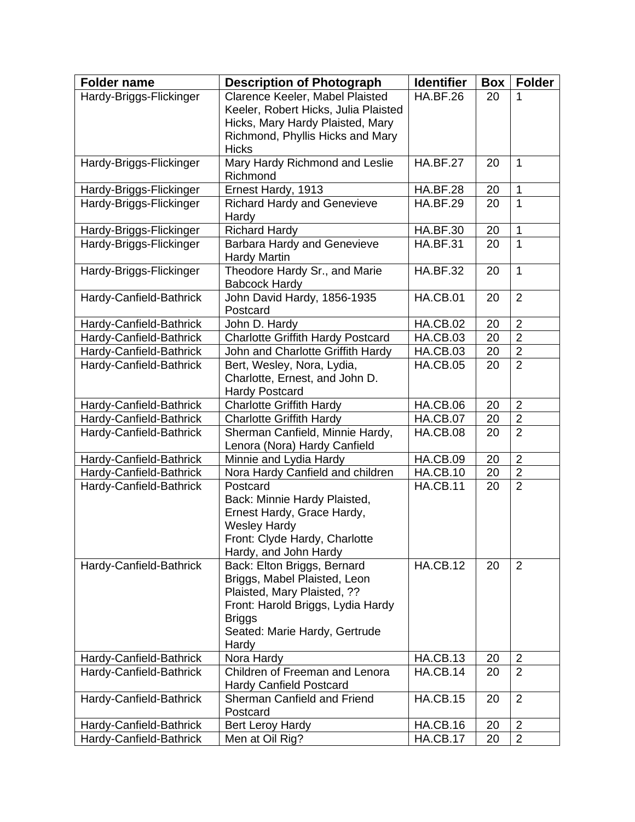| <b>Folder name</b>      | <b>Description of Photograph</b>                                     | <b>Identifier</b> | <b>Box</b> | <b>Folder</b>  |
|-------------------------|----------------------------------------------------------------------|-------------------|------------|----------------|
| Hardy-Briggs-Flickinger | Clarence Keeler, Mabel Plaisted                                      | <b>HA.BF.26</b>   | 20         |                |
|                         | Keeler, Robert Hicks, Julia Plaisted                                 |                   |            |                |
|                         | Hicks, Mary Hardy Plaisted, Mary<br>Richmond, Phyllis Hicks and Mary |                   |            |                |
|                         | <b>Hicks</b>                                                         |                   |            |                |
| Hardy-Briggs-Flickinger | Mary Hardy Richmond and Leslie                                       | <b>HA.BF.27</b>   | 20         | 1              |
|                         | Richmond                                                             |                   |            |                |
| Hardy-Briggs-Flickinger | Ernest Hardy, 1913                                                   | <b>HA.BF.28</b>   | 20         | $\mathbf{1}$   |
| Hardy-Briggs-Flickinger | <b>Richard Hardy and Genevieve</b><br>Hardy                          | <b>HA.BF.29</b>   | 20         | 1              |
| Hardy-Briggs-Flickinger | <b>Richard Hardy</b>                                                 | <b>HA.BF.30</b>   | 20         | $\overline{1}$ |
| Hardy-Briggs-Flickinger | <b>Barbara Hardy and Genevieve</b><br><b>Hardy Martin</b>            | <b>HA.BF.31</b>   | 20         | 1              |
| Hardy-Briggs-Flickinger | Theodore Hardy Sr., and Marie<br><b>Babcock Hardy</b>                | <b>HA.BF.32</b>   | 20         | 1              |
| Hardy-Canfield-Bathrick | John David Hardy, 1856-1935<br>Postcard                              | <b>HA.CB.01</b>   | 20         | $\overline{2}$ |
| Hardy-Canfield-Bathrick | John D. Hardy                                                        | <b>HA.CB.02</b>   | 20         | $\overline{2}$ |
| Hardy-Canfield-Bathrick | <b>Charlotte Griffith Hardy Postcard</b>                             | <b>HA.CB.03</b>   | 20         | $\overline{2}$ |
| Hardy-Canfield-Bathrick | John and Charlotte Griffith Hardy                                    | <b>HA.CB.03</b>   | 20         | $\overline{2}$ |
| Hardy-Canfield-Bathrick | Bert, Wesley, Nora, Lydia,                                           | <b>HA.CB.05</b>   | 20         | $\overline{2}$ |
|                         | Charlotte, Ernest, and John D.                                       |                   |            |                |
|                         | <b>Hardy Postcard</b>                                                |                   |            |                |
| Hardy-Canfield-Bathrick | <b>Charlotte Griffith Hardy</b>                                      | <b>HA.CB.06</b>   | 20         | $\overline{2}$ |
| Hardy-Canfield-Bathrick | <b>Charlotte Griffith Hardy</b>                                      | <b>HA.CB.07</b>   | 20         | $\overline{2}$ |
| Hardy-Canfield-Bathrick | Sherman Canfield, Minnie Hardy,<br>Lenora (Nora) Hardy Canfield      | <b>HA.CB.08</b>   | 20         | $\overline{2}$ |
| Hardy-Canfield-Bathrick | Minnie and Lydia Hardy                                               | HA.CB.09          | 20         | $\overline{2}$ |
| Hardy-Canfield-Bathrick | Nora Hardy Canfield and children                                     | <b>HA.CB.10</b>   | 20         | $\overline{2}$ |
| Hardy-Canfield-Bathrick | Postcard                                                             | <b>HA.CB.11</b>   | 20         | $\overline{2}$ |
|                         | Back: Minnie Hardy Plaisted,                                         |                   |            |                |
|                         | Ernest Hardy, Grace Hardy,                                           |                   |            |                |
|                         | <b>Wesley Hardy</b>                                                  |                   |            |                |
|                         | Front: Clyde Hardy, Charlotte                                        |                   |            |                |
|                         | Hardy, and John Hardy                                                |                   |            |                |
| Hardy-Canfield-Bathrick | Back: Elton Briggs, Bernard                                          | <b>HA.CB.12</b>   | 20         | $\overline{2}$ |
|                         | Briggs, Mabel Plaisted, Leon                                         |                   |            |                |
|                         | Plaisted, Mary Plaisted, ??                                          |                   |            |                |
|                         | Front: Harold Briggs, Lydia Hardy                                    |                   |            |                |
|                         | <b>Briggs</b><br>Seated: Marie Hardy, Gertrude                       |                   |            |                |
|                         | Hardy                                                                |                   |            |                |
| Hardy-Canfield-Bathrick | Nora Hardy                                                           | <b>HA.CB.13</b>   | 20         | $\overline{2}$ |
| Hardy-Canfield-Bathrick | Children of Freeman and Lenora                                       | <b>HA.CB.14</b>   | 20         | $\overline{2}$ |
|                         | Hardy Canfield Postcard                                              |                   |            |                |
| Hardy-Canfield-Bathrick | Sherman Canfield and Friend<br>Postcard                              | <b>HA.CB.15</b>   | 20         | $\overline{2}$ |
| Hardy-Canfield-Bathrick | <b>Bert Leroy Hardy</b>                                              | <b>HA.CB.16</b>   | 20         | $\overline{2}$ |
| Hardy-Canfield-Bathrick | Men at Oil Rig?                                                      | $H$ A.CB.17       | 20         | $\overline{2}$ |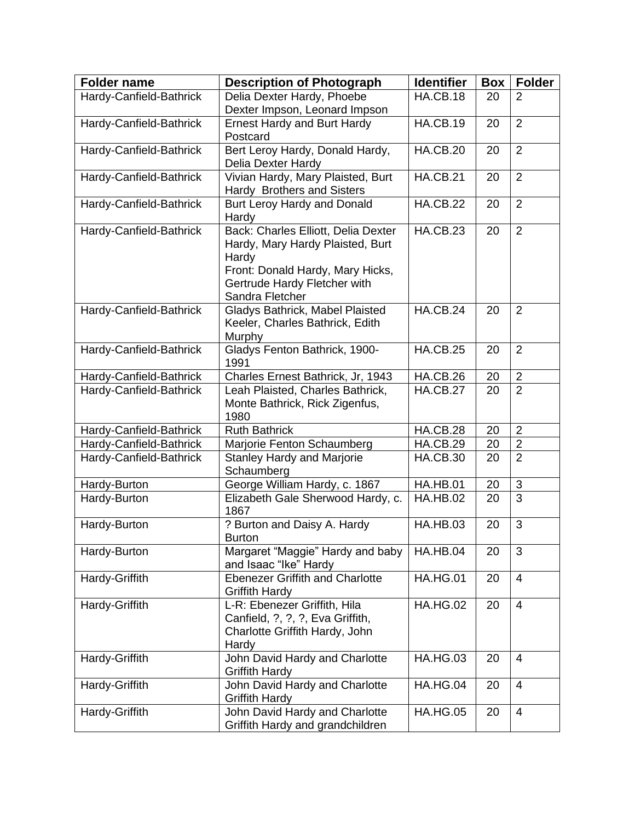| Delia Dexter Hardy, Phoebe<br><b>HA.CB.18</b><br>Hardy-Canfield-Bathrick<br>20<br>$\overline{2}$<br>Dexter Impson, Leonard Impson<br><b>HA.CB.19</b><br>$\overline{2}$<br>Hardy-Canfield-Bathrick<br><b>Ernest Hardy and Burt Hardy</b><br>20<br>Postcard<br>Bert Leroy Hardy, Donald Hardy,<br>Hardy-Canfield-Bathrick<br><b>HA.CB.20</b><br>$\overline{2}$<br>20<br>Delia Dexter Hardy<br>Vivian Hardy, Mary Plaisted, Burt<br><b>HA.CB.21</b><br>Hardy-Canfield-Bathrick<br>$\overline{2}$<br>20<br>Hardy Brothers and Sisters<br>$\overline{2}$<br>Hardy-Canfield-Bathrick<br><b>HA.CB.22</b><br>Burt Leroy Hardy and Donald<br>20<br>Hardy<br>Back: Charles Elliott, Delia Dexter<br><b>HA.CB.23</b><br>$\overline{2}$<br>Hardy-Canfield-Bathrick<br>20<br>Hardy, Mary Hardy Plaisted, Burt<br>Hardy<br>Front: Donald Hardy, Mary Hicks,<br>Gertrude Hardy Fletcher with<br>Sandra Fletcher<br>Gladys Bathrick, Mabel Plaisted<br><b>HA.CB.24</b><br>$\overline{2}$<br>Hardy-Canfield-Bathrick<br>20<br>Keeler, Charles Bathrick, Edith<br>Murphy<br>Gladys Fenton Bathrick, 1900-<br><b>HA.CB.25</b><br>$\overline{2}$<br>Hardy-Canfield-Bathrick<br>20<br>1991<br>$\overline{2}$<br>Hardy-Canfield-Bathrick<br>Charles Ernest Bathrick, Jr, 1943<br>HA.CB.26<br>20<br>$\overline{2}$<br><b>HA.CB.27</b><br>Hardy-Canfield-Bathrick<br>Leah Plaisted, Charles Bathrick,<br>20<br>Monte Bathrick, Rick Zigenfus,<br>1980<br><b>Ruth Bathrick</b><br><b>HA.CB.28</b><br>$\overline{2}$<br>Hardy-Canfield-Bathrick<br>20<br>$\overline{2}$<br>HA.CB.29<br>Hardy-Canfield-Bathrick<br>Marjorie Fenton Schaumberg<br>20<br>$\overline{2}$<br><b>Stanley Hardy and Marjorie</b><br>Hardy-Canfield-Bathrick<br><b>HA.CB.30</b><br>20<br>Schaumberg<br>3<br>George William Hardy, c. 1867<br><b>HA.HB.01</b><br>20<br>Hardy-Burton<br>$\overline{3}$<br>Hardy-Burton<br>Elizabeth Gale Sherwood Hardy, c.<br><b>HA.HB.02</b><br>20<br>1867<br>? Burton and Daisy A. Hardy<br><b>HA.HB.03</b><br>3<br>Hardy-Burton<br>20<br><b>Burton</b><br>Margaret "Maggie" Hardy and baby<br>HA.HB.04<br>3<br>20<br>Hardy-Burton<br>and Isaac "Ike" Hardy<br><b>HA.HG.01</b><br>Hardy-Griffith<br><b>Ebenezer Griffith and Charlotte</b><br>$\overline{4}$<br>20<br><b>Griffith Hardy</b><br>L-R: Ebenezer Griffith, Hila<br>Hardy-Griffith<br><b>HA.HG.02</b><br>20<br>$\overline{4}$<br>Canfield, ?, ?, ?, Eva Griffith,<br>Charlotte Griffith Hardy, John<br>Hardy<br>John David Hardy and Charlotte<br>Hardy-Griffith<br><b>HA.HG.03</b><br>20<br>$\overline{4}$<br><b>Griffith Hardy</b><br>John David Hardy and Charlotte<br><b>HA.HG.04</b><br>Hardy-Griffith<br>4<br>20<br><b>Griffith Hardy</b><br><b>HA.HG.05</b><br>Hardy-Griffith<br>John David Hardy and Charlotte<br>20<br>$\overline{4}$ | <b>Folder name</b> | <b>Description of Photograph</b> | <b>Identifier</b> | Box | <b>Folder</b> |
|------------------------------------------------------------------------------------------------------------------------------------------------------------------------------------------------------------------------------------------------------------------------------------------------------------------------------------------------------------------------------------------------------------------------------------------------------------------------------------------------------------------------------------------------------------------------------------------------------------------------------------------------------------------------------------------------------------------------------------------------------------------------------------------------------------------------------------------------------------------------------------------------------------------------------------------------------------------------------------------------------------------------------------------------------------------------------------------------------------------------------------------------------------------------------------------------------------------------------------------------------------------------------------------------------------------------------------------------------------------------------------------------------------------------------------------------------------------------------------------------------------------------------------------------------------------------------------------------------------------------------------------------------------------------------------------------------------------------------------------------------------------------------------------------------------------------------------------------------------------------------------------------------------------------------------------------------------------------------------------------------------------------------------------------------------------------------------------------------------------------------------------------------------------------------------------------------------------------------------------------------------------------------------------------------------------------------------------------------------------------------------------------------------------------------------------------------------------------------------------------------------------------------------------------------------------------------------------------------------------------------------------------------------------------------------------------------------------------------------------------------------------------------------------|--------------------|----------------------------------|-------------------|-----|---------------|
|                                                                                                                                                                                                                                                                                                                                                                                                                                                                                                                                                                                                                                                                                                                                                                                                                                                                                                                                                                                                                                                                                                                                                                                                                                                                                                                                                                                                                                                                                                                                                                                                                                                                                                                                                                                                                                                                                                                                                                                                                                                                                                                                                                                                                                                                                                                                                                                                                                                                                                                                                                                                                                                                                                                                                                                          |                    |                                  |                   |     |               |
|                                                                                                                                                                                                                                                                                                                                                                                                                                                                                                                                                                                                                                                                                                                                                                                                                                                                                                                                                                                                                                                                                                                                                                                                                                                                                                                                                                                                                                                                                                                                                                                                                                                                                                                                                                                                                                                                                                                                                                                                                                                                                                                                                                                                                                                                                                                                                                                                                                                                                                                                                                                                                                                                                                                                                                                          |                    |                                  |                   |     |               |
|                                                                                                                                                                                                                                                                                                                                                                                                                                                                                                                                                                                                                                                                                                                                                                                                                                                                                                                                                                                                                                                                                                                                                                                                                                                                                                                                                                                                                                                                                                                                                                                                                                                                                                                                                                                                                                                                                                                                                                                                                                                                                                                                                                                                                                                                                                                                                                                                                                                                                                                                                                                                                                                                                                                                                                                          |                    |                                  |                   |     |               |
|                                                                                                                                                                                                                                                                                                                                                                                                                                                                                                                                                                                                                                                                                                                                                                                                                                                                                                                                                                                                                                                                                                                                                                                                                                                                                                                                                                                                                                                                                                                                                                                                                                                                                                                                                                                                                                                                                                                                                                                                                                                                                                                                                                                                                                                                                                                                                                                                                                                                                                                                                                                                                                                                                                                                                                                          |                    |                                  |                   |     |               |
|                                                                                                                                                                                                                                                                                                                                                                                                                                                                                                                                                                                                                                                                                                                                                                                                                                                                                                                                                                                                                                                                                                                                                                                                                                                                                                                                                                                                                                                                                                                                                                                                                                                                                                                                                                                                                                                                                                                                                                                                                                                                                                                                                                                                                                                                                                                                                                                                                                                                                                                                                                                                                                                                                                                                                                                          |                    |                                  |                   |     |               |
|                                                                                                                                                                                                                                                                                                                                                                                                                                                                                                                                                                                                                                                                                                                                                                                                                                                                                                                                                                                                                                                                                                                                                                                                                                                                                                                                                                                                                                                                                                                                                                                                                                                                                                                                                                                                                                                                                                                                                                                                                                                                                                                                                                                                                                                                                                                                                                                                                                                                                                                                                                                                                                                                                                                                                                                          |                    |                                  |                   |     |               |
|                                                                                                                                                                                                                                                                                                                                                                                                                                                                                                                                                                                                                                                                                                                                                                                                                                                                                                                                                                                                                                                                                                                                                                                                                                                                                                                                                                                                                                                                                                                                                                                                                                                                                                                                                                                                                                                                                                                                                                                                                                                                                                                                                                                                                                                                                                                                                                                                                                                                                                                                                                                                                                                                                                                                                                                          |                    |                                  |                   |     |               |
|                                                                                                                                                                                                                                                                                                                                                                                                                                                                                                                                                                                                                                                                                                                                                                                                                                                                                                                                                                                                                                                                                                                                                                                                                                                                                                                                                                                                                                                                                                                                                                                                                                                                                                                                                                                                                                                                                                                                                                                                                                                                                                                                                                                                                                                                                                                                                                                                                                                                                                                                                                                                                                                                                                                                                                                          |                    |                                  |                   |     |               |
|                                                                                                                                                                                                                                                                                                                                                                                                                                                                                                                                                                                                                                                                                                                                                                                                                                                                                                                                                                                                                                                                                                                                                                                                                                                                                                                                                                                                                                                                                                                                                                                                                                                                                                                                                                                                                                                                                                                                                                                                                                                                                                                                                                                                                                                                                                                                                                                                                                                                                                                                                                                                                                                                                                                                                                                          |                    |                                  |                   |     |               |
|                                                                                                                                                                                                                                                                                                                                                                                                                                                                                                                                                                                                                                                                                                                                                                                                                                                                                                                                                                                                                                                                                                                                                                                                                                                                                                                                                                                                                                                                                                                                                                                                                                                                                                                                                                                                                                                                                                                                                                                                                                                                                                                                                                                                                                                                                                                                                                                                                                                                                                                                                                                                                                                                                                                                                                                          |                    |                                  |                   |     |               |
|                                                                                                                                                                                                                                                                                                                                                                                                                                                                                                                                                                                                                                                                                                                                                                                                                                                                                                                                                                                                                                                                                                                                                                                                                                                                                                                                                                                                                                                                                                                                                                                                                                                                                                                                                                                                                                                                                                                                                                                                                                                                                                                                                                                                                                                                                                                                                                                                                                                                                                                                                                                                                                                                                                                                                                                          |                    |                                  |                   |     |               |
|                                                                                                                                                                                                                                                                                                                                                                                                                                                                                                                                                                                                                                                                                                                                                                                                                                                                                                                                                                                                                                                                                                                                                                                                                                                                                                                                                                                                                                                                                                                                                                                                                                                                                                                                                                                                                                                                                                                                                                                                                                                                                                                                                                                                                                                                                                                                                                                                                                                                                                                                                                                                                                                                                                                                                                                          |                    |                                  |                   |     |               |
|                                                                                                                                                                                                                                                                                                                                                                                                                                                                                                                                                                                                                                                                                                                                                                                                                                                                                                                                                                                                                                                                                                                                                                                                                                                                                                                                                                                                                                                                                                                                                                                                                                                                                                                                                                                                                                                                                                                                                                                                                                                                                                                                                                                                                                                                                                                                                                                                                                                                                                                                                                                                                                                                                                                                                                                          |                    |                                  |                   |     |               |
|                                                                                                                                                                                                                                                                                                                                                                                                                                                                                                                                                                                                                                                                                                                                                                                                                                                                                                                                                                                                                                                                                                                                                                                                                                                                                                                                                                                                                                                                                                                                                                                                                                                                                                                                                                                                                                                                                                                                                                                                                                                                                                                                                                                                                                                                                                                                                                                                                                                                                                                                                                                                                                                                                                                                                                                          |                    |                                  |                   |     |               |
|                                                                                                                                                                                                                                                                                                                                                                                                                                                                                                                                                                                                                                                                                                                                                                                                                                                                                                                                                                                                                                                                                                                                                                                                                                                                                                                                                                                                                                                                                                                                                                                                                                                                                                                                                                                                                                                                                                                                                                                                                                                                                                                                                                                                                                                                                                                                                                                                                                                                                                                                                                                                                                                                                                                                                                                          |                    |                                  |                   |     |               |
|                                                                                                                                                                                                                                                                                                                                                                                                                                                                                                                                                                                                                                                                                                                                                                                                                                                                                                                                                                                                                                                                                                                                                                                                                                                                                                                                                                                                                                                                                                                                                                                                                                                                                                                                                                                                                                                                                                                                                                                                                                                                                                                                                                                                                                                                                                                                                                                                                                                                                                                                                                                                                                                                                                                                                                                          |                    |                                  |                   |     |               |
|                                                                                                                                                                                                                                                                                                                                                                                                                                                                                                                                                                                                                                                                                                                                                                                                                                                                                                                                                                                                                                                                                                                                                                                                                                                                                                                                                                                                                                                                                                                                                                                                                                                                                                                                                                                                                                                                                                                                                                                                                                                                                                                                                                                                                                                                                                                                                                                                                                                                                                                                                                                                                                                                                                                                                                                          |                    |                                  |                   |     |               |
|                                                                                                                                                                                                                                                                                                                                                                                                                                                                                                                                                                                                                                                                                                                                                                                                                                                                                                                                                                                                                                                                                                                                                                                                                                                                                                                                                                                                                                                                                                                                                                                                                                                                                                                                                                                                                                                                                                                                                                                                                                                                                                                                                                                                                                                                                                                                                                                                                                                                                                                                                                                                                                                                                                                                                                                          |                    |                                  |                   |     |               |
|                                                                                                                                                                                                                                                                                                                                                                                                                                                                                                                                                                                                                                                                                                                                                                                                                                                                                                                                                                                                                                                                                                                                                                                                                                                                                                                                                                                                                                                                                                                                                                                                                                                                                                                                                                                                                                                                                                                                                                                                                                                                                                                                                                                                                                                                                                                                                                                                                                                                                                                                                                                                                                                                                                                                                                                          |                    |                                  |                   |     |               |
|                                                                                                                                                                                                                                                                                                                                                                                                                                                                                                                                                                                                                                                                                                                                                                                                                                                                                                                                                                                                                                                                                                                                                                                                                                                                                                                                                                                                                                                                                                                                                                                                                                                                                                                                                                                                                                                                                                                                                                                                                                                                                                                                                                                                                                                                                                                                                                                                                                                                                                                                                                                                                                                                                                                                                                                          |                    |                                  |                   |     |               |
|                                                                                                                                                                                                                                                                                                                                                                                                                                                                                                                                                                                                                                                                                                                                                                                                                                                                                                                                                                                                                                                                                                                                                                                                                                                                                                                                                                                                                                                                                                                                                                                                                                                                                                                                                                                                                                                                                                                                                                                                                                                                                                                                                                                                                                                                                                                                                                                                                                                                                                                                                                                                                                                                                                                                                                                          |                    |                                  |                   |     |               |
|                                                                                                                                                                                                                                                                                                                                                                                                                                                                                                                                                                                                                                                                                                                                                                                                                                                                                                                                                                                                                                                                                                                                                                                                                                                                                                                                                                                                                                                                                                                                                                                                                                                                                                                                                                                                                                                                                                                                                                                                                                                                                                                                                                                                                                                                                                                                                                                                                                                                                                                                                                                                                                                                                                                                                                                          |                    |                                  |                   |     |               |
|                                                                                                                                                                                                                                                                                                                                                                                                                                                                                                                                                                                                                                                                                                                                                                                                                                                                                                                                                                                                                                                                                                                                                                                                                                                                                                                                                                                                                                                                                                                                                                                                                                                                                                                                                                                                                                                                                                                                                                                                                                                                                                                                                                                                                                                                                                                                                                                                                                                                                                                                                                                                                                                                                                                                                                                          |                    |                                  |                   |     |               |
|                                                                                                                                                                                                                                                                                                                                                                                                                                                                                                                                                                                                                                                                                                                                                                                                                                                                                                                                                                                                                                                                                                                                                                                                                                                                                                                                                                                                                                                                                                                                                                                                                                                                                                                                                                                                                                                                                                                                                                                                                                                                                                                                                                                                                                                                                                                                                                                                                                                                                                                                                                                                                                                                                                                                                                                          |                    |                                  |                   |     |               |
|                                                                                                                                                                                                                                                                                                                                                                                                                                                                                                                                                                                                                                                                                                                                                                                                                                                                                                                                                                                                                                                                                                                                                                                                                                                                                                                                                                                                                                                                                                                                                                                                                                                                                                                                                                                                                                                                                                                                                                                                                                                                                                                                                                                                                                                                                                                                                                                                                                                                                                                                                                                                                                                                                                                                                                                          |                    |                                  |                   |     |               |
|                                                                                                                                                                                                                                                                                                                                                                                                                                                                                                                                                                                                                                                                                                                                                                                                                                                                                                                                                                                                                                                                                                                                                                                                                                                                                                                                                                                                                                                                                                                                                                                                                                                                                                                                                                                                                                                                                                                                                                                                                                                                                                                                                                                                                                                                                                                                                                                                                                                                                                                                                                                                                                                                                                                                                                                          |                    |                                  |                   |     |               |
|                                                                                                                                                                                                                                                                                                                                                                                                                                                                                                                                                                                                                                                                                                                                                                                                                                                                                                                                                                                                                                                                                                                                                                                                                                                                                                                                                                                                                                                                                                                                                                                                                                                                                                                                                                                                                                                                                                                                                                                                                                                                                                                                                                                                                                                                                                                                                                                                                                                                                                                                                                                                                                                                                                                                                                                          |                    |                                  |                   |     |               |
|                                                                                                                                                                                                                                                                                                                                                                                                                                                                                                                                                                                                                                                                                                                                                                                                                                                                                                                                                                                                                                                                                                                                                                                                                                                                                                                                                                                                                                                                                                                                                                                                                                                                                                                                                                                                                                                                                                                                                                                                                                                                                                                                                                                                                                                                                                                                                                                                                                                                                                                                                                                                                                                                                                                                                                                          |                    |                                  |                   |     |               |
|                                                                                                                                                                                                                                                                                                                                                                                                                                                                                                                                                                                                                                                                                                                                                                                                                                                                                                                                                                                                                                                                                                                                                                                                                                                                                                                                                                                                                                                                                                                                                                                                                                                                                                                                                                                                                                                                                                                                                                                                                                                                                                                                                                                                                                                                                                                                                                                                                                                                                                                                                                                                                                                                                                                                                                                          |                    |                                  |                   |     |               |
|                                                                                                                                                                                                                                                                                                                                                                                                                                                                                                                                                                                                                                                                                                                                                                                                                                                                                                                                                                                                                                                                                                                                                                                                                                                                                                                                                                                                                                                                                                                                                                                                                                                                                                                                                                                                                                                                                                                                                                                                                                                                                                                                                                                                                                                                                                                                                                                                                                                                                                                                                                                                                                                                                                                                                                                          |                    |                                  |                   |     |               |
|                                                                                                                                                                                                                                                                                                                                                                                                                                                                                                                                                                                                                                                                                                                                                                                                                                                                                                                                                                                                                                                                                                                                                                                                                                                                                                                                                                                                                                                                                                                                                                                                                                                                                                                                                                                                                                                                                                                                                                                                                                                                                                                                                                                                                                                                                                                                                                                                                                                                                                                                                                                                                                                                                                                                                                                          |                    |                                  |                   |     |               |
|                                                                                                                                                                                                                                                                                                                                                                                                                                                                                                                                                                                                                                                                                                                                                                                                                                                                                                                                                                                                                                                                                                                                                                                                                                                                                                                                                                                                                                                                                                                                                                                                                                                                                                                                                                                                                                                                                                                                                                                                                                                                                                                                                                                                                                                                                                                                                                                                                                                                                                                                                                                                                                                                                                                                                                                          |                    |                                  |                   |     |               |
|                                                                                                                                                                                                                                                                                                                                                                                                                                                                                                                                                                                                                                                                                                                                                                                                                                                                                                                                                                                                                                                                                                                                                                                                                                                                                                                                                                                                                                                                                                                                                                                                                                                                                                                                                                                                                                                                                                                                                                                                                                                                                                                                                                                                                                                                                                                                                                                                                                                                                                                                                                                                                                                                                                                                                                                          |                    |                                  |                   |     |               |
|                                                                                                                                                                                                                                                                                                                                                                                                                                                                                                                                                                                                                                                                                                                                                                                                                                                                                                                                                                                                                                                                                                                                                                                                                                                                                                                                                                                                                                                                                                                                                                                                                                                                                                                                                                                                                                                                                                                                                                                                                                                                                                                                                                                                                                                                                                                                                                                                                                                                                                                                                                                                                                                                                                                                                                                          |                    |                                  |                   |     |               |
|                                                                                                                                                                                                                                                                                                                                                                                                                                                                                                                                                                                                                                                                                                                                                                                                                                                                                                                                                                                                                                                                                                                                                                                                                                                                                                                                                                                                                                                                                                                                                                                                                                                                                                                                                                                                                                                                                                                                                                                                                                                                                                                                                                                                                                                                                                                                                                                                                                                                                                                                                                                                                                                                                                                                                                                          |                    |                                  |                   |     |               |
|                                                                                                                                                                                                                                                                                                                                                                                                                                                                                                                                                                                                                                                                                                                                                                                                                                                                                                                                                                                                                                                                                                                                                                                                                                                                                                                                                                                                                                                                                                                                                                                                                                                                                                                                                                                                                                                                                                                                                                                                                                                                                                                                                                                                                                                                                                                                                                                                                                                                                                                                                                                                                                                                                                                                                                                          |                    |                                  |                   |     |               |
|                                                                                                                                                                                                                                                                                                                                                                                                                                                                                                                                                                                                                                                                                                                                                                                                                                                                                                                                                                                                                                                                                                                                                                                                                                                                                                                                                                                                                                                                                                                                                                                                                                                                                                                                                                                                                                                                                                                                                                                                                                                                                                                                                                                                                                                                                                                                                                                                                                                                                                                                                                                                                                                                                                                                                                                          |                    |                                  |                   |     |               |
|                                                                                                                                                                                                                                                                                                                                                                                                                                                                                                                                                                                                                                                                                                                                                                                                                                                                                                                                                                                                                                                                                                                                                                                                                                                                                                                                                                                                                                                                                                                                                                                                                                                                                                                                                                                                                                                                                                                                                                                                                                                                                                                                                                                                                                                                                                                                                                                                                                                                                                                                                                                                                                                                                                                                                                                          |                    |                                  |                   |     |               |
|                                                                                                                                                                                                                                                                                                                                                                                                                                                                                                                                                                                                                                                                                                                                                                                                                                                                                                                                                                                                                                                                                                                                                                                                                                                                                                                                                                                                                                                                                                                                                                                                                                                                                                                                                                                                                                                                                                                                                                                                                                                                                                                                                                                                                                                                                                                                                                                                                                                                                                                                                                                                                                                                                                                                                                                          |                    |                                  |                   |     |               |
|                                                                                                                                                                                                                                                                                                                                                                                                                                                                                                                                                                                                                                                                                                                                                                                                                                                                                                                                                                                                                                                                                                                                                                                                                                                                                                                                                                                                                                                                                                                                                                                                                                                                                                                                                                                                                                                                                                                                                                                                                                                                                                                                                                                                                                                                                                                                                                                                                                                                                                                                                                                                                                                                                                                                                                                          |                    |                                  |                   |     |               |
|                                                                                                                                                                                                                                                                                                                                                                                                                                                                                                                                                                                                                                                                                                                                                                                                                                                                                                                                                                                                                                                                                                                                                                                                                                                                                                                                                                                                                                                                                                                                                                                                                                                                                                                                                                                                                                                                                                                                                                                                                                                                                                                                                                                                                                                                                                                                                                                                                                                                                                                                                                                                                                                                                                                                                                                          |                    |                                  |                   |     |               |
|                                                                                                                                                                                                                                                                                                                                                                                                                                                                                                                                                                                                                                                                                                                                                                                                                                                                                                                                                                                                                                                                                                                                                                                                                                                                                                                                                                                                                                                                                                                                                                                                                                                                                                                                                                                                                                                                                                                                                                                                                                                                                                                                                                                                                                                                                                                                                                                                                                                                                                                                                                                                                                                                                                                                                                                          |                    |                                  |                   |     |               |
|                                                                                                                                                                                                                                                                                                                                                                                                                                                                                                                                                                                                                                                                                                                                                                                                                                                                                                                                                                                                                                                                                                                                                                                                                                                                                                                                                                                                                                                                                                                                                                                                                                                                                                                                                                                                                                                                                                                                                                                                                                                                                                                                                                                                                                                                                                                                                                                                                                                                                                                                                                                                                                                                                                                                                                                          |                    |                                  |                   |     |               |
|                                                                                                                                                                                                                                                                                                                                                                                                                                                                                                                                                                                                                                                                                                                                                                                                                                                                                                                                                                                                                                                                                                                                                                                                                                                                                                                                                                                                                                                                                                                                                                                                                                                                                                                                                                                                                                                                                                                                                                                                                                                                                                                                                                                                                                                                                                                                                                                                                                                                                                                                                                                                                                                                                                                                                                                          |                    | Griffith Hardy and grandchildren |                   |     |               |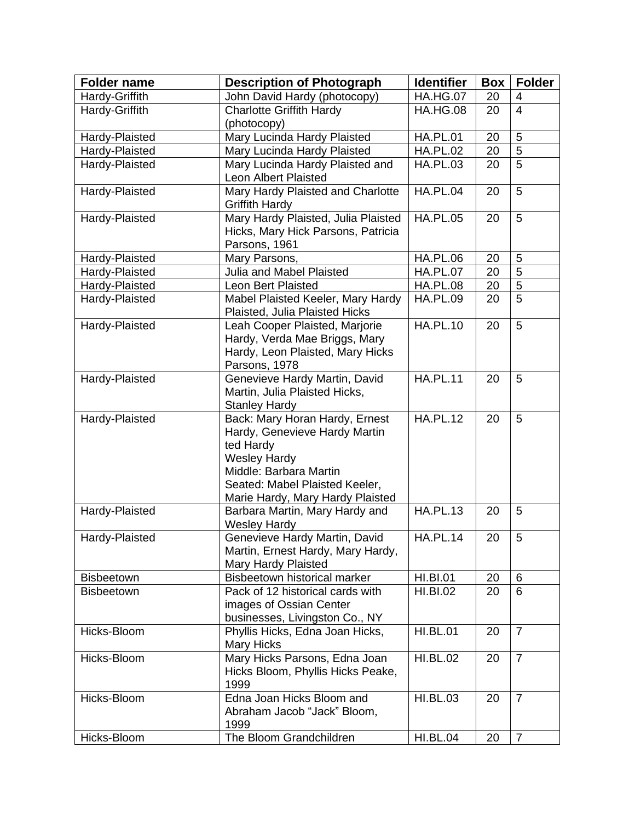| <b>Folder name</b> | <b>Description of Photograph</b>                                                                                                                                                                    | <b>Identifier</b> | Box | <b>Folder</b>  |
|--------------------|-----------------------------------------------------------------------------------------------------------------------------------------------------------------------------------------------------|-------------------|-----|----------------|
| Hardy-Griffith     | John David Hardy (photocopy)                                                                                                                                                                        | <b>HA.HG.07</b>   | 20  | 4              |
| Hardy-Griffith     | <b>Charlotte Griffith Hardy</b><br>(photocopy)                                                                                                                                                      | <b>HA.HG.08</b>   | 20  | $\overline{4}$ |
| Hardy-Plaisted     | Mary Lucinda Hardy Plaisted                                                                                                                                                                         | <b>HA.PL.01</b>   | 20  | 5              |
| Hardy-Plaisted     | Mary Lucinda Hardy Plaisted                                                                                                                                                                         | <b>HA.PL.02</b>   | 20  | $\overline{5}$ |
| Hardy-Plaisted     | Mary Lucinda Hardy Plaisted and<br>Leon Albert Plaisted                                                                                                                                             | <b>HA.PL.03</b>   | 20  | $\overline{5}$ |
| Hardy-Plaisted     | Mary Hardy Plaisted and Charlotte<br><b>Griffith Hardy</b>                                                                                                                                          | <b>HA.PL.04</b>   | 20  | 5              |
| Hardy-Plaisted     | Mary Hardy Plaisted, Julia Plaisted<br>Hicks, Mary Hick Parsons, Patricia<br>Parsons, 1961                                                                                                          | <b>HA.PL.05</b>   | 20  | 5              |
| Hardy-Plaisted     | Mary Parsons,                                                                                                                                                                                       | <b>HA.PL.06</b>   | 20  | 5              |
| Hardy-Plaisted     | Julia and Mabel Plaisted                                                                                                                                                                            | <b>HA.PL.07</b>   | 20  | 5              |
| Hardy-Plaisted     | <b>Leon Bert Plaisted</b>                                                                                                                                                                           | <b>HA.PL.08</b>   | 20  | $\overline{5}$ |
| Hardy-Plaisted     | Mabel Plaisted Keeler, Mary Hardy<br>Plaisted, Julia Plaisted Hicks                                                                                                                                 | <b>HA.PL.09</b>   | 20  | $\overline{5}$ |
| Hardy-Plaisted     | Leah Cooper Plaisted, Marjorie<br>Hardy, Verda Mae Briggs, Mary<br>Hardy, Leon Plaisted, Mary Hicks<br>Parsons, 1978                                                                                | <b>HA.PL.10</b>   | 20  | 5              |
| Hardy-Plaisted     | Genevieve Hardy Martin, David<br>Martin, Julia Plaisted Hicks,<br><b>Stanley Hardy</b>                                                                                                              | <b>HA.PL.11</b>   | 20  | 5              |
| Hardy-Plaisted     | Back: Mary Horan Hardy, Ernest<br>Hardy, Genevieve Hardy Martin<br>ted Hardy<br><b>Wesley Hardy</b><br>Middle: Barbara Martin<br>Seated: Mabel Plaisted Keeler,<br>Marie Hardy, Mary Hardy Plaisted | <b>HA.PL.12</b>   | 20  | 5              |
| Hardy-Plaisted     | Barbara Martin, Mary Hardy and<br><b>Wesley Hardy</b>                                                                                                                                               | <b>HA.PL.13</b>   | 20  | 5              |
| Hardy-Plaisted     | Genevieve Hardy Martin, David<br>Martin, Ernest Hardy, Mary Hardy,<br><b>Mary Hardy Plaisted</b>                                                                                                    | <b>HA.PL.14</b>   | 20  | 5              |
| <b>Bisbeetown</b>  | Bisbeetown historical marker                                                                                                                                                                        | <b>HI.BI.01</b>   | 20  | $6\phantom{1}$ |
| <b>Bisbeetown</b>  | Pack of 12 historical cards with<br>images of Ossian Center<br>businesses, Livingston Co., NY                                                                                                       | <b>HI.BI.02</b>   | 20  | 6              |
| Hicks-Bloom        | Phyllis Hicks, Edna Joan Hicks,<br><b>Mary Hicks</b>                                                                                                                                                | <b>HI.BL.01</b>   | 20  | $\overline{7}$ |
| Hicks-Bloom        | Mary Hicks Parsons, Edna Joan<br>Hicks Bloom, Phyllis Hicks Peake,<br>1999                                                                                                                          | <b>HI.BL.02</b>   | 20  | $\overline{7}$ |
| Hicks-Bloom        | Edna Joan Hicks Bloom and<br>Abraham Jacob "Jack" Bloom,<br>1999                                                                                                                                    | <b>HI.BL.03</b>   | 20  | $\overline{7}$ |
| Hicks-Bloom        | The Bloom Grandchildren                                                                                                                                                                             | <b>HI.BL.04</b>   | 20  | $\overline{7}$ |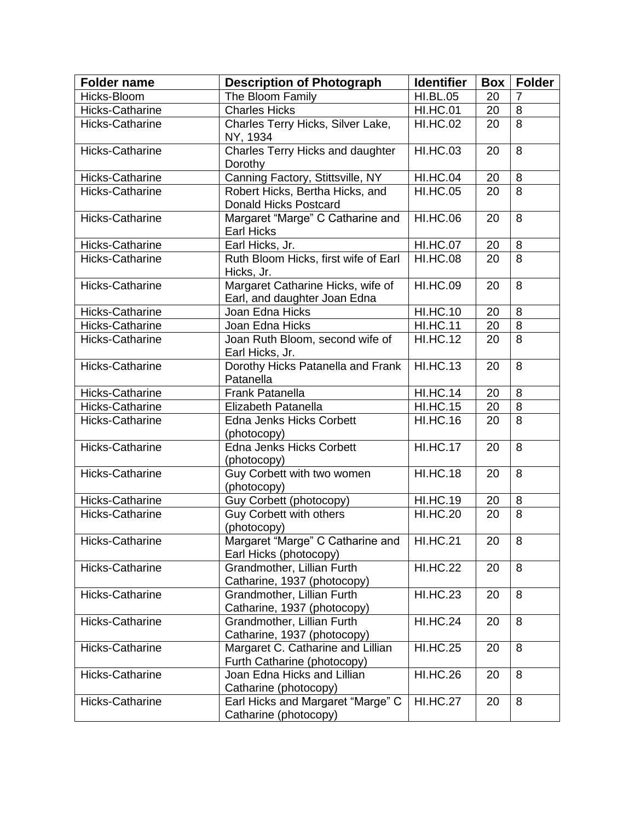| <b>Folder name</b>     | <b>Description of Photograph</b>                                      | <b>Identifier</b>     | <b>Box</b> | <b>Folder</b>  |
|------------------------|-----------------------------------------------------------------------|-----------------------|------------|----------------|
| Hicks-Bloom            | The Bloom Family                                                      | <b>HI.BL.05</b>       | 20         | $\overline{7}$ |
| Hicks-Catharine        | <b>Charles Hicks</b>                                                  | <b>HI.HC.01</b>       | 20         | 8              |
| <b>Hicks-Catharine</b> | Charles Terry Hicks, Silver Lake,<br>NY, 1934                         | <b>HI.HC.02</b>       | 20         | $\overline{8}$ |
| <b>Hicks-Catharine</b> | Charles Terry Hicks and daughter<br>Dorothy                           | <b>HI.HC.03</b>       | 20         | 8              |
| Hicks-Catharine        | Canning Factory, Stittsville, NY                                      | <b>HI.HC.04</b>       | 20         | 8              |
| <b>Hicks-Catharine</b> | Robert Hicks, Bertha Hicks, and<br>Donald Hicks Postcard              | <b>HI.HC.05</b>       | 20         | 8              |
| <b>Hicks-Catharine</b> | Margaret "Marge" C Catharine and<br><b>Earl Hicks</b>                 | <b>HI.HC.06</b>       | 20         | 8              |
| Hicks-Catharine        | Earl Hicks, Jr.                                                       | <b>HI.HC.07</b>       | 20         | 8              |
| Hicks-Catharine        | Ruth Bloom Hicks, first wife of Earl<br>Hicks, Jr.                    | <b>HI.HC.08</b>       | 20         | 8              |
| Hicks-Catharine        | Margaret Catharine Hicks, wife of<br>Earl, and daughter Joan Edna     | <b>HI.HC.09</b>       | 20         | 8              |
| Hicks-Catharine        | Joan Edna Hicks                                                       | <b>HI.HC.10</b>       | 20         | 8              |
| Hicks-Catharine        | Joan Edna Hicks                                                       | <b>HI.HC.11</b>       | 20         | 8              |
| Hicks-Catharine        | Joan Ruth Bloom, second wife of<br>Earl Hicks, Jr.                    | $\overline{H}$ .HC.12 | 20         | 8              |
| <b>Hicks-Catharine</b> | Dorothy Hicks Patanella and Frank<br>Patanella                        | <b>HI.HC.13</b>       | 20         | 8              |
| <b>Hicks-Catharine</b> | <b>Frank Patanella</b>                                                | <b>HI.HC.14</b>       | 20         | 8              |
| Hicks-Catharine        | Elizabeth Patanella                                                   | <b>HI.HC.15</b>       | 20         | 8              |
| Hicks-Catharine        | <b>Edna Jenks Hicks Corbett</b><br>(photocopy)                        | <b>HI.HC.16</b>       | 20         | 8              |
| Hicks-Catharine        | <b>Edna Jenks Hicks Corbett</b><br>(photocopy)                        | <b>HI.HC.17</b>       | 20         | 8              |
| Hicks-Catharine        | Guy Corbett with two women<br>(photocopy)                             | <b>HI.HC.18</b>       | 20         | 8              |
| Hicks-Catharine        | Guy Corbett (photocopy)                                               | <b>HI.HC.19</b>       | 20         | 8              |
| Hicks-Catharine        | <b>Guy Corbett with others</b><br>(photocopy)                         | <b>HI.HC.20</b>       | 20         | 8              |
| Hicks-Catharine        | Margaret "Marge" C Catharine and   HI.HC.21<br>Earl Hicks (photocopy) |                       | 20         | 8              |
| Hicks-Catharine        | Grandmother, Lillian Furth<br>Catharine, 1937 (photocopy)             | <b>HI.HC.22</b>       | 20         | 8              |
| <b>Hicks-Catharine</b> | Grandmother, Lillian Furth<br>Catharine, 1937 (photocopy)             | <b>HI.HC.23</b>       | 20         | 8              |
| <b>Hicks-Catharine</b> | Grandmother, Lillian Furth<br>Catharine, 1937 (photocopy)             | <b>HI.HC.24</b>       | 20         | 8              |
| <b>Hicks-Catharine</b> | Margaret C. Catharine and Lillian<br>Furth Catharine (photocopy)      | <b>HI.HC.25</b>       | 20         | 8              |
| <b>Hicks-Catharine</b> | Joan Edna Hicks and Lillian<br>Catharine (photocopy)                  | <b>HI.HC.26</b>       | 20         | 8              |
| Hicks-Catharine        | Earl Hicks and Margaret "Marge" C<br>Catharine (photocopy)            | <b>HI.HC.27</b>       | 20         | 8              |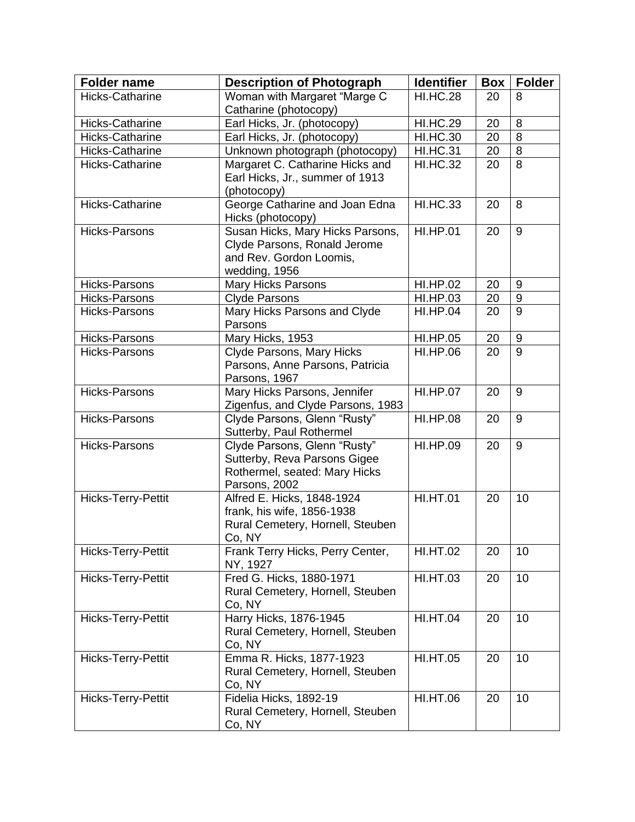| <b>Folder name</b>     | <b>Description of Photograph</b>            | <b>Identifier</b> | <b>Box</b> | <b>Folder</b>    |
|------------------------|---------------------------------------------|-------------------|------------|------------------|
| Hicks-Catharine        | Woman with Margaret "Marge C                | <b>HI.HC.28</b>   | 20         | 8                |
|                        | Catharine (photocopy)                       |                   |            |                  |
| Hicks-Catharine        | Earl Hicks, Jr. (photocopy)                 | <b>HI.HC.29</b>   | 20         | 8                |
| <b>Hicks-Catharine</b> | Earl Hicks, Jr. (photocopy)                 | <b>HI.HC.30</b>   | 20         | 8                |
| Hicks-Catharine        | Unknown photograph (photocopy)              | <b>HI.HC.31</b>   | 20         | 8                |
| <b>Hicks-Catharine</b> | Margaret C. Catharine Hicks and             | <b>HI.HC.32</b>   | 20         | 8                |
|                        | Earl Hicks, Jr., summer of 1913             |                   |            |                  |
|                        | (photocopy)                                 |                   |            |                  |
| <b>Hicks-Catharine</b> | George Catharine and Joan Edna              | <b>HI.HC.33</b>   | 20         | 8                |
|                        | Hicks (photocopy)                           |                   |            |                  |
| <b>Hicks-Parsons</b>   | Susan Hicks, Mary Hicks Parsons,            | <b>HI.HP.01</b>   | 20         | 9                |
|                        | Clyde Parsons, Ronald Jerome                |                   |            |                  |
|                        | and Rev. Gordon Loomis,                     |                   |            |                  |
|                        | wedding, 1956                               | <b>HI.HP.02</b>   |            |                  |
| <b>Hicks-Parsons</b>   | <b>Mary Hicks Parsons</b>                   |                   | 20         | 9                |
| Hicks-Parsons          | <b>Clyde Parsons</b>                        | <b>HI.HP.03</b>   | 20         | $\boldsymbol{9}$ |
| <b>Hicks-Parsons</b>   | Mary Hicks Parsons and Clyde<br>Parsons     | <b>HI.HP.04</b>   | 20         | 9                |
| <b>Hicks-Parsons</b>   | Mary Hicks, 1953                            | <b>HI.HP.05</b>   | 20         | 9                |
| <b>Hicks-Parsons</b>   | Clyde Parsons, Mary Hicks                   | <b>HI.HP.06</b>   | 20         | 9                |
|                        | Parsons, Anne Parsons, Patricia             |                   |            |                  |
|                        | Parsons, 1967                               |                   |            |                  |
| <b>Hicks-Parsons</b>   | Mary Hicks Parsons, Jennifer                | <b>HI.HP.07</b>   | 20         | 9                |
|                        | Zigenfus, and Clyde Parsons, 1983           |                   |            |                  |
| <b>Hicks-Parsons</b>   | Clyde Parsons, Glenn "Rusty"                | <b>HI.HP.08</b>   | 20         | 9                |
|                        | Sutterby, Paul Rothermel                    |                   |            |                  |
| <b>Hicks-Parsons</b>   | Clyde Parsons, Glenn "Rusty"                | <b>HI.HP.09</b>   | 20         | 9                |
|                        | Sutterby, Reva Parsons Gigee                |                   |            |                  |
|                        | Rothermel, seated: Mary Hicks               |                   |            |                  |
| Hicks-Terry-Pettit     | Parsons, 2002<br>Alfred E. Hicks, 1848-1924 | <b>HI.HT.01</b>   | 20         | 10               |
|                        | frank, his wife, 1856-1938                  |                   |            |                  |
|                        | Rural Cemetery, Hornell, Steuben            |                   |            |                  |
|                        | Co, NY                                      |                   |            |                  |
| Hicks-Terry-Pettit     | Frank Terry Hicks, Perry Center,            | <b>HI.HT.02</b>   | 20         | 10               |
|                        | NY, 1927                                    |                   |            |                  |
| Hicks-Terry-Pettit     | Fred G. Hicks, 1880-1971                    | <b>HI.HT.03</b>   | 20         | 10               |
|                        | Rural Cemetery, Hornell, Steuben            |                   |            |                  |
|                        | Co, NY                                      |                   |            |                  |
| Hicks-Terry-Pettit     | Harry Hicks, 1876-1945                      | <b>HI.HT.04</b>   | 20         | 10               |
|                        | Rural Cemetery, Hornell, Steuben            |                   |            |                  |
|                        | Co, NY                                      |                   |            |                  |
| Hicks-Terry-Pettit     | Emma R. Hicks, 1877-1923                    | <b>HI.HT.05</b>   | 20         | 10               |
|                        | Rural Cemetery, Hornell, Steuben            |                   |            |                  |
|                        | Co, NY                                      |                   |            |                  |
| Hicks-Terry-Pettit     | Fidelia Hicks, 1892-19                      | <b>HI.HT.06</b>   | 20         | 10               |
|                        | Rural Cemetery, Hornell, Steuben            |                   |            |                  |
|                        | Co, NY                                      |                   |            |                  |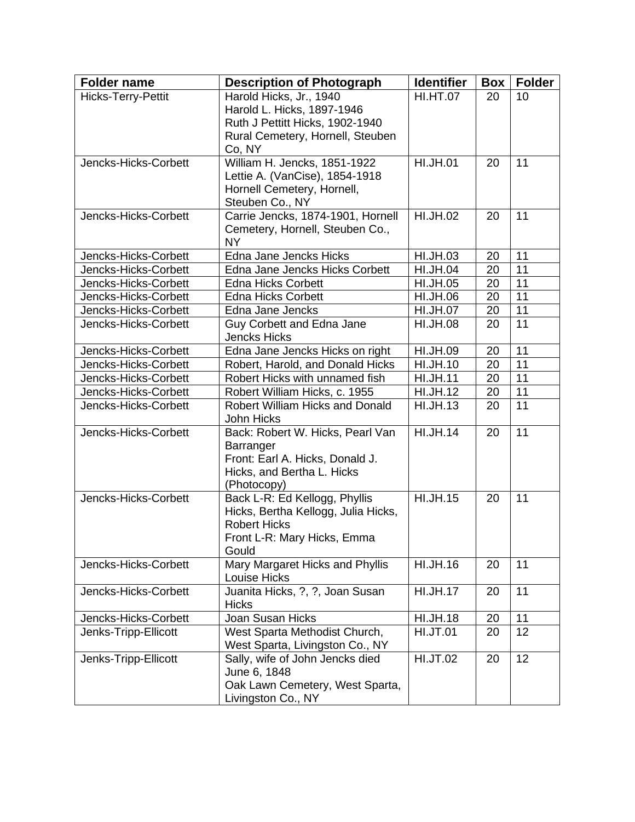| <b>Folder name</b>   | <b>Description of Photograph</b>                                 | <b>Identifier</b> | <b>Box</b> | <b>Folder</b> |
|----------------------|------------------------------------------------------------------|-------------------|------------|---------------|
| Hicks-Terry-Pettit   | Harold Hicks, Jr., 1940                                          | <b>HI.HT.07</b>   | 20         | 10            |
|                      | Harold L. Hicks, 1897-1946                                       |                   |            |               |
|                      | Ruth J Pettitt Hicks, 1902-1940                                  |                   |            |               |
|                      | Rural Cemetery, Hornell, Steuben                                 |                   |            |               |
|                      | Co, NY                                                           |                   |            |               |
| Jencks-Hicks-Corbett | William H. Jencks, 1851-1922                                     | <b>HI.JH.01</b>   | 20         | 11            |
|                      | Lettie A. (VanCise), 1854-1918<br>Hornell Cemetery, Hornell,     |                   |            |               |
|                      | Steuben Co., NY                                                  |                   |            |               |
| Jencks-Hicks-Corbett | Carrie Jencks, 1874-1901, Hornell                                | <b>HI.JH.02</b>   | 20         | 11            |
|                      | Cemetery, Hornell, Steuben Co.,                                  |                   |            |               |
|                      | NY.                                                              |                   |            |               |
| Jencks-Hicks-Corbett | Edna Jane Jencks Hicks                                           | <b>HI.JH.03</b>   | 20         | 11            |
| Jencks-Hicks-Corbett | Edna Jane Jencks Hicks Corbett                                   | <b>HI.JH.04</b>   | 20         | 11            |
| Jencks-Hicks-Corbett | <b>Edna Hicks Corbett</b>                                        | <b>HI.JH.05</b>   | 20         | 11            |
| Jencks-Hicks-Corbett | <b>Edna Hicks Corbett</b>                                        | HI.JH.06          | 20         | 11            |
| Jencks-Hicks-Corbett | Edna Jane Jencks                                                 | <b>HI.JH.07</b>   | 20         | 11            |
| Jencks-Hicks-Corbett | Guy Corbett and Edna Jane                                        | <b>HI.JH.08</b>   | 20         | 11            |
|                      | <b>Jencks Hicks</b>                                              |                   |            |               |
| Jencks-Hicks-Corbett | Edna Jane Jencks Hicks on right                                  | <b>HI.JH.09</b>   | 20         | 11            |
| Jencks-Hicks-Corbett | Robert, Harold, and Donald Hicks                                 | <b>HI.JH.10</b>   | 20         | 11            |
| Jencks-Hicks-Corbett | Robert Hicks with unnamed fish                                   | <b>HI.JH.11</b>   | 20         | 11            |
| Jencks-Hicks-Corbett | Robert William Hicks, c. 1955                                    | <b>HI.JH.12</b>   | 20         | 11            |
| Jencks-Hicks-Corbett | <b>Robert William Hicks and Donald</b><br>John Hicks             | <b>HI.JH.13</b>   | 20         | 11            |
| Jencks-Hicks-Corbett | Back: Robert W. Hicks, Pearl Van                                 | <b>HI.JH.14</b>   | 20         | 11            |
|                      | Barranger                                                        |                   |            |               |
|                      | Front: Earl A. Hicks, Donald J.                                  |                   |            |               |
|                      | Hicks, and Bertha L. Hicks                                       |                   |            |               |
| Jencks-Hicks-Corbett | (Photocopy)<br>Back L-R: Ed Kellogg, Phyllis                     | <b>HI.JH.15</b>   | 20         | 11            |
|                      | Hicks, Bertha Kellogg, Julia Hicks,                              |                   |            |               |
|                      | <b>Robert Hicks</b>                                              |                   |            |               |
|                      | Front L-R: Mary Hicks, Emma                                      |                   |            |               |
|                      | Gould                                                            |                   |            |               |
| Jencks-Hicks-Corbett | Mary Margaret Hicks and Phyllis                                  | <b>HI.JH.16</b>   | 20         | 11            |
|                      | Louise Hicks                                                     |                   |            |               |
| Jencks-Hicks-Corbett | Juanita Hicks, ?, ?, Joan Susan                                  | <b>HI.JH.17</b>   | 20         | 11            |
|                      | <b>Hicks</b>                                                     |                   |            |               |
| Jencks-Hicks-Corbett | Joan Susan Hicks                                                 | <b>HI.JH.18</b>   | 20         | 11            |
| Jenks-Tripp-Ellicott | West Sparta Methodist Church,<br>West Sparta, Livingston Co., NY | <b>HI.JT.01</b>   | 20         | 12            |
| Jenks-Tripp-Ellicott | Sally, wife of John Jencks died                                  | <b>HI.JT.02</b>   | 20         | 12            |
|                      | June 6, 1848                                                     |                   |            |               |
|                      | Oak Lawn Cemetery, West Sparta,                                  |                   |            |               |
|                      | Livingston Co., NY                                               |                   |            |               |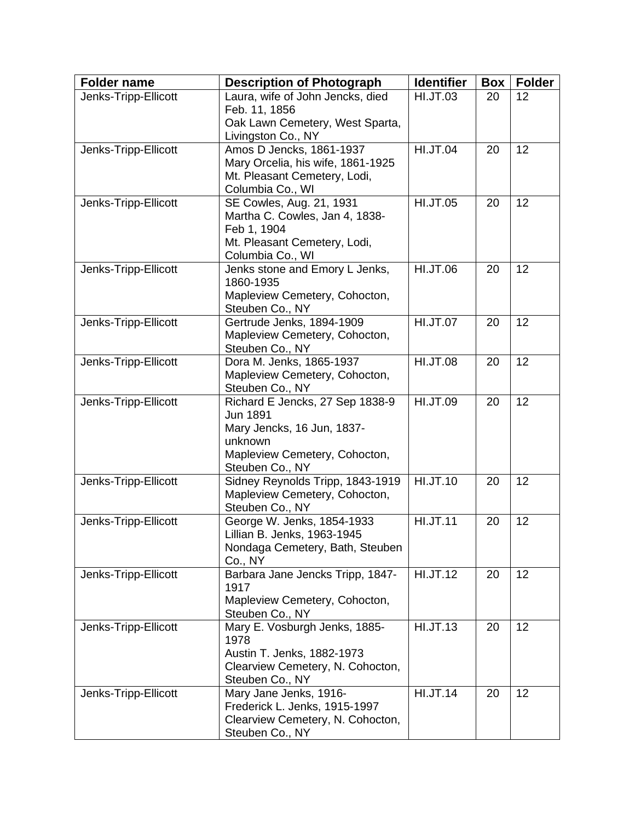| <b>Folder name</b>                           | <b>Description of Photograph</b>                                                                                                                                                                                              | <b>Identifier</b>                                     | Box      | <b>Folder</b> |
|----------------------------------------------|-------------------------------------------------------------------------------------------------------------------------------------------------------------------------------------------------------------------------------|-------------------------------------------------------|----------|---------------|
| Jenks-Tripp-Ellicott                         | Laura, wife of John Jencks, died                                                                                                                                                                                              | <b>HI.JT.03</b>                                       | 20       | 12            |
|                                              | Feb. 11, 1856<br>Oak Lawn Cemetery, West Sparta,                                                                                                                                                                              |                                                       |          |               |
|                                              | Livingston Co., NY                                                                                                                                                                                                            |                                                       |          |               |
| Jenks-Tripp-Ellicott                         | Amos D Jencks, 1861-1937                                                                                                                                                                                                      | <b>HI.JT.04</b>                                       | 20       | 12            |
|                                              | Mary Orcelia, his wife, 1861-1925                                                                                                                                                                                             |                                                       |          |               |
|                                              | Mt. Pleasant Cemetery, Lodi,                                                                                                                                                                                                  |                                                       |          |               |
| Jenks-Tripp-Ellicott                         | Columbia Co., WI<br>SE Cowles, Aug. 21, 1931                                                                                                                                                                                  | <b>HI.JT.05</b>                                       | 20       | 12            |
|                                              | Martha C. Cowles, Jan 4, 1838-                                                                                                                                                                                                |                                                       |          |               |
|                                              | Feb 1, 1904                                                                                                                                                                                                                   |                                                       |          |               |
|                                              | Mt. Pleasant Cemetery, Lodi,                                                                                                                                                                                                  |                                                       |          |               |
|                                              | Columbia Co., WI                                                                                                                                                                                                              |                                                       |          |               |
| Jenks-Tripp-Ellicott                         | Jenks stone and Emory L Jenks,<br>1860-1935                                                                                                                                                                                   | <b>HI.JT.06</b>                                       | 20       | 12            |
|                                              | Mapleview Cemetery, Cohocton,                                                                                                                                                                                                 |                                                       |          |               |
|                                              | Steuben Co., NY                                                                                                                                                                                                               |                                                       |          |               |
| Jenks-Tripp-Ellicott                         | Gertrude Jenks, 1894-1909<br>Mapleview Cemetery, Cohocton,                                                                                                                                                                    | <b>HI.JT.07</b>                                       | 20       | 12            |
|                                              | Steuben Co., NY                                                                                                                                                                                                               |                                                       |          |               |
| Jenks-Tripp-Ellicott                         | Dora M. Jenks, 1865-1937                                                                                                                                                                                                      | <b>HI.JT.08</b>                                       | 20       | 12            |
|                                              | Mapleview Cemetery, Cohocton,                                                                                                                                                                                                 |                                                       |          |               |
|                                              | Steuben Co., NY                                                                                                                                                                                                               |                                                       |          |               |
| Jenks-Tripp-Ellicott                         | Richard E Jencks, 27 Sep 1838-9<br><b>Jun 1891</b>                                                                                                                                                                            | <b>HI.JT.09</b>                                       | 20       | 12            |
|                                              | Mary Jencks, 16 Jun, 1837-                                                                                                                                                                                                    |                                                       |          |               |
|                                              | unknown                                                                                                                                                                                                                       |                                                       |          |               |
|                                              | Mapleview Cemetery, Cohocton,                                                                                                                                                                                                 |                                                       |          |               |
|                                              | Steuben Co., NY                                                                                                                                                                                                               |                                                       |          |               |
| Jenks-Tripp-Ellicott                         | Sidney Reynolds Tripp, 1843-1919<br>Mapleview Cemetery, Cohocton,                                                                                                                                                             | <b>HI.JT.10</b>                                       | 20       | 12            |
|                                              | Steuben Co., NY                                                                                                                                                                                                               |                                                       |          |               |
| Jenks-Tripp-Ellicott                         | George W. Jenks, 1854-1933                                                                                                                                                                                                    | <b>HI.JT.11</b>                                       | 20       | 12            |
|                                              | Lillian B. Jenks, 1963-1945                                                                                                                                                                                                   |                                                       |          |               |
|                                              | Nondaga Cemetery, Bath, Steuben                                                                                                                                                                                               |                                                       |          |               |
|                                              |                                                                                                                                                                                                                               |                                                       |          |               |
|                                              | 1917                                                                                                                                                                                                                          |                                                       |          |               |
|                                              | Mapleview Cemetery, Cohocton,                                                                                                                                                                                                 |                                                       |          |               |
|                                              |                                                                                                                                                                                                                               |                                                       |          |               |
|                                              |                                                                                                                                                                                                                               |                                                       |          |               |
|                                              |                                                                                                                                                                                                                               |                                                       |          |               |
|                                              | Clearview Cemetery, N. Cohocton,                                                                                                                                                                                              |                                                       |          |               |
|                                              | Steuben Co., NY                                                                                                                                                                                                               |                                                       |          |               |
| Jenks-Tripp-Ellicott                         | Mary Jane Jenks, 1916-                                                                                                                                                                                                        |                                                       | 20       | 12            |
|                                              |                                                                                                                                                                                                                               |                                                       |          |               |
|                                              |                                                                                                                                                                                                                               |                                                       |          |               |
| Jenks-Tripp-Ellicott<br>Jenks-Tripp-Ellicott | Co., NY<br>Barbara Jane Jencks Tripp, 1847-<br>Steuben Co., NY<br>Mary E. Vosburgh Jenks, 1885-<br>1978<br>Austin T. Jenks, 1882-1973<br>Frederick L. Jenks, 1915-1997<br>Clearview Cemetery, N. Cohocton,<br>Steuben Co., NY | <b>HI.JT.12</b><br><b>HI.JT.13</b><br><b>HI.JT.14</b> | 20<br>20 | 12<br>12      |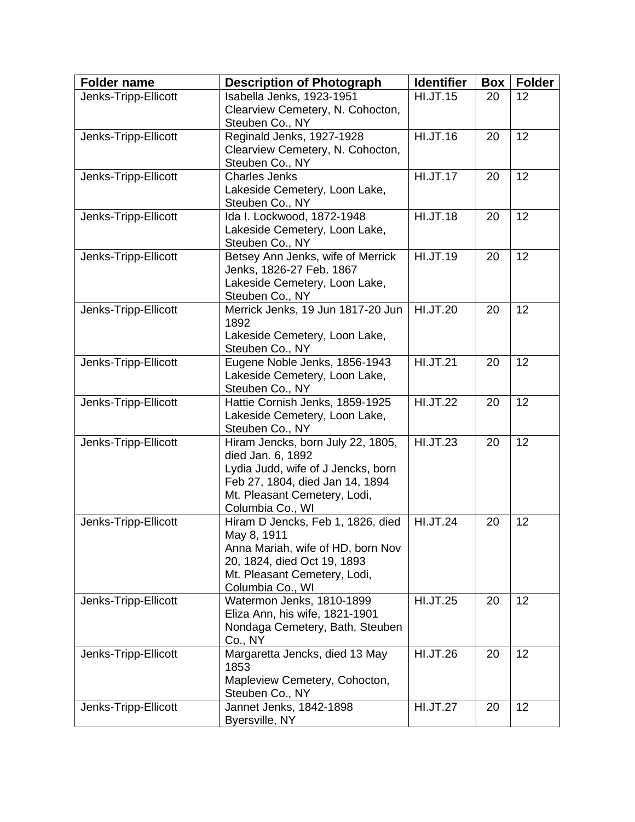| Jenks-Tripp-Ellicott<br>12<br>20<br>Clearview Cemetery, N. Cohocton,<br>Steuben Co., NY<br><b>HI.JT.16</b><br>12<br>Reginald Jenks, 1927-1928<br>Jenks-Tripp-Ellicott<br>20<br>Clearview Cemetery, N. Cohocton,<br>Steuben Co., NY<br><b>HI.JT.17</b><br>12<br>Jenks-Tripp-Ellicott<br><b>Charles Jenks</b><br>20<br>Lakeside Cemetery, Loon Lake,<br>Steuben Co., NY<br><b>HI.JT.18</b><br>Ida I. Lockwood, 1872-1948<br>12<br>Jenks-Tripp-Ellicott<br>20<br>Lakeside Cemetery, Loon Lake,<br>Steuben Co., NY<br><b>HI.JT.19</b><br>12<br>Betsey Ann Jenks, wife of Merrick<br>Jenks-Tripp-Ellicott<br>20<br>Jenks, 1826-27 Feb. 1867<br>Lakeside Cemetery, Loon Lake,<br>Steuben Co., NY<br><b>HI.JT.20</b><br>12<br>Jenks-Tripp-Ellicott<br>Merrick Jenks, 19 Jun 1817-20 Jun<br>20<br>1892<br>Lakeside Cemetery, Loon Lake,<br>Steuben Co., NY<br>Eugene Noble Jenks, 1856-1943<br><b>HI.JT.21</b><br>12<br>Jenks-Tripp-Ellicott<br>20<br>Lakeside Cemetery, Loon Lake,<br>Steuben Co., NY<br><b>HI.JT.22</b><br>Hattie Cornish Jenks, 1859-1925<br>12<br>Jenks-Tripp-Ellicott<br>20<br>Lakeside Cemetery, Loon Lake,<br>Steuben Co., NY<br><b>HI.JT.23</b><br>12<br>Jenks-Tripp-Ellicott<br>Hiram Jencks, born July 22, 1805,<br>20<br>died Jan. 6, 1892<br>Lydia Judd, wife of J Jencks, born<br>Feb 27, 1804, died Jan 14, 1894<br>Mt. Pleasant Cemetery, Lodi,<br>Columbia Co., WI<br><b>HI.JT.24</b><br>12<br>Jenks-Tripp-Ellicott<br>Hiram D Jencks, Feb 1, 1826, died<br>20<br>May 8, 1911<br>Anna Mariah, wife of HD, born Nov<br>20, 1824, died Oct 19, 1893<br>Mt. Pleasant Cemetery, Lodi,<br>Columbia Co., WI<br>Watermon Jenks, 1810-1899<br><b>HI.JT.25</b><br>12<br>Jenks-Tripp-Ellicott<br>20<br>Eliza Ann, his wife, 1821-1901<br>Nondaga Cemetery, Bath, Steuben<br>Co., NY<br>Margaretta Jencks, died 13 May<br><b>HI.JT.26</b><br>Jenks-Tripp-Ellicott<br>20<br>12<br>1853<br>Mapleview Cemetery, Cohocton,<br>Steuben Co., NY | <b>Folder name</b>   | <b>Description of Photograph</b> | <b>Identifier</b> | <b>Box</b> | <b>Folder</b> |
|--------------------------------------------------------------------------------------------------------------------------------------------------------------------------------------------------------------------------------------------------------------------------------------------------------------------------------------------------------------------------------------------------------------------------------------------------------------------------------------------------------------------------------------------------------------------------------------------------------------------------------------------------------------------------------------------------------------------------------------------------------------------------------------------------------------------------------------------------------------------------------------------------------------------------------------------------------------------------------------------------------------------------------------------------------------------------------------------------------------------------------------------------------------------------------------------------------------------------------------------------------------------------------------------------------------------------------------------------------------------------------------------------------------------------------------------------------------------------------------------------------------------------------------------------------------------------------------------------------------------------------------------------------------------------------------------------------------------------------------------------------------------------------------------------------------------------------------------------------------------------------------------------------------------------------------------------------|----------------------|----------------------------------|-------------------|------------|---------------|
|                                                                                                                                                                                                                                                                                                                                                                                                                                                                                                                                                                                                                                                                                                                                                                                                                                                                                                                                                                                                                                                                                                                                                                                                                                                                                                                                                                                                                                                                                                                                                                                                                                                                                                                                                                                                                                                                                                                                                        |                      | Isabella Jenks, 1923-1951        | <b>HI.JT.15</b>   |            |               |
|                                                                                                                                                                                                                                                                                                                                                                                                                                                                                                                                                                                                                                                                                                                                                                                                                                                                                                                                                                                                                                                                                                                                                                                                                                                                                                                                                                                                                                                                                                                                                                                                                                                                                                                                                                                                                                                                                                                                                        |                      |                                  |                   |            |               |
|                                                                                                                                                                                                                                                                                                                                                                                                                                                                                                                                                                                                                                                                                                                                                                                                                                                                                                                                                                                                                                                                                                                                                                                                                                                                                                                                                                                                                                                                                                                                                                                                                                                                                                                                                                                                                                                                                                                                                        |                      |                                  |                   |            |               |
|                                                                                                                                                                                                                                                                                                                                                                                                                                                                                                                                                                                                                                                                                                                                                                                                                                                                                                                                                                                                                                                                                                                                                                                                                                                                                                                                                                                                                                                                                                                                                                                                                                                                                                                                                                                                                                                                                                                                                        |                      |                                  |                   |            |               |
|                                                                                                                                                                                                                                                                                                                                                                                                                                                                                                                                                                                                                                                                                                                                                                                                                                                                                                                                                                                                                                                                                                                                                                                                                                                                                                                                                                                                                                                                                                                                                                                                                                                                                                                                                                                                                                                                                                                                                        |                      |                                  |                   |            |               |
|                                                                                                                                                                                                                                                                                                                                                                                                                                                                                                                                                                                                                                                                                                                                                                                                                                                                                                                                                                                                                                                                                                                                                                                                                                                                                                                                                                                                                                                                                                                                                                                                                                                                                                                                                                                                                                                                                                                                                        |                      |                                  |                   |            |               |
|                                                                                                                                                                                                                                                                                                                                                                                                                                                                                                                                                                                                                                                                                                                                                                                                                                                                                                                                                                                                                                                                                                                                                                                                                                                                                                                                                                                                                                                                                                                                                                                                                                                                                                                                                                                                                                                                                                                                                        |                      |                                  |                   |            |               |
|                                                                                                                                                                                                                                                                                                                                                                                                                                                                                                                                                                                                                                                                                                                                                                                                                                                                                                                                                                                                                                                                                                                                                                                                                                                                                                                                                                                                                                                                                                                                                                                                                                                                                                                                                                                                                                                                                                                                                        |                      |                                  |                   |            |               |
|                                                                                                                                                                                                                                                                                                                                                                                                                                                                                                                                                                                                                                                                                                                                                                                                                                                                                                                                                                                                                                                                                                                                                                                                                                                                                                                                                                                                                                                                                                                                                                                                                                                                                                                                                                                                                                                                                                                                                        |                      |                                  |                   |            |               |
|                                                                                                                                                                                                                                                                                                                                                                                                                                                                                                                                                                                                                                                                                                                                                                                                                                                                                                                                                                                                                                                                                                                                                                                                                                                                                                                                                                                                                                                                                                                                                                                                                                                                                                                                                                                                                                                                                                                                                        |                      |                                  |                   |            |               |
|                                                                                                                                                                                                                                                                                                                                                                                                                                                                                                                                                                                                                                                                                                                                                                                                                                                                                                                                                                                                                                                                                                                                                                                                                                                                                                                                                                                                                                                                                                                                                                                                                                                                                                                                                                                                                                                                                                                                                        |                      |                                  |                   |            |               |
|                                                                                                                                                                                                                                                                                                                                                                                                                                                                                                                                                                                                                                                                                                                                                                                                                                                                                                                                                                                                                                                                                                                                                                                                                                                                                                                                                                                                                                                                                                                                                                                                                                                                                                                                                                                                                                                                                                                                                        |                      |                                  |                   |            |               |
|                                                                                                                                                                                                                                                                                                                                                                                                                                                                                                                                                                                                                                                                                                                                                                                                                                                                                                                                                                                                                                                                                                                                                                                                                                                                                                                                                                                                                                                                                                                                                                                                                                                                                                                                                                                                                                                                                                                                                        |                      |                                  |                   |            |               |
|                                                                                                                                                                                                                                                                                                                                                                                                                                                                                                                                                                                                                                                                                                                                                                                                                                                                                                                                                                                                                                                                                                                                                                                                                                                                                                                                                                                                                                                                                                                                                                                                                                                                                                                                                                                                                                                                                                                                                        |                      |                                  |                   |            |               |
|                                                                                                                                                                                                                                                                                                                                                                                                                                                                                                                                                                                                                                                                                                                                                                                                                                                                                                                                                                                                                                                                                                                                                                                                                                                                                                                                                                                                                                                                                                                                                                                                                                                                                                                                                                                                                                                                                                                                                        |                      |                                  |                   |            |               |
|                                                                                                                                                                                                                                                                                                                                                                                                                                                                                                                                                                                                                                                                                                                                                                                                                                                                                                                                                                                                                                                                                                                                                                                                                                                                                                                                                                                                                                                                                                                                                                                                                                                                                                                                                                                                                                                                                                                                                        |                      |                                  |                   |            |               |
|                                                                                                                                                                                                                                                                                                                                                                                                                                                                                                                                                                                                                                                                                                                                                                                                                                                                                                                                                                                                                                                                                                                                                                                                                                                                                                                                                                                                                                                                                                                                                                                                                                                                                                                                                                                                                                                                                                                                                        |                      |                                  |                   |            |               |
|                                                                                                                                                                                                                                                                                                                                                                                                                                                                                                                                                                                                                                                                                                                                                                                                                                                                                                                                                                                                                                                                                                                                                                                                                                                                                                                                                                                                                                                                                                                                                                                                                                                                                                                                                                                                                                                                                                                                                        |                      |                                  |                   |            |               |
|                                                                                                                                                                                                                                                                                                                                                                                                                                                                                                                                                                                                                                                                                                                                                                                                                                                                                                                                                                                                                                                                                                                                                                                                                                                                                                                                                                                                                                                                                                                                                                                                                                                                                                                                                                                                                                                                                                                                                        |                      |                                  |                   |            |               |
|                                                                                                                                                                                                                                                                                                                                                                                                                                                                                                                                                                                                                                                                                                                                                                                                                                                                                                                                                                                                                                                                                                                                                                                                                                                                                                                                                                                                                                                                                                                                                                                                                                                                                                                                                                                                                                                                                                                                                        |                      |                                  |                   |            |               |
|                                                                                                                                                                                                                                                                                                                                                                                                                                                                                                                                                                                                                                                                                                                                                                                                                                                                                                                                                                                                                                                                                                                                                                                                                                                                                                                                                                                                                                                                                                                                                                                                                                                                                                                                                                                                                                                                                                                                                        |                      |                                  |                   |            |               |
|                                                                                                                                                                                                                                                                                                                                                                                                                                                                                                                                                                                                                                                                                                                                                                                                                                                                                                                                                                                                                                                                                                                                                                                                                                                                                                                                                                                                                                                                                                                                                                                                                                                                                                                                                                                                                                                                                                                                                        |                      |                                  |                   |            |               |
|                                                                                                                                                                                                                                                                                                                                                                                                                                                                                                                                                                                                                                                                                                                                                                                                                                                                                                                                                                                                                                                                                                                                                                                                                                                                                                                                                                                                                                                                                                                                                                                                                                                                                                                                                                                                                                                                                                                                                        |                      |                                  |                   |            |               |
|                                                                                                                                                                                                                                                                                                                                                                                                                                                                                                                                                                                                                                                                                                                                                                                                                                                                                                                                                                                                                                                                                                                                                                                                                                                                                                                                                                                                                                                                                                                                                                                                                                                                                                                                                                                                                                                                                                                                                        |                      |                                  |                   |            |               |
|                                                                                                                                                                                                                                                                                                                                                                                                                                                                                                                                                                                                                                                                                                                                                                                                                                                                                                                                                                                                                                                                                                                                                                                                                                                                                                                                                                                                                                                                                                                                                                                                                                                                                                                                                                                                                                                                                                                                                        |                      |                                  |                   |            |               |
|                                                                                                                                                                                                                                                                                                                                                                                                                                                                                                                                                                                                                                                                                                                                                                                                                                                                                                                                                                                                                                                                                                                                                                                                                                                                                                                                                                                                                                                                                                                                                                                                                                                                                                                                                                                                                                                                                                                                                        |                      |                                  |                   |            |               |
|                                                                                                                                                                                                                                                                                                                                                                                                                                                                                                                                                                                                                                                                                                                                                                                                                                                                                                                                                                                                                                                                                                                                                                                                                                                                                                                                                                                                                                                                                                                                                                                                                                                                                                                                                                                                                                                                                                                                                        |                      |                                  |                   |            |               |
|                                                                                                                                                                                                                                                                                                                                                                                                                                                                                                                                                                                                                                                                                                                                                                                                                                                                                                                                                                                                                                                                                                                                                                                                                                                                                                                                                                                                                                                                                                                                                                                                                                                                                                                                                                                                                                                                                                                                                        |                      |                                  |                   |            |               |
|                                                                                                                                                                                                                                                                                                                                                                                                                                                                                                                                                                                                                                                                                                                                                                                                                                                                                                                                                                                                                                                                                                                                                                                                                                                                                                                                                                                                                                                                                                                                                                                                                                                                                                                                                                                                                                                                                                                                                        |                      |                                  |                   |            |               |
|                                                                                                                                                                                                                                                                                                                                                                                                                                                                                                                                                                                                                                                                                                                                                                                                                                                                                                                                                                                                                                                                                                                                                                                                                                                                                                                                                                                                                                                                                                                                                                                                                                                                                                                                                                                                                                                                                                                                                        |                      |                                  |                   |            |               |
|                                                                                                                                                                                                                                                                                                                                                                                                                                                                                                                                                                                                                                                                                                                                                                                                                                                                                                                                                                                                                                                                                                                                                                                                                                                                                                                                                                                                                                                                                                                                                                                                                                                                                                                                                                                                                                                                                                                                                        |                      |                                  |                   |            |               |
|                                                                                                                                                                                                                                                                                                                                                                                                                                                                                                                                                                                                                                                                                                                                                                                                                                                                                                                                                                                                                                                                                                                                                                                                                                                                                                                                                                                                                                                                                                                                                                                                                                                                                                                                                                                                                                                                                                                                                        |                      |                                  |                   |            |               |
|                                                                                                                                                                                                                                                                                                                                                                                                                                                                                                                                                                                                                                                                                                                                                                                                                                                                                                                                                                                                                                                                                                                                                                                                                                                                                                                                                                                                                                                                                                                                                                                                                                                                                                                                                                                                                                                                                                                                                        |                      |                                  |                   |            |               |
|                                                                                                                                                                                                                                                                                                                                                                                                                                                                                                                                                                                                                                                                                                                                                                                                                                                                                                                                                                                                                                                                                                                                                                                                                                                                                                                                                                                                                                                                                                                                                                                                                                                                                                                                                                                                                                                                                                                                                        |                      |                                  |                   |            |               |
|                                                                                                                                                                                                                                                                                                                                                                                                                                                                                                                                                                                                                                                                                                                                                                                                                                                                                                                                                                                                                                                                                                                                                                                                                                                                                                                                                                                                                                                                                                                                                                                                                                                                                                                                                                                                                                                                                                                                                        |                      |                                  |                   |            |               |
|                                                                                                                                                                                                                                                                                                                                                                                                                                                                                                                                                                                                                                                                                                                                                                                                                                                                                                                                                                                                                                                                                                                                                                                                                                                                                                                                                                                                                                                                                                                                                                                                                                                                                                                                                                                                                                                                                                                                                        |                      |                                  |                   |            |               |
|                                                                                                                                                                                                                                                                                                                                                                                                                                                                                                                                                                                                                                                                                                                                                                                                                                                                                                                                                                                                                                                                                                                                                                                                                                                                                                                                                                                                                                                                                                                                                                                                                                                                                                                                                                                                                                                                                                                                                        |                      |                                  |                   |            |               |
|                                                                                                                                                                                                                                                                                                                                                                                                                                                                                                                                                                                                                                                                                                                                                                                                                                                                                                                                                                                                                                                                                                                                                                                                                                                                                                                                                                                                                                                                                                                                                                                                                                                                                                                                                                                                                                                                                                                                                        |                      |                                  |                   |            |               |
|                                                                                                                                                                                                                                                                                                                                                                                                                                                                                                                                                                                                                                                                                                                                                                                                                                                                                                                                                                                                                                                                                                                                                                                                                                                                                                                                                                                                                                                                                                                                                                                                                                                                                                                                                                                                                                                                                                                                                        |                      |                                  |                   |            |               |
|                                                                                                                                                                                                                                                                                                                                                                                                                                                                                                                                                                                                                                                                                                                                                                                                                                                                                                                                                                                                                                                                                                                                                                                                                                                                                                                                                                                                                                                                                                                                                                                                                                                                                                                                                                                                                                                                                                                                                        |                      |                                  |                   |            |               |
|                                                                                                                                                                                                                                                                                                                                                                                                                                                                                                                                                                                                                                                                                                                                                                                                                                                                                                                                                                                                                                                                                                                                                                                                                                                                                                                                                                                                                                                                                                                                                                                                                                                                                                                                                                                                                                                                                                                                                        |                      |                                  |                   |            |               |
|                                                                                                                                                                                                                                                                                                                                                                                                                                                                                                                                                                                                                                                                                                                                                                                                                                                                                                                                                                                                                                                                                                                                                                                                                                                                                                                                                                                                                                                                                                                                                                                                                                                                                                                                                                                                                                                                                                                                                        |                      |                                  |                   |            |               |
| Byersville, NY                                                                                                                                                                                                                                                                                                                                                                                                                                                                                                                                                                                                                                                                                                                                                                                                                                                                                                                                                                                                                                                                                                                                                                                                                                                                                                                                                                                                                                                                                                                                                                                                                                                                                                                                                                                                                                                                                                                                         | Jenks-Tripp-Ellicott | Jannet Jenks, 1842-1898          | <b>HI.JT.27</b>   | 20         | 12            |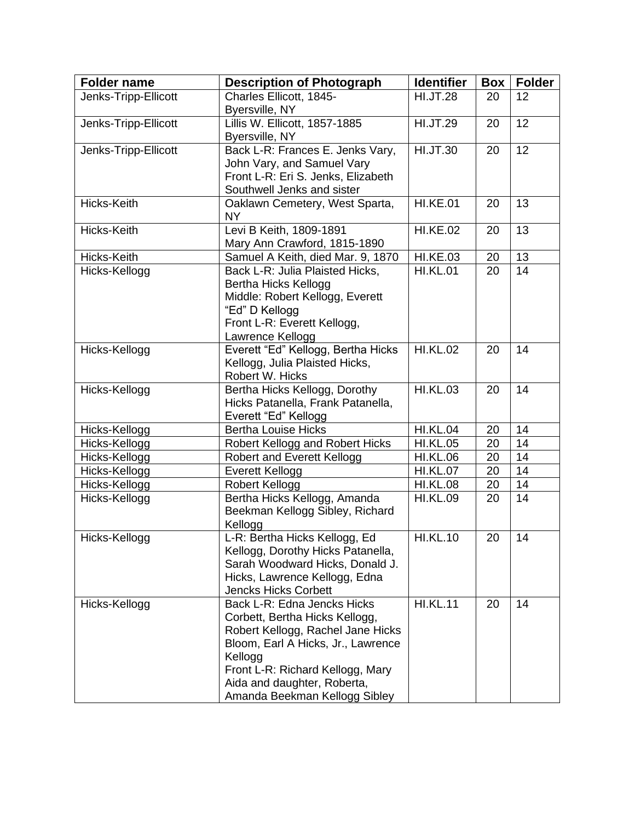| <b>Folder name</b>   | <b>Description of Photograph</b>                             | <b>Identifier</b> | Box | <b>Folder</b> |
|----------------------|--------------------------------------------------------------|-------------------|-----|---------------|
| Jenks-Tripp-Ellicott | Charles Ellicott, 1845-                                      | <b>HI.JT.28</b>   | 20  | 12            |
|                      | Byersville, NY                                               |                   |     |               |
| Jenks-Tripp-Ellicott | Lillis W. Ellicott, 1857-1885                                | <b>HI.JT.29</b>   | 20  | 12            |
|                      | Byersville, NY                                               |                   |     |               |
| Jenks-Tripp-Ellicott | Back L-R: Frances E. Jenks Vary,                             | <b>HI.JT.30</b>   | 20  | 12            |
|                      | John Vary, and Samuel Vary                                   |                   |     |               |
|                      | Front L-R: Eri S. Jenks, Elizabeth                           |                   |     |               |
|                      | Southwell Jenks and sister                                   |                   |     |               |
| Hicks-Keith          | Oaklawn Cemetery, West Sparta,<br><b>NY</b>                  | <b>HI.KE.01</b>   | 20  | 13            |
| Hicks-Keith          | Levi B Keith, 1809-1891                                      | <b>HI.KE.02</b>   | 20  | 13            |
|                      | Mary Ann Crawford, 1815-1890                                 |                   |     |               |
| Hicks-Keith          | Samuel A Keith, died Mar. 9, 1870                            | <b>HI.KE.03</b>   | 20  | 13            |
| Hicks-Kellogg        | Back L-R: Julia Plaisted Hicks,                              | <b>HI.KL.01</b>   | 20  | 14            |
|                      | <b>Bertha Hicks Kellogg</b>                                  |                   |     |               |
|                      | Middle: Robert Kellogg, Everett                              |                   |     |               |
|                      | "Ed" D Kellogg                                               |                   |     |               |
|                      | Front L-R: Everett Kellogg,                                  |                   |     |               |
|                      | Lawrence Kellogg                                             |                   |     |               |
| Hicks-Kellogg        | Everett "Ed" Kellogg, Bertha Hicks                           | <b>HI.KL.02</b>   | 20  | 14            |
|                      | Kellogg, Julia Plaisted Hicks,                               |                   |     |               |
|                      | Robert W. Hicks                                              |                   |     |               |
| Hicks-Kellogg        | Bertha Hicks Kellogg, Dorothy                                | <b>HI.KL.03</b>   | 20  | 14            |
|                      | Hicks Patanella, Frank Patanella,                            |                   |     |               |
|                      | Everett "Ed" Kellogg                                         |                   |     |               |
| Hicks-Kellogg        | <b>Bertha Louise Hicks</b>                                   | <b>HI.KL.04</b>   | 20  | 14            |
| Hicks-Kellogg        | Robert Kellogg and Robert Hicks                              | <b>HI.KL.05</b>   | 20  | 14            |
| Hicks-Kellogg        | <b>Robert and Everett Kellogg</b>                            | <b>HI.KL.06</b>   | 20  | 14            |
| Hicks-Kellogg        | Everett Kellogg                                              | <b>HI.KL.07</b>   | 20  | 14            |
| Hicks-Kellogg        | <b>Robert Kellogg</b>                                        | <b>HI.KL.08</b>   | 20  | 14            |
| Hicks-Kellogg        | Bertha Hicks Kellogg, Amanda                                 | <b>HI.KL.09</b>   | 20  | 14            |
|                      | Beekman Kellogg Sibley, Richard                              |                   |     |               |
|                      | Kellogg                                                      |                   |     |               |
| Hicks-Kellogg        | L-R: Bertha Hicks Kellogg, Ed                                | <b>HI.KL.10</b>   | 20  | 14            |
|                      | Kellogg, Dorothy Hicks Patanella,                            |                   |     |               |
|                      | Sarah Woodward Hicks, Donald J.                              |                   |     |               |
|                      | Hicks, Lawrence Kellogg, Edna<br><b>Jencks Hicks Corbett</b> |                   |     |               |
| Hicks-Kellogg        | Back L-R: Edna Jencks Hicks                                  | <b>HI.KL.11</b>   | 20  | 14            |
|                      | Corbett, Bertha Hicks Kellogg,                               |                   |     |               |
|                      | Robert Kellogg, Rachel Jane Hicks                            |                   |     |               |
|                      | Bloom, Earl A Hicks, Jr., Lawrence                           |                   |     |               |
|                      | Kellogg                                                      |                   |     |               |
|                      | Front L-R: Richard Kellogg, Mary                             |                   |     |               |
|                      | Aida and daughter, Roberta,                                  |                   |     |               |
|                      | Amanda Beekman Kellogg Sibley                                |                   |     |               |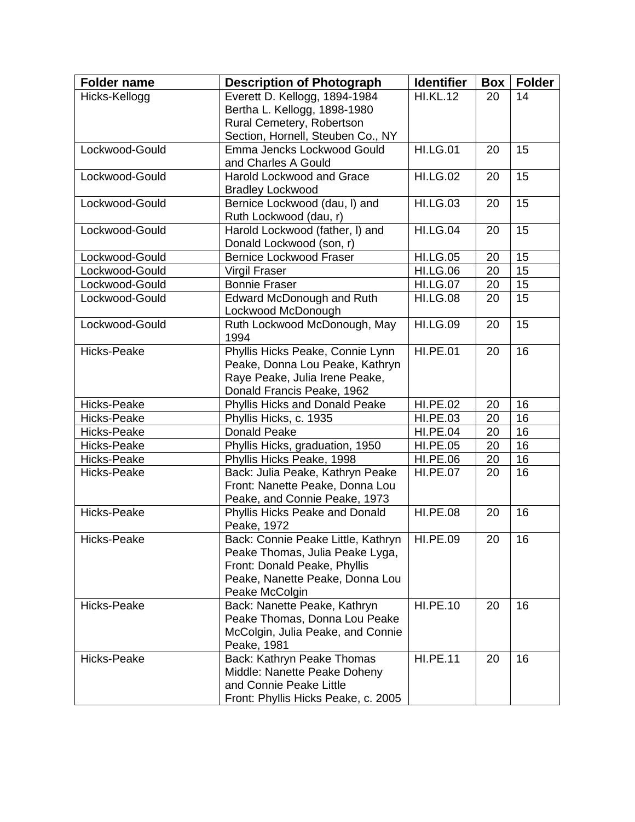| <b>Folder name</b> | <b>Description of Photograph</b>              | <b>Identifier</b> | Box | <b>Folder</b> |
|--------------------|-----------------------------------------------|-------------------|-----|---------------|
| Hicks-Kellogg      | Everett D. Kellogg, 1894-1984                 | <b>HI.KL.12</b>   | 20  | 14            |
|                    | Bertha L. Kellogg, 1898-1980                  |                   |     |               |
|                    | Rural Cemetery, Robertson                     |                   |     |               |
|                    | Section, Hornell, Steuben Co., NY             |                   |     |               |
| Lockwood-Gould     | Emma Jencks Lockwood Gould                    | <b>HI.LG.01</b>   | 20  | 15            |
|                    | and Charles A Gould                           |                   |     |               |
| Lockwood-Gould     | Harold Lockwood and Grace                     | <b>HI.LG.02</b>   | 20  | 15            |
|                    | <b>Bradley Lockwood</b>                       |                   |     |               |
| Lockwood-Gould     | Bernice Lockwood (dau, I) and                 | <b>HI.LG.03</b>   | 20  | 15            |
|                    | Ruth Lockwood (dau, r)                        |                   |     |               |
| Lockwood-Gould     | Harold Lockwood (father, I) and               | <b>HI.LG.04</b>   | 20  | 15            |
|                    | Donald Lockwood (son, r)                      |                   |     |               |
| Lockwood-Gould     | <b>Bernice Lockwood Fraser</b>                | <b>HI.LG.05</b>   | 20  | 15            |
| Lockwood-Gould     | Virgil Fraser                                 | <b>HI.LG.06</b>   | 20  | 15            |
| Lockwood-Gould     | <b>Bonnie Fraser</b>                          | <b>HI.LG.07</b>   | 20  | 15            |
| Lockwood-Gould     | Edward McDonough and Ruth                     | <b>HI.LG.08</b>   | 20  | 15            |
|                    | Lockwood McDonough                            |                   |     |               |
| Lockwood-Gould     | Ruth Lockwood McDonough, May<br>1994          | <b>HI.LG.09</b>   | 20  | 15            |
| Hicks-Peake        | Phyllis Hicks Peake, Connie Lynn              | <b>HI.PE.01</b>   | 20  | 16            |
|                    | Peake, Donna Lou Peake, Kathryn               |                   |     |               |
|                    | Raye Peake, Julia Irene Peake,                |                   |     |               |
|                    | Donald Francis Peake, 1962                    |                   |     |               |
| Hicks-Peake        | Phyllis Hicks and Donald Peake                | <b>HI.PE.02</b>   | 20  | 16            |
| Hicks-Peake        | Phyllis Hicks, c. 1935                        | <b>HI.PE.03</b>   | 20  | 16            |
| Hicks-Peake        | <b>Donald Peake</b>                           | <b>HI.PE.04</b>   | 20  | 16            |
| Hicks-Peake        | Phyllis Hicks, graduation, 1950               | <b>HI.PE.05</b>   | 20  | 16            |
| Hicks-Peake        | Phyllis Hicks Peake, 1998                     | <b>HI.PE.06</b>   | 20  | 16            |
| Hicks-Peake        | Back: Julia Peake, Kathryn Peake              | <b>HI.PE.07</b>   | 20  | 16            |
|                    | Front: Nanette Peake, Donna Lou               |                   |     |               |
|                    | Peake, and Connie Peake, 1973                 |                   |     |               |
| Hicks-Peake        | Phyllis Hicks Peake and Donald<br>Peake, 1972 | <b>HI.PE.08</b>   | 20  | 16            |
| Hicks-Peake        | Back: Connie Peake Little, Kathryn   HI.PE.09 |                   | 20  | 16            |
|                    | Peake Thomas, Julia Peake Lyga,               |                   |     |               |
|                    | Front: Donald Peake, Phyllis                  |                   |     |               |
|                    | Peake, Nanette Peake, Donna Lou               |                   |     |               |
|                    | Peake McColgin                                |                   |     |               |
| Hicks-Peake        | Back: Nanette Peake, Kathryn                  | <b>HI.PE.10</b>   | 20  | 16            |
|                    | Peake Thomas, Donna Lou Peake                 |                   |     |               |
|                    | McColgin, Julia Peake, and Connie             |                   |     |               |
|                    | Peake, 1981                                   |                   |     |               |
| Hicks-Peake        | Back: Kathryn Peake Thomas                    | <b>HI.PE.11</b>   | 20  | 16            |
|                    | Middle: Nanette Peake Doheny                  |                   |     |               |
|                    | and Connie Peake Little                       |                   |     |               |
|                    | Front: Phyllis Hicks Peake, c. 2005           |                   |     |               |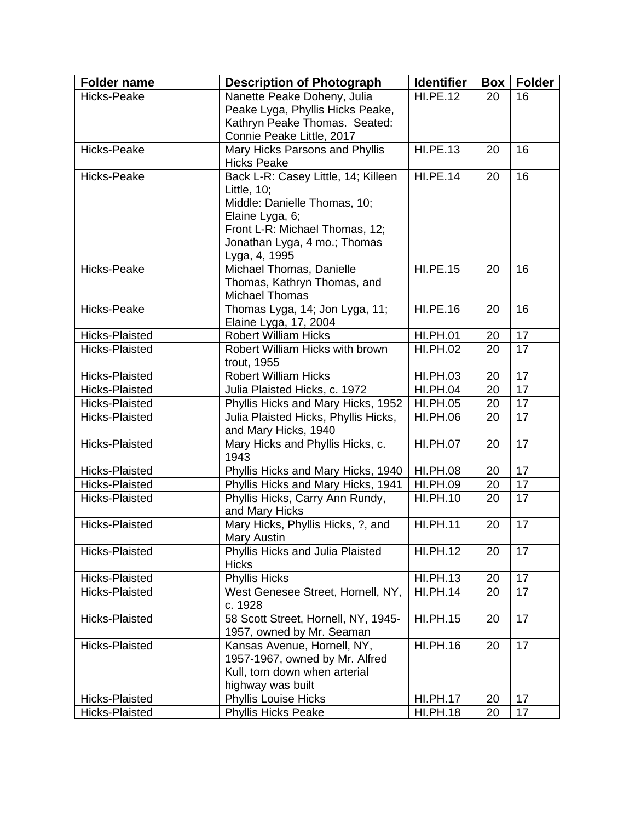| <b>Folder name</b>               | <b>Description of Photograph</b>                                      | <b>Identifier</b>                  | <b>Box</b> | <b>Folder</b> |
|----------------------------------|-----------------------------------------------------------------------|------------------------------------|------------|---------------|
| Hicks-Peake                      | Nanette Peake Doheny, Julia                                           | <b>HI.PE.12</b>                    | 20         | 16            |
|                                  | Peake Lyga, Phyllis Hicks Peake,                                      |                                    |            |               |
|                                  | Kathryn Peake Thomas. Seated:                                         |                                    |            |               |
|                                  | Connie Peake Little, 2017                                             |                                    |            |               |
| Hicks-Peake                      | Mary Hicks Parsons and Phyllis                                        | <b>HI.PE.13</b>                    | 20         | 16            |
| Hicks-Peake                      | <b>Hicks Peake</b><br>Back L-R: Casey Little, 14; Killeen             | <b>HI.PE.14</b>                    |            | 16            |
|                                  | Little, $10$ ;                                                        |                                    | 20         |               |
|                                  | Middle: Danielle Thomas, 10;                                          |                                    |            |               |
|                                  | Elaine Lyga, 6;                                                       |                                    |            |               |
|                                  | Front L-R: Michael Thomas, 12;                                        |                                    |            |               |
|                                  | Jonathan Lyga, 4 mo.; Thomas                                          |                                    |            |               |
|                                  | Lyga, 4, 1995                                                         |                                    |            |               |
| Hicks-Peake                      | Michael Thomas, Danielle                                              | <b>HI.PE.15</b>                    | 20         | 16            |
|                                  | Thomas, Kathryn Thomas, and                                           |                                    |            |               |
|                                  | <b>Michael Thomas</b>                                                 |                                    |            |               |
| Hicks-Peake                      | Thomas Lyga, 14; Jon Lyga, 11;                                        | <b>HI.PE.16</b>                    | 20         | 16            |
|                                  | Elaine Lyga, 17, 2004                                                 |                                    |            |               |
| <b>Hicks-Plaisted</b>            | <b>Robert William Hicks</b>                                           | <b>HI.PH.01</b>                    | 20         | 17            |
| <b>Hicks-Plaisted</b>            | Robert William Hicks with brown                                       | <b>HI.PH.02</b>                    | 20         | 17            |
|                                  | trout, 1955                                                           |                                    |            |               |
| Hicks-Plaisted                   | <b>Robert William Hicks</b>                                           | <b>HI.PH.03</b>                    | 20         | 17            |
| Hicks-Plaisted                   | Julia Plaisted Hicks, c. 1972                                         | <b>HI.PH.04</b>                    | 20         | 17            |
| Hicks-Plaisted                   | Phyllis Hicks and Mary Hicks, 1952                                    | <b>HI.PH.05</b>                    | 20         | 17            |
| <b>Hicks-Plaisted</b>            | Julia Plaisted Hicks, Phyllis Hicks,                                  | <b>HI.PH.06</b>                    | 20         | 17            |
|                                  | and Mary Hicks, 1940                                                  |                                    |            |               |
| <b>Hicks-Plaisted</b>            | Mary Hicks and Phyllis Hicks, c.                                      | <b>HI.PH.07</b>                    | 20         | 17            |
|                                  | 1943                                                                  |                                    |            |               |
| Hicks-Plaisted                   | Phyllis Hicks and Mary Hicks, 1940                                    | <b>HI.PH.08</b>                    | 20         | 17<br>17      |
| Hicks-Plaisted<br>Hicks-Plaisted | Phyllis Hicks and Mary Hicks, 1941<br>Phyllis Hicks, Carry Ann Rundy, | <b>HI.PH.09</b><br><b>HI.PH.10</b> | 20<br>20   | 17            |
|                                  | and Mary Hicks                                                        |                                    |            |               |
| <b>Hicks-Plaisted</b>            | Mary Hicks, Phyllis Hicks, ?, and                                     | <b>HI.PH.11</b>                    | 20         | 17            |
|                                  | Mary Austin                                                           |                                    |            |               |
| Hicks-Plaisted                   | Phyllis Hicks and Julia Plaisted                                      | <b>HI.PH.12</b>                    | 20         | 17            |
|                                  | <b>Hicks</b>                                                          |                                    |            |               |
| Hicks-Plaisted                   | <b>Phyllis Hicks</b>                                                  | <b>HI.PH.13</b>                    | 20         | 17            |
| Hicks-Plaisted                   | West Genesee Street, Hornell, NY,                                     | <b>HI.PH.14</b>                    | 20         | 17            |
|                                  | c. 1928                                                               |                                    |            |               |
| <b>Hicks-Plaisted</b>            | 58 Scott Street, Hornell, NY, 1945-                                   | <b>HI.PH.15</b>                    | 20         | 17            |
|                                  | 1957, owned by Mr. Seaman                                             |                                    |            |               |
| Hicks-Plaisted                   | Kansas Avenue, Hornell, NY,                                           | <b>HI.PH.16</b>                    | 20         | 17            |
|                                  | 1957-1967, owned by Mr. Alfred                                        |                                    |            |               |
|                                  | Kull, torn down when arterial                                         |                                    |            |               |
| <b>Hicks-Plaisted</b>            | highway was built<br>Phyllis Louise Hicks                             | <b>HI.PH.17</b>                    | 20         | 17            |
| Hicks-Plaisted                   | <b>Phyllis Hicks Peake</b>                                            | <b>HI.PH.18</b>                    | 20         | 17            |
|                                  |                                                                       |                                    |            |               |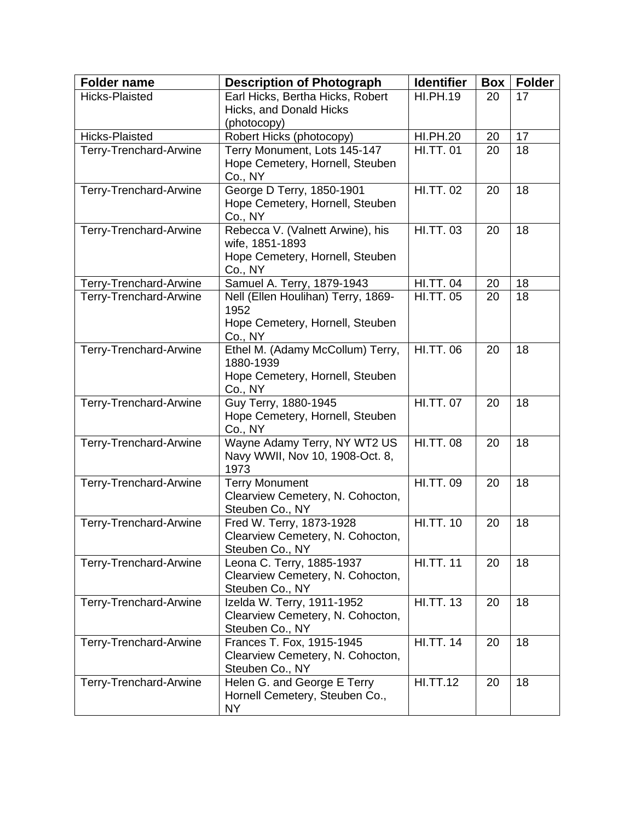| <b>Folder name</b>     | <b>Description of Photograph</b>                              | <b>Identifier</b> | Box      | <b>Folder</b> |
|------------------------|---------------------------------------------------------------|-------------------|----------|---------------|
| <b>Hicks-Plaisted</b>  | Earl Hicks, Bertha Hicks, Robert                              | <b>HI.PH.19</b>   | 20       | 17            |
|                        | Hicks, and Donald Hicks                                       |                   |          |               |
| <b>Hicks-Plaisted</b>  | (photocopy)<br>Robert Hicks (photocopy)                       | <b>HI.PH.20</b>   |          | 17            |
| Terry-Trenchard-Arwine | Terry Monument, Lots 145-147                                  | <b>HI.TT.01</b>   | 20<br>20 | 18            |
|                        | Hope Cemetery, Hornell, Steuben                               |                   |          |               |
|                        | Co., NY                                                       |                   |          |               |
| Terry-Trenchard-Arwine | George D Terry, 1850-1901                                     | <b>HI.TT. 02</b>  | 20       | 18            |
|                        | Hope Cemetery, Hornell, Steuben                               |                   |          |               |
|                        | Co., NY                                                       |                   |          |               |
| Terry-Trenchard-Arwine | Rebecca V. (Valnett Arwine), his                              | <b>HI.TT. 03</b>  | 20       | 18            |
|                        | wife, 1851-1893<br>Hope Cemetery, Hornell, Steuben            |                   |          |               |
|                        | Co., NY                                                       |                   |          |               |
| Terry-Trenchard-Arwine | Samuel A. Terry, 1879-1943                                    | <b>HI.TT. 04</b>  | 20       | 18            |
| Terry-Trenchard-Arwine | Nell (Ellen Houlihan) Terry, 1869-                            | <b>HI.TT. 05</b>  | 20       | 18            |
|                        | 1952                                                          |                   |          |               |
|                        | Hope Cemetery, Hornell, Steuben                               |                   |          |               |
|                        | Co., NY<br>Ethel M. (Adamy McCollum) Terry,                   | <b>HI.TT.06</b>   | 20       | 18            |
| Terry-Trenchard-Arwine | 1880-1939                                                     |                   |          |               |
|                        | Hope Cemetery, Hornell, Steuben                               |                   |          |               |
|                        | Co., NY                                                       |                   |          |               |
| Terry-Trenchard-Arwine | Guy Terry, 1880-1945                                          | <b>HI.TT. 07</b>  | 20       | 18            |
|                        | Hope Cemetery, Hornell, Steuben                               |                   |          |               |
|                        | Co., NY                                                       |                   |          |               |
| Terry-Trenchard-Arwine | Wayne Adamy Terry, NY WT2 US                                  | <b>HI.TT. 08</b>  | 20       | 18            |
|                        | Navy WWII, Nov 10, 1908-Oct. 8,<br>1973                       |                   |          |               |
| Terry-Trenchard-Arwine | <b>Terry Monument</b>                                         | <b>HI.TT.09</b>   | 20       | 18            |
|                        | Clearview Cemetery, N. Cohocton,                              |                   |          |               |
|                        | Steuben Co., NY                                               |                   |          |               |
| Terry-Trenchard-Arwine | Fred W. Terry, 1873-1928                                      | <b>HI.TT. 10</b>  | 20       | 18            |
|                        | Clearview Cemetery, N. Cohocton,                              |                   |          |               |
|                        | Steuben Co., NY                                               | <b>HI.TT. 11</b>  |          |               |
| Terry-Trenchard-Arwine | Leona C. Terry, 1885-1937<br>Clearview Cemetery, N. Cohocton, |                   | 20       | 18            |
|                        | Steuben Co., NY                                               |                   |          |               |
| Terry-Trenchard-Arwine | Izelda W. Terry, 1911-1952                                    | <b>HI.TT. 13</b>  | 20       | 18            |
|                        | Clearview Cemetery, N. Cohocton,                              |                   |          |               |
|                        | Steuben Co., NY                                               |                   |          |               |
| Terry-Trenchard-Arwine | Frances T. Fox, 1915-1945                                     | <b>HI.TT. 14</b>  | 20       | 18            |
|                        | Clearview Cemetery, N. Cohocton,                              |                   |          |               |
| Terry-Trenchard-Arwine | Steuben Co., NY<br>Helen G. and George E Terry                | <b>HI.TT.12</b>   | 20       | 18            |
|                        | Hornell Cemetery, Steuben Co.,                                |                   |          |               |
|                        | NY                                                            |                   |          |               |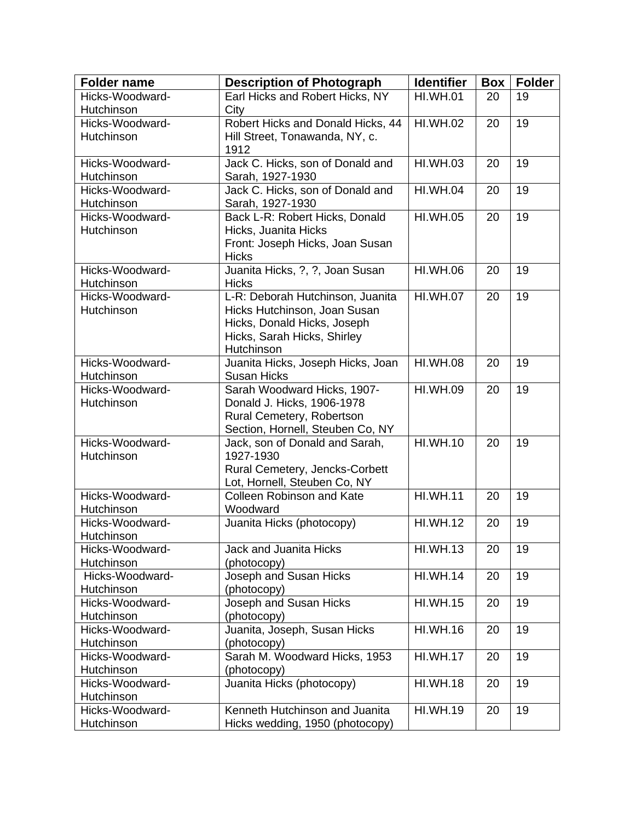| <b>Folder name</b> | <b>Description of Photograph</b>  | <b>Identifier</b> | <b>Box</b> | <b>Folder</b> |
|--------------------|-----------------------------------|-------------------|------------|---------------|
| Hicks-Woodward-    | Earl Hicks and Robert Hicks, NY   | <b>HI.WH.01</b>   | 20         | 19            |
| Hutchinson         | City                              |                   |            |               |
| Hicks-Woodward-    | Robert Hicks and Donald Hicks, 44 | <b>HI.WH.02</b>   | 20         | 19            |
| Hutchinson         | Hill Street, Tonawanda, NY, c.    |                   |            |               |
|                    | 1912                              |                   |            |               |
| Hicks-Woodward-    | Jack C. Hicks, son of Donald and  | <b>HI.WH.03</b>   | 20         | 19            |
| Hutchinson         | Sarah, 1927-1930                  |                   |            |               |
| Hicks-Woodward-    | Jack C. Hicks, son of Donald and  | <b>HI.WH.04</b>   | 20         | 19            |
| Hutchinson         | Sarah, 1927-1930                  |                   |            |               |
| Hicks-Woodward-    | Back L-R: Robert Hicks, Donald    | <b>HI.WH.05</b>   | 20         | 19            |
| Hutchinson         | Hicks, Juanita Hicks              |                   |            |               |
|                    | Front: Joseph Hicks, Joan Susan   |                   |            |               |
|                    | <b>Hicks</b>                      |                   |            |               |
| Hicks-Woodward-    | Juanita Hicks, ?, ?, Joan Susan   | <b>HI.WH.06</b>   | 20         | 19            |
| Hutchinson         | <b>Hicks</b>                      |                   |            |               |
| Hicks-Woodward-    | L-R: Deborah Hutchinson, Juanita  | <b>HI.WH.07</b>   | 20         | 19            |
| Hutchinson         | Hicks Hutchinson, Joan Susan      |                   |            |               |
|                    | Hicks, Donald Hicks, Joseph       |                   |            |               |
|                    | Hicks, Sarah Hicks, Shirley       |                   |            |               |
|                    | Hutchinson                        |                   |            |               |
| Hicks-Woodward-    | Juanita Hicks, Joseph Hicks, Joan | <b>HI.WH.08</b>   | 20         | 19            |
| Hutchinson         | <b>Susan Hicks</b>                |                   |            |               |
| Hicks-Woodward-    | Sarah Woodward Hicks, 1907-       | <b>HI.WH.09</b>   | 20         | 19            |
| Hutchinson         | Donald J. Hicks, 1906-1978        |                   |            |               |
|                    | Rural Cemetery, Robertson         |                   |            |               |
|                    | Section, Hornell, Steuben Co, NY  |                   |            |               |
| Hicks-Woodward-    | Jack, son of Donald and Sarah,    | <b>HI.WH.10</b>   | 20         | 19            |
| Hutchinson         | 1927-1930                         |                   |            |               |
|                    | Rural Cemetery, Jencks-Corbett    |                   |            |               |
|                    | Lot, Hornell, Steuben Co, NY      |                   |            |               |
| Hicks-Woodward-    | <b>Colleen Robinson and Kate</b>  | <b>HI.WH.11</b>   | 20         | 19            |
| Hutchinson         | Woodward                          |                   |            |               |
| Hicks-Woodward-    | Juanita Hicks (photocopy)         | <b>HI.WH.12</b>   | 20         | 19            |
| Hutchinson         |                                   |                   |            |               |
| Hicks-Woodward-    | Jack and Juanita Hicks            | <b>HI.WH.13</b>   | 20         | 19            |
| Hutchinson         | (photocopy)                       |                   |            |               |
| Hicks-Woodward-    | Joseph and Susan Hicks            | <b>HI.WH.14</b>   | 20         | 19            |
| Hutchinson         | (photocopy)                       |                   |            |               |
| Hicks-Woodward-    | Joseph and Susan Hicks            | <b>HI.WH.15</b>   | 20         | 19            |
| Hutchinson         | (photocopy)                       |                   |            |               |
| Hicks-Woodward-    | Juanita, Joseph, Susan Hicks      | <b>HI.WH.16</b>   | 20         | 19            |
| Hutchinson         | (photocopy)                       |                   |            |               |
| Hicks-Woodward-    | Sarah M. Woodward Hicks, 1953     | <b>HI.WH.17</b>   | 20         | 19            |
| Hutchinson         | (photocopy)                       |                   |            |               |
| Hicks-Woodward-    | Juanita Hicks (photocopy)         | <b>HI.WH.18</b>   | 20         | 19            |
| Hutchinson         |                                   |                   |            |               |
| Hicks-Woodward-    | Kenneth Hutchinson and Juanita    | <b>HI.WH.19</b>   | 20         | 19            |
| Hutchinson         | Hicks wedding, 1950 (photocopy)   |                   |            |               |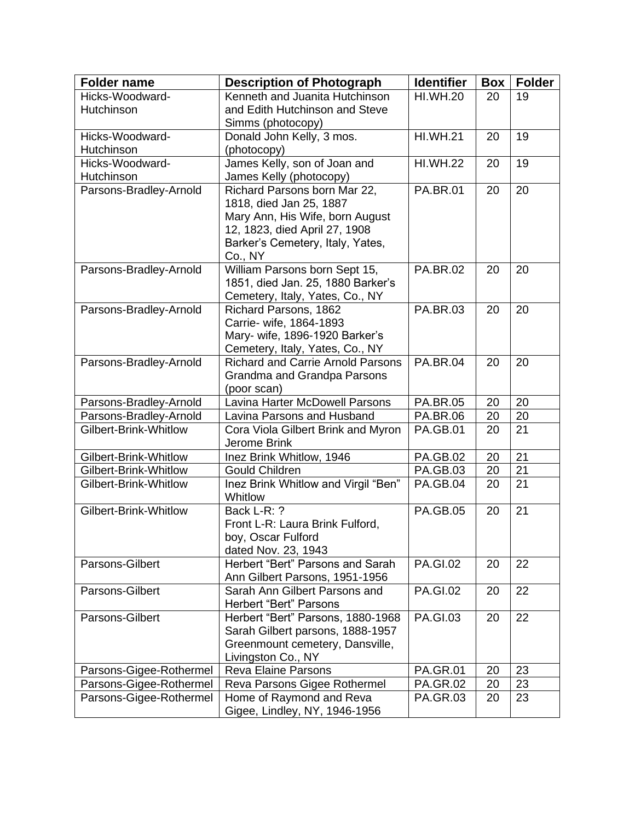| <b>Folder name</b>      | <b>Description of Photograph</b>                        | <b>Identifier</b> | Box | <b>Folder</b> |
|-------------------------|---------------------------------------------------------|-------------------|-----|---------------|
| Hicks-Woodward-         | Kenneth and Juanita Hutchinson                          | <b>HI.WH.20</b>   | 20  | 19            |
| Hutchinson              | and Edith Hutchinson and Steve                          |                   |     |               |
|                         | Simms (photocopy)                                       |                   |     |               |
| Hicks-Woodward-         | Donald John Kelly, 3 mos.                               | <b>HI.WH.21</b>   | 20  | 19            |
| Hutchinson              | (photocopy)                                             |                   |     |               |
| Hicks-Woodward-         | James Kelly, son of Joan and                            | <b>HI.WH.22</b>   | 20  | 19            |
| Hutchinson              | James Kelly (photocopy)                                 |                   |     |               |
| Parsons-Bradley-Arnold  | Richard Parsons born Mar 22,<br>1818, died Jan 25, 1887 | <b>PA.BR.01</b>   | 20  | 20            |
|                         | Mary Ann, His Wife, born August                         |                   |     |               |
|                         | 12, 1823, died April 27, 1908                           |                   |     |               |
|                         | Barker's Cemetery, Italy, Yates,                        |                   |     |               |
|                         | Co., NY                                                 |                   |     |               |
| Parsons-Bradley-Arnold  | William Parsons born Sept 15,                           | <b>PA.BR.02</b>   | 20  | 20            |
|                         | 1851, died Jan. 25, 1880 Barker's                       |                   |     |               |
|                         | Cemetery, Italy, Yates, Co., NY                         |                   |     |               |
| Parsons-Bradley-Arnold  | Richard Parsons, 1862                                   | <b>PA.BR.03</b>   | 20  | 20            |
|                         | Carrie- wife, 1864-1893                                 |                   |     |               |
|                         | Mary- wife, 1896-1920 Barker's                          |                   |     |               |
|                         | Cemetery, Italy, Yates, Co., NY                         |                   |     |               |
| Parsons-Bradley-Arnold  | <b>Richard and Carrie Arnold Parsons</b>                | <b>PA.BR.04</b>   | 20  | 20            |
|                         | Grandma and Grandpa Parsons                             |                   |     |               |
|                         | (poor scan)                                             |                   |     |               |
| Parsons-Bradley-Arnold  | <b>Lavina Harter McDowell Parsons</b>                   | <b>PA.BR.05</b>   | 20  | 20            |
| Parsons-Bradley-Arnold  | Lavina Parsons and Husband                              | <b>PA.BR.06</b>   | 20  | 20            |
| Gilbert-Brink-Whitlow   | Cora Viola Gilbert Brink and Myron                      | <b>PA.GB.01</b>   | 20  | 21            |
|                         | Jerome Brink                                            |                   |     |               |
| Gilbert-Brink-Whitlow   | Inez Brink Whitlow, 1946                                | <b>PA.GB.02</b>   | 20  | 21            |
| Gilbert-Brink-Whitlow   | <b>Gould Children</b>                                   | <b>PA.GB.03</b>   | 20  | 21            |
| Gilbert-Brink-Whitlow   | Inez Brink Whitlow and Virgil "Ben"<br>Whitlow          | <b>PA.GB.04</b>   | 20  | 21            |
| Gilbert-Brink-Whitlow   | Back L-R: ?                                             | <b>PA.GB.05</b>   | 20  | 21            |
|                         | Front L-R: Laura Brink Fulford,                         |                   |     |               |
|                         | boy, Oscar Fulford                                      |                   |     |               |
|                         | dated Nov. 23, 1943                                     |                   |     |               |
| Parsons-Gilbert         | Herbert "Bert" Parsons and Sarah                        | <b>PA.GI.02</b>   | 20  | 22            |
|                         | Ann Gilbert Parsons, 1951-1956                          |                   |     |               |
| Parsons-Gilbert         | Sarah Ann Gilbert Parsons and                           | <b>PA.GI.02</b>   | 20  | 22            |
|                         | <b>Herbert "Bert" Parsons</b>                           |                   |     |               |
| Parsons-Gilbert         | Herbert "Bert" Parsons, 1880-1968                       | <b>PA.GI.03</b>   | 20  | 22            |
|                         | Sarah Gilbert parsons, 1888-1957                        |                   |     |               |
|                         | Greenmount cemetery, Dansville,                         |                   |     |               |
|                         | Livingston Co., NY                                      |                   |     |               |
| Parsons-Gigee-Rothermel | <b>Reva Elaine Parsons</b>                              | <b>PA.GR.01</b>   | 20  | 23            |
| Parsons-Gigee-Rothermel | Reva Parsons Gigee Rothermel                            | <b>PA.GR.02</b>   | 20  | 23            |
| Parsons-Gigee-Rothermel | Home of Raymond and Reva                                | <b>PA.GR.03</b>   | 20  | 23            |
|                         | Gigee, Lindley, NY, 1946-1956                           |                   |     |               |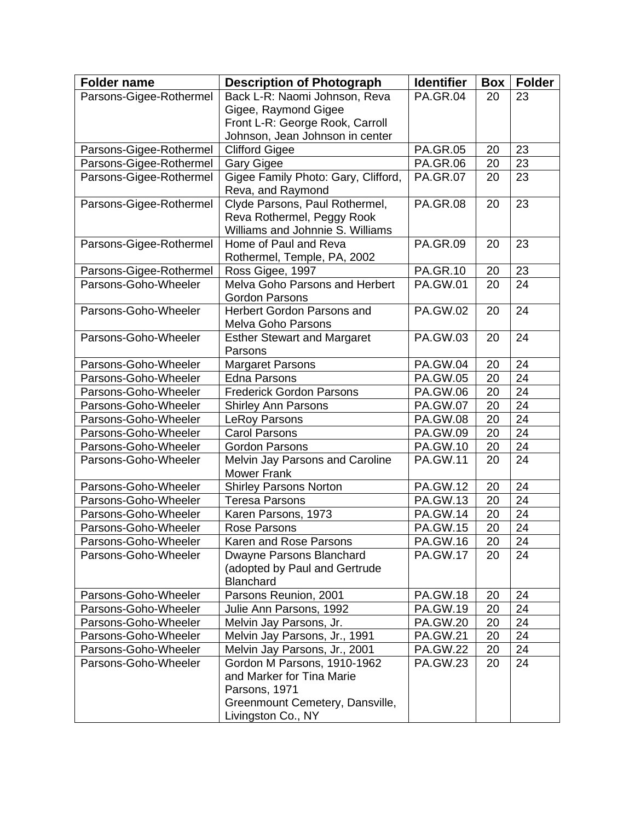| <b>Folder name</b>      | <b>Description of Photograph</b>                         | <b>Identifier</b> | Box | <b>Folder</b>   |
|-------------------------|----------------------------------------------------------|-------------------|-----|-----------------|
| Parsons-Gigee-Rothermel | Back L-R: Naomi Johnson, Reva                            | <b>PA.GR.04</b>   | 20  | 23              |
|                         | Gigee, Raymond Gigee                                     |                   |     |                 |
|                         | Front L-R: George Rook, Carroll                          |                   |     |                 |
|                         | Johnson, Jean Johnson in center                          |                   |     |                 |
| Parsons-Gigee-Rothermel | <b>Clifford Gigee</b>                                    | <b>PA.GR.05</b>   | 20  | 23              |
| Parsons-Gigee-Rothermel | <b>Gary Gigee</b>                                        | <b>PA.GR.06</b>   | 20  | 23              |
| Parsons-Gigee-Rothermel | Gigee Family Photo: Gary, Clifford,<br>Reva, and Raymond | <b>PA.GR.07</b>   | 20  | 23              |
| Parsons-Gigee-Rothermel | Clyde Parsons, Paul Rothermel,                           | <b>PA.GR.08</b>   | 20  | 23              |
|                         | Reva Rothermel, Peggy Rook                               |                   |     |                 |
|                         | Williams and Johnnie S. Williams                         |                   |     |                 |
| Parsons-Gigee-Rothermel | Home of Paul and Reva                                    | <b>PA.GR.09</b>   | 20  | 23              |
|                         | Rothermel, Temple, PA, 2002                              |                   |     |                 |
| Parsons-Gigee-Rothermel | Ross Gigee, 1997                                         | <b>PA.GR.10</b>   | 20  | 23              |
| Parsons-Goho-Wheeler    | Melva Goho Parsons and Herbert                           | <b>PA.GW.01</b>   | 20  | 24              |
|                         | <b>Gordon Parsons</b>                                    |                   |     |                 |
| Parsons-Goho-Wheeler    | <b>Herbert Gordon Parsons and</b>                        | <b>PA.GW.02</b>   | 20  | 24              |
|                         | Melva Goho Parsons                                       |                   |     |                 |
| Parsons-Goho-Wheeler    | <b>Esther Stewart and Margaret</b>                       | <b>PA.GW.03</b>   | 20  | 24              |
|                         | Parsons                                                  |                   |     |                 |
| Parsons-Goho-Wheeler    | <b>Margaret Parsons</b>                                  | <b>PA.GW.04</b>   | 20  | 24              |
| Parsons-Goho-Wheeler    | <b>Edna Parsons</b>                                      | <b>PA.GW.05</b>   | 20  | 24              |
| Parsons-Goho-Wheeler    | <b>Frederick Gordon Parsons</b>                          | <b>PA.GW.06</b>   | 20  | 24              |
| Parsons-Goho-Wheeler    | <b>Shirley Ann Parsons</b>                               | <b>PA.GW.07</b>   | 20  | 24              |
| Parsons-Goho-Wheeler    | LeRoy Parsons                                            | <b>PA.GW.08</b>   | 20  | 24              |
| Parsons-Goho-Wheeler    | <b>Carol Parsons</b>                                     | PA.GW.09          | 20  | 24              |
| Parsons-Goho-Wheeler    | <b>Gordon Parsons</b>                                    | <b>PA.GW.10</b>   | 20  | 24              |
| Parsons-Goho-Wheeler    | Melvin Jay Parsons and Caroline<br><b>Mower Frank</b>    | <b>PA.GW.11</b>   | 20  | 24              |
| Parsons-Goho-Wheeler    | <b>Shirley Parsons Norton</b>                            | <b>PA.GW.12</b>   | 20  | 24              |
| Parsons-Goho-Wheeler    | <b>Teresa Parsons</b>                                    | PA.GW.13          | 20  | 24              |
| Parsons-Goho-Wheeler    | Karen Parsons, 1973                                      | <b>PA.GW.14</b>   | 20  | 24              |
| Parsons-Goho-Wheeler    | Rose Parsons                                             | <b>PA.GW.15</b>   | 20  | 24              |
| Parsons-Goho-Wheeler    | Karen and Rose Parsons                                   | PA.GW.16          | 20  | $\overline{24}$ |
| Parsons-Goho-Wheeler    | Dwayne Parsons Blanchard                                 | <b>PA.GW.17</b>   | 20  | 24              |
|                         | (adopted by Paul and Gertrude<br>Blanchard               |                   |     |                 |
| Parsons-Goho-Wheeler    | Parsons Reunion, 2001                                    | <b>PA.GW.18</b>   | 20  | 24              |
| Parsons-Goho-Wheeler    | Julie Ann Parsons, 1992                                  | PA.GW.19          | 20  | 24              |
| Parsons-Goho-Wheeler    | Melvin Jay Parsons, Jr.                                  | <b>PA.GW.20</b>   | 20  | 24              |
| Parsons-Goho-Wheeler    | Melvin Jay Parsons, Jr., 1991                            | <b>PA.GW.21</b>   | 20  | 24              |
| Parsons-Goho-Wheeler    | Melvin Jay Parsons, Jr., 2001                            | <b>PA.GW.22</b>   | 20  | 24              |
| Parsons-Goho-Wheeler    | Gordon M Parsons, 1910-1962                              | <b>PA.GW.23</b>   | 20  | 24              |
|                         | and Marker for Tina Marie                                |                   |     |                 |
|                         | Parsons, 1971                                            |                   |     |                 |
|                         | Greenmount Cemetery, Dansville,<br>Livingston Co., NY    |                   |     |                 |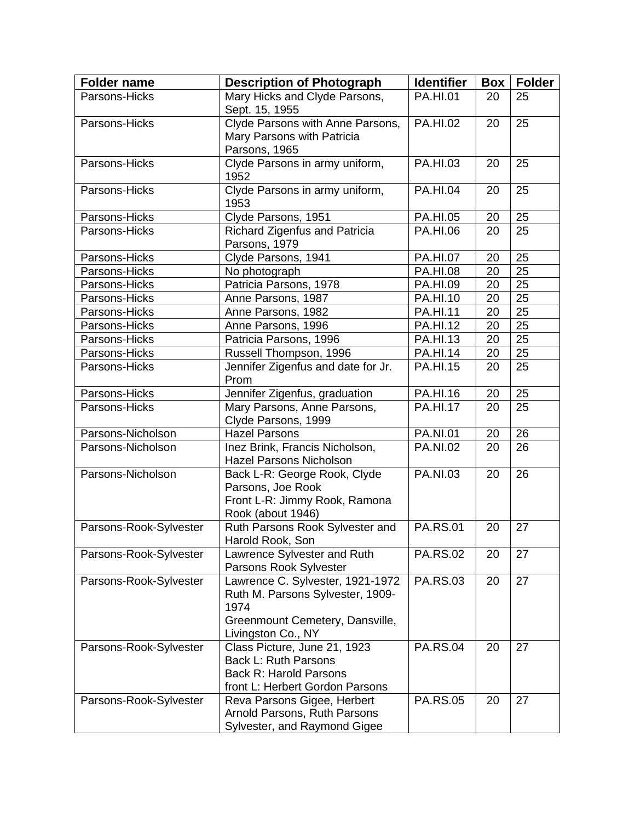| <b>Folder name</b>     | <b>Description of Photograph</b>                                                                                                      | <b>Identifier</b> | <b>Box</b> | <b>Folder</b>   |
|------------------------|---------------------------------------------------------------------------------------------------------------------------------------|-------------------|------------|-----------------|
| Parsons-Hicks          | Mary Hicks and Clyde Parsons,<br>Sept. 15, 1955                                                                                       | <b>PA.HI.01</b>   | 20         | 25              |
| Parsons-Hicks          | Clyde Parsons with Anne Parsons,<br>Mary Parsons with Patricia<br>Parsons, 1965                                                       | <b>PA.HI.02</b>   | 20         | 25              |
| Parsons-Hicks          | Clyde Parsons in army uniform,<br>1952                                                                                                | PA.HI.03          | 20         | 25              |
| Parsons-Hicks          | Clyde Parsons in army uniform,<br>1953                                                                                                | <b>PA.HI.04</b>   | 20         | 25              |
| Parsons-Hicks          | Clyde Parsons, 1951                                                                                                                   | <b>PA.HI.05</b>   | 20         | $\overline{25}$ |
| Parsons-Hicks          | Richard Zigenfus and Patricia<br>Parsons, 1979                                                                                        | PA.HI.06          | 20         | 25              |
| Parsons-Hicks          | Clyde Parsons, 1941                                                                                                                   | <b>PA.HI.07</b>   | 20         | 25              |
| Parsons-Hicks          | No photograph                                                                                                                         | <b>PA.HI.08</b>   | 20         | 25              |
| Parsons-Hicks          | Patricia Parsons, 1978                                                                                                                | PA.HI.09          | 20         | 25              |
| Parsons-Hicks          | Anne Parsons, 1987                                                                                                                    | <b>PA.HI.10</b>   | 20         | 25              |
| Parsons-Hicks          | Anne Parsons, 1982                                                                                                                    | <b>PA.HI.11</b>   | 20         | 25              |
| Parsons-Hicks          | Anne Parsons, 1996                                                                                                                    | <b>PA.HI.12</b>   | 20         | 25              |
| Parsons-Hicks          | Patricia Parsons, 1996                                                                                                                | <b>PA.HI.13</b>   | 20         | 25              |
| Parsons-Hicks          | Russell Thompson, 1996                                                                                                                | <b>PA.HI.14</b>   | 20         | 25              |
| Parsons-Hicks          | Jennifer Zigenfus and date for Jr.<br>Prom                                                                                            | <b>PA.HI.15</b>   | 20         | 25              |
| Parsons-Hicks          | Jennifer Zigenfus, graduation                                                                                                         | PA.HI.16          | 20         | 25              |
| Parsons-Hicks          | Mary Parsons, Anne Parsons,<br>Clyde Parsons, 1999                                                                                    | <b>PA.HI.17</b>   | 20         | 25              |
| Parsons-Nicholson      | <b>Hazel Parsons</b>                                                                                                                  | <b>PA.NI.01</b>   | 20         | 26              |
| Parsons-Nicholson      | Inez Brink, Francis Nicholson,<br><b>Hazel Parsons Nicholson</b>                                                                      | <b>PA.NI.02</b>   | 20         | 26              |
| Parsons-Nicholson      | Back L-R: George Rook, Clyde<br>Parsons, Joe Rook<br>Front L-R: Jimmy Rook, Ramona<br>Rook (about 1946)                               | <b>PA.NI.03</b>   | 20         | 26              |
| Parsons-Rook-Sylvester | Ruth Parsons Rook Sylvester and<br>Harold Rook, Son                                                                                   | <b>PA.RS.01</b>   | 20         | 27              |
| Parsons-Rook-Sylvester | Lawrence Sylvester and Ruth<br>Parsons Rook Sylvester                                                                                 | <b>PA.RS.02</b>   | 20         | 27              |
| Parsons-Rook-Sylvester | Lawrence C. Sylvester, 1921-1972<br>Ruth M. Parsons Sylvester, 1909-<br>1974<br>Greenmount Cemetery, Dansville,<br>Livingston Co., NY | <b>PA.RS.03</b>   | 20         | 27              |
| Parsons-Rook-Sylvester | Class Picture, June 21, 1923<br>Back L: Ruth Parsons<br><b>Back R: Harold Parsons</b><br>front L: Herbert Gordon Parsons              | <b>PA.RS.04</b>   | 20         | 27              |
| Parsons-Rook-Sylvester | Reva Parsons Gigee, Herbert<br>Arnold Parsons, Ruth Parsons<br>Sylvester, and Raymond Gigee                                           | <b>PA.RS.05</b>   | 20         | 27              |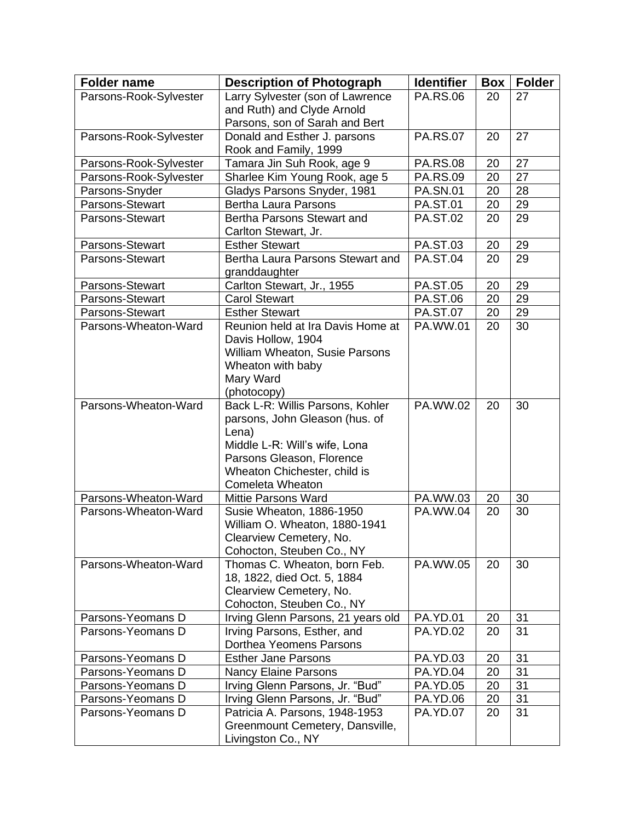| <b>Folder name</b>     | <b>Description of Photograph</b>                      | <b>Identifier</b> | Box | <b>Folder</b> |
|------------------------|-------------------------------------------------------|-------------------|-----|---------------|
| Parsons-Rook-Sylvester | Larry Sylvester (son of Lawrence                      | <b>PA.RS.06</b>   | 20  | 27            |
|                        | and Ruth) and Clyde Arnold                            |                   |     |               |
|                        | Parsons, son of Sarah and Bert                        |                   |     |               |
| Parsons-Rook-Sylvester | Donald and Esther J. parsons<br>Rook and Family, 1999 | <b>PA.RS.07</b>   | 20  | 27            |
| Parsons-Rook-Sylvester | Tamara Jin Suh Rook, age 9                            | <b>PA.RS.08</b>   | 20  | 27            |
| Parsons-Rook-Sylvester | Sharlee Kim Young Rook, age 5                         | <b>PA.RS.09</b>   | 20  | 27            |
| Parsons-Snyder         | Gladys Parsons Snyder, 1981                           | <b>PA.SN.01</b>   | 20  | 28            |
| Parsons-Stewart        | <b>Bertha Laura Parsons</b>                           | <b>PA.ST.01</b>   | 20  | 29            |
| Parsons-Stewart        | Bertha Parsons Stewart and<br>Carlton Stewart, Jr.    | <b>PA.ST.02</b>   | 20  | 29            |
| Parsons-Stewart        | <b>Esther Stewart</b>                                 | <b>PA.ST.03</b>   | 20  | 29            |
| Parsons-Stewart        | Bertha Laura Parsons Stewart and<br>granddaughter     | <b>PA.ST.04</b>   | 20  | 29            |
| Parsons-Stewart        | Carlton Stewart, Jr., 1955                            | <b>PA.ST.05</b>   | 20  | 29            |
| Parsons-Stewart        | <b>Carol Stewart</b>                                  | <b>PA.ST.06</b>   | 20  | 29            |
| Parsons-Stewart        | <b>Esther Stewart</b>                                 | <b>PA.ST.07</b>   | 20  | 29            |
| Parsons-Wheaton-Ward   | Reunion held at Ira Davis Home at                     | PA.WW.01          | 20  | 30            |
|                        | Davis Hollow, 1904                                    |                   |     |               |
|                        | William Wheaton, Susie Parsons                        |                   |     |               |
|                        | Wheaton with baby                                     |                   |     |               |
|                        | Mary Ward                                             |                   |     |               |
|                        | (photocopy)                                           |                   |     |               |
| Parsons-Wheaton-Ward   | Back L-R: Willis Parsons, Kohler                      | PA.WW.02          | 20  | 30            |
|                        | parsons, John Gleason (hus. of                        |                   |     |               |
|                        | Lena)<br>Middle L-R: Will's wife, Lona                |                   |     |               |
|                        | Parsons Gleason, Florence                             |                   |     |               |
|                        | Wheaton Chichester, child is                          |                   |     |               |
|                        | Comeleta Wheaton                                      |                   |     |               |
| Parsons-Wheaton-Ward   | <b>Mittie Parsons Ward</b>                            | PA.WW.03          | 20  | 30            |
| Parsons-Wheaton-Ward   | Susie Wheaton, 1886-1950                              | PA.WW.04          | 20  | 30            |
|                        | William O. Wheaton, 1880-1941                         |                   |     |               |
|                        | Clearview Cemetery, No.                               |                   |     |               |
|                        | Cohocton, Steuben Co., NY                             |                   |     |               |
| Parsons-Wheaton-Ward   | Thomas C. Wheaton, born Feb.                          | PA.WW.05          | 20  | 30            |
|                        | 18, 1822, died Oct. 5, 1884                           |                   |     |               |
|                        | Clearview Cemetery, No.                               |                   |     |               |
|                        | Cohocton, Steuben Co., NY                             |                   |     |               |
| Parsons-Yeomans D      | Irving Glenn Parsons, 21 years old                    | <b>PA.YD.01</b>   | 20  | 31            |
| Parsons-Yeomans D      | Irving Parsons, Esther, and                           | <b>PA.YD.02</b>   | 20  | 31            |
|                        | Dorthea Yeomens Parsons                               |                   |     |               |
| Parsons-Yeomans D      | <b>Esther Jane Parsons</b>                            | <b>PA.YD.03</b>   | 20  | 31            |
| Parsons-Yeomans D      | <b>Nancy Elaine Parsons</b>                           | <b>PA.YD.04</b>   | 20  | 31            |
| Parsons-Yeomans D      | Irving Glenn Parsons, Jr. "Bud"                       | <b>PA.YD.05</b>   | 20  | 31            |
| Parsons-Yeomans D      | Irving Glenn Parsons, Jr. "Bud"                       | PA.YD.06          | 20  | 31            |
| Parsons-Yeomans D      | Patricia A. Parsons, 1948-1953                        | <b>PA.YD.07</b>   | 20  | 31            |
|                        | Greenmount Cemetery, Dansville,                       |                   |     |               |
|                        | Livingston Co., NY                                    |                   |     |               |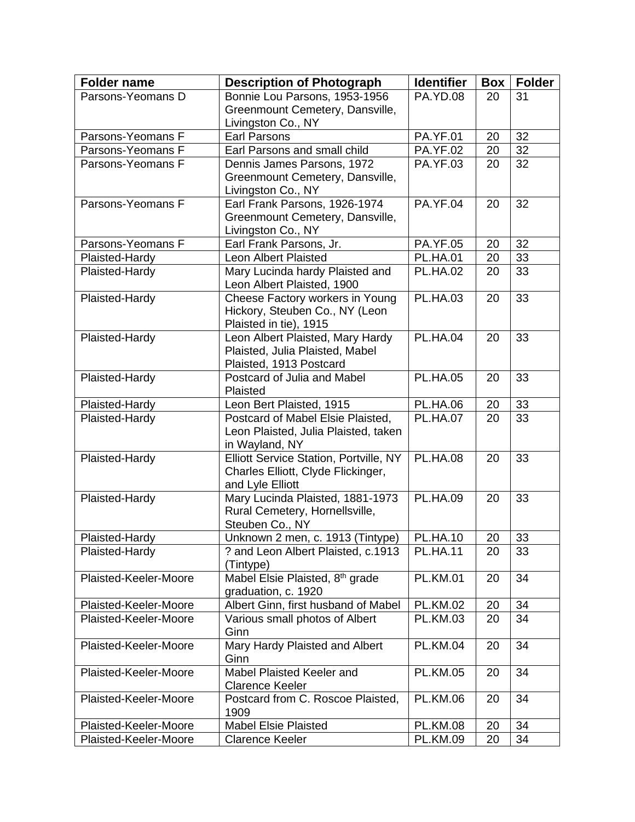| <b>Folder name</b>    | <b>Description of Photograph</b>                         | <b>Identifier</b> | Box | <b>Folder</b> |
|-----------------------|----------------------------------------------------------|-------------------|-----|---------------|
| Parsons-Yeomans D     | Bonnie Lou Parsons, 1953-1956                            | <b>PA.YD.08</b>   | 20  | 31            |
|                       | Greenmount Cemetery, Dansville,                          |                   |     |               |
|                       | Livingston Co., NY                                       |                   |     |               |
| Parsons-Yeomans F     | <b>Earl Parsons</b>                                      | <b>PA.YF.01</b>   | 20  | 32            |
| Parsons-Yeomans F     | Earl Parsons and small child                             | <b>PA.YF.02</b>   | 20  | 32            |
| Parsons-Yeomans F     | Dennis James Parsons, 1972                               | <b>PA.YF.03</b>   | 20  | 32            |
|                       | Greenmount Cemetery, Dansville,<br>Livingston Co., NY    |                   |     |               |
| Parsons-Yeomans F     | Earl Frank Parsons, 1926-1974                            | <b>PA.YF.04</b>   | 20  | 32            |
|                       | Greenmount Cemetery, Dansville,                          |                   |     |               |
|                       | Livingston Co., NY                                       |                   |     |               |
| Parsons-Yeomans F     | Earl Frank Parsons, Jr.                                  | <b>PA.YF.05</b>   | 20  | 32            |
| Plaisted-Hardy        | <b>Leon Albert Plaisted</b>                              | <b>PL.HA.01</b>   | 20  | 33            |
| Plaisted-Hardy        | Mary Lucinda hardy Plaisted and                          | <b>PL.HA.02</b>   | 20  | 33            |
|                       | Leon Albert Plaisted, 1900                               |                   |     |               |
| Plaisted-Hardy        | Cheese Factory workers in Young                          | <b>PL.HA.03</b>   | 20  | 33            |
|                       | Hickory, Steuben Co., NY (Leon                           |                   |     |               |
|                       | Plaisted in tie), 1915                                   |                   |     |               |
| Plaisted-Hardy        | Leon Albert Plaisted, Mary Hardy                         | <b>PL.HA.04</b>   | 20  | 33            |
|                       | Plaisted, Julia Plaisted, Mabel                          |                   |     |               |
|                       | Plaisted, 1913 Postcard                                  |                   |     |               |
| Plaisted-Hardy        | Postcard of Julia and Mabel                              | <b>PL.HA.05</b>   | 20  | 33            |
|                       | Plaisted                                                 |                   |     |               |
| Plaisted-Hardy        | Leon Bert Plaisted, 1915                                 | <b>PL.HA.06</b>   | 20  | 33            |
| Plaisted-Hardy        | Postcard of Mabel Elsie Plaisted,                        | <b>PL.HA.07</b>   | 20  | 33            |
|                       | Leon Plaisted, Julia Plaisted, taken                     |                   |     |               |
| Plaisted-Hardy        | in Wayland, NY<br>Elliott Service Station, Portville, NY | PL.HA.08          | 20  | 33            |
|                       | Charles Elliott, Clyde Flickinger,                       |                   |     |               |
|                       | and Lyle Elliott                                         |                   |     |               |
| Plaisted-Hardy        | Mary Lucinda Plaisted, 1881-1973                         | <b>PL.HA.09</b>   | 20  | 33            |
|                       | Rural Cemetery, Hornellsville,                           |                   |     |               |
|                       | Steuben Co., NY                                          |                   |     |               |
| Plaisted-Hardy        | Unknown 2 men, c. 1913 (Tintype)                         | <b>PL.HA.10</b>   | 20  | 33            |
| Plaisted-Hardy        | ? and Leon Albert Plaisted, c.1913                       | <b>PL.HA.11</b>   | 20  | 33            |
|                       | (Tintype)                                                |                   |     |               |
| Plaisted-Keeler-Moore | Mabel Elsie Plaisted, 8 <sup>th</sup> grade              | <b>PL.KM.01</b>   | 20  | 34            |
|                       | graduation, c. 1920                                      |                   |     |               |
| Plaisted-Keeler-Moore | Albert Ginn, first husband of Mabel                      | <b>PL.KM.02</b>   | 20  | 34            |
| Plaisted-Keeler-Moore | Various small photos of Albert                           | <b>PL.KM.03</b>   | 20  | 34            |
|                       | Ginn                                                     |                   |     |               |
| Plaisted-Keeler-Moore | Mary Hardy Plaisted and Albert<br>Ginn                   | <b>PL.KM.04</b>   | 20  | 34            |
| Plaisted-Keeler-Moore | Mabel Plaisted Keeler and                                | <b>PL.KM.05</b>   | 20  | 34            |
|                       | <b>Clarence Keeler</b>                                   |                   |     |               |
| Plaisted-Keeler-Moore | Postcard from C. Roscoe Plaisted,                        | <b>PL.KM.06</b>   | 20  | 34            |
|                       | 1909                                                     |                   |     |               |
| Plaisted-Keeler-Moore | <b>Mabel Elsie Plaisted</b>                              | <b>PL.KM.08</b>   | 20  | 34            |
| Plaisted-Keeler-Moore | <b>Clarence Keeler</b>                                   | <b>PL.KM.09</b>   | 20  | 34            |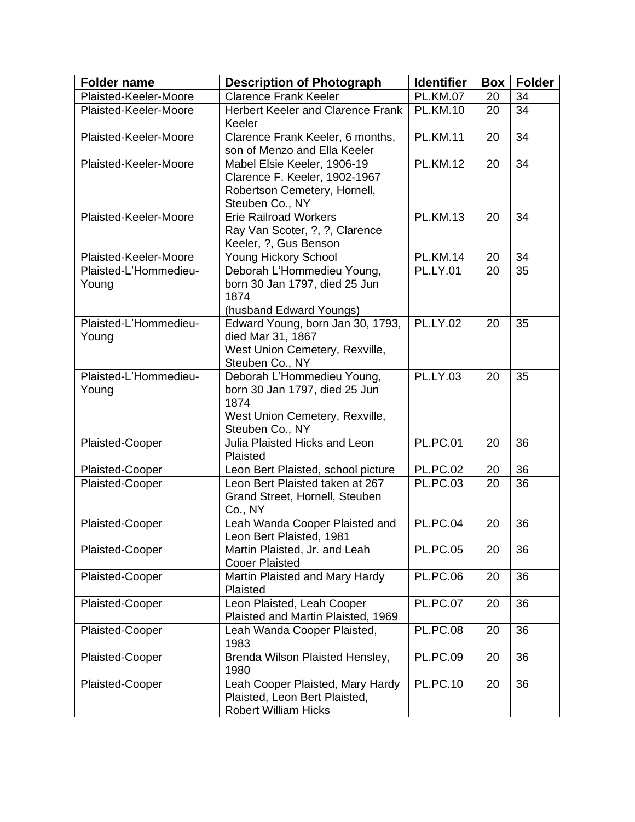| <b>Folder name</b>             | <b>Description of Photograph</b>                                                                                         | <b>Identifier</b> | <b>Box</b> | <b>Folder</b> |
|--------------------------------|--------------------------------------------------------------------------------------------------------------------------|-------------------|------------|---------------|
| Plaisted-Keeler-Moore          | <b>Clarence Frank Keeler</b>                                                                                             | <b>PL.KM.07</b>   | 20         | 34            |
| Plaisted-Keeler-Moore          | <b>Herbert Keeler and Clarence Frank</b><br>Keeler                                                                       | <b>PL.KM.10</b>   | 20         | 34            |
| Plaisted-Keeler-Moore          | Clarence Frank Keeler, 6 months,<br>son of Menzo and Ella Keeler                                                         | <b>PL.KM.11</b>   | 20         | 34            |
| Plaisted-Keeler-Moore          | Mabel Elsie Keeler, 1906-19<br>Clarence F. Keeler, 1902-1967<br>Robertson Cemetery, Hornell,<br>Steuben Co., NY          | <b>PL.KM.12</b>   | 20         | 34            |
| Plaisted-Keeler-Moore          | <b>Erie Railroad Workers</b><br>Ray Van Scoter, ?, ?, Clarence<br>Keeler, ?, Gus Benson                                  | <b>PL.KM.13</b>   | 20         | 34            |
| Plaisted-Keeler-Moore          | Young Hickory School                                                                                                     | <b>PL.KM.14</b>   | 20         | 34            |
| Plaisted-L'Hommedieu-<br>Young | Deborah L'Hommedieu Young,<br>born 30 Jan 1797, died 25 Jun<br>1874<br>(husband Edward Youngs)                           | <b>PL.LY.01</b>   | 20         | 35            |
| Plaisted-L'Hommedieu-<br>Young | Edward Young, born Jan 30, 1793,<br>died Mar 31, 1867<br>West Union Cemetery, Rexville,<br>Steuben Co., NY               | <b>PL.LY.02</b>   | 20         | 35            |
| Plaisted-L'Hommedieu-<br>Young | Deborah L'Hommedieu Young,<br>born 30 Jan 1797, died 25 Jun<br>1874<br>West Union Cemetery, Rexville,<br>Steuben Co., NY | <b>PL.LY.03</b>   | 20         | 35            |
| <b>Plaisted-Cooper</b>         | Julia Plaisted Hicks and Leon<br>Plaisted                                                                                | <b>PL.PC.01</b>   | 20         | 36            |
| Plaisted-Cooper                | Leon Bert Plaisted, school picture                                                                                       | <b>PL.PC.02</b>   | 20         | 36            |
| <b>Plaisted-Cooper</b>         | Leon Bert Plaisted taken at 267<br>Grand Street, Hornell, Steuben<br>Co., NY                                             | <b>PL.PC.03</b>   | 20         | 36            |
| Plaisted-Cooper                | Leah Wanda Cooper Plaisted and<br>Leon Bert Plaisted, 1981                                                               | <b>PL.PC.04</b>   | 20         | 36            |
| Plaisted-Cooper                | Martin Plaisted, Jr. and Leah<br><b>Cooer Plaisted</b>                                                                   | <b>PL.PC.05</b>   | 20         | 36            |
| Plaisted-Cooper                | Martin Plaisted and Mary Hardy<br>Plaisted                                                                               | <b>PL.PC.06</b>   | 20         | 36            |
| Plaisted-Cooper                | Leon Plaisted, Leah Cooper<br>Plaisted and Martin Plaisted, 1969                                                         | <b>PL.PC.07</b>   | 20         | 36            |
| Plaisted-Cooper                | Leah Wanda Cooper Plaisted,<br>1983                                                                                      | <b>PL.PC.08</b>   | 20         | 36            |
| Plaisted-Cooper                | Brenda Wilson Plaisted Hensley,<br>1980                                                                                  | <b>PL.PC.09</b>   | 20         | 36            |
| Plaisted-Cooper                | Leah Cooper Plaisted, Mary Hardy<br>Plaisted, Leon Bert Plaisted,<br><b>Robert William Hicks</b>                         | <b>PL.PC.10</b>   | 20         | 36            |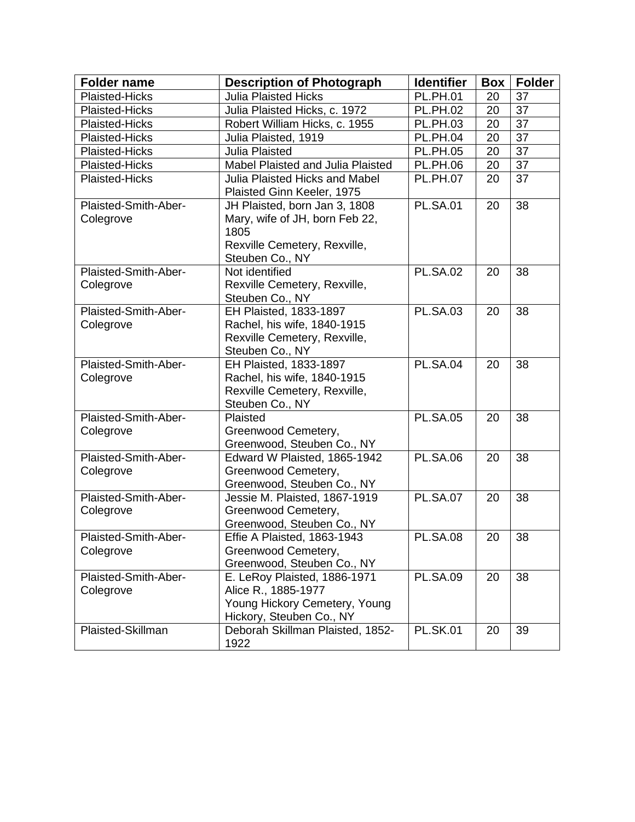| <b>Folder name</b>                | <b>Description of Photograph</b>                                                                                           | <b>Identifier</b> | <b>Box</b> | <b>Folder</b> |
|-----------------------------------|----------------------------------------------------------------------------------------------------------------------------|-------------------|------------|---------------|
| Plaisted-Hicks                    | <b>Julia Plaisted Hicks</b>                                                                                                | <b>PL.PH.01</b>   | 20         | 37            |
| Plaisted-Hicks                    | Julia Plaisted Hicks, c. 1972                                                                                              | <b>PL.PH.02</b>   | 20         | 37            |
| <b>Plaisted-Hicks</b>             | Robert William Hicks, c. 1955                                                                                              | <b>PL.PH.03</b>   | 20         | 37            |
| Plaisted-Hicks                    | Julia Plaisted, 1919                                                                                                       | <b>PL.PH.04</b>   | 20         | 37            |
| <b>Plaisted-Hicks</b>             | Julia Plaisted                                                                                                             | <b>PL.PH.05</b>   | 20         | 37            |
| Plaisted-Hicks                    | Mabel Plaisted and Julia Plaisted                                                                                          | <b>PL.PH.06</b>   | 20         | 37            |
| Plaisted-Hicks                    | <b>Julia Plaisted Hicks and Mabel</b><br>Plaisted Ginn Keeler, 1975                                                        | <b>PL.PH.07</b>   | 20         | 37            |
| Plaisted-Smith-Aber-<br>Colegrove | JH Plaisted, born Jan 3, 1808<br>Mary, wife of JH, born Feb 22,<br>1805<br>Rexville Cemetery, Rexville,<br>Steuben Co., NY | <b>PL.SA.01</b>   | 20         | 38            |
| Plaisted-Smith-Aber-<br>Colegrove | Not identified<br>Rexville Cemetery, Rexville,<br>Steuben Co., NY                                                          | <b>PL.SA.02</b>   | 20         | 38            |
| Plaisted-Smith-Aber-<br>Colegrove | EH Plaisted, 1833-1897<br>Rachel, his wife, 1840-1915<br>Rexville Cemetery, Rexville,<br>Steuben Co., NY                   | <b>PL.SA.03</b>   | 20         | 38            |
| Plaisted-Smith-Aber-<br>Colegrove | EH Plaisted, 1833-1897<br>Rachel, his wife, 1840-1915<br>Rexville Cemetery, Rexville,<br>Steuben Co., NY                   | <b>PL.SA.04</b>   | 20         | 38            |
| Plaisted-Smith-Aber-<br>Colegrove | Plaisted<br>Greenwood Cemetery,<br>Greenwood, Steuben Co., NY                                                              | <b>PL.SA.05</b>   | 20         | 38            |
| Plaisted-Smith-Aber-<br>Colegrove | Edward W Plaisted, 1865-1942<br>Greenwood Cemetery,<br>Greenwood, Steuben Co., NY                                          | <b>PL.SA.06</b>   | 20         | 38            |
| Plaisted-Smith-Aber-<br>Colegrove | Jessie M. Plaisted, 1867-1919<br>Greenwood Cemetery,<br>Greenwood, Steuben Co., NY                                         | <b>PL.SA.07</b>   | 20         | 38            |
| Plaisted-Smith-Aber-<br>Colegrove | Effie A Plaisted, 1863-1943<br>Greenwood Cemetery,<br>Greenwood, Steuben Co., NY                                           | <b>PL.SA.08</b>   | 20         | 38            |
| Plaisted-Smith-Aber-<br>Colegrove | E. LeRoy Plaisted, 1886-1971<br>Alice R., 1885-1977<br>Young Hickory Cemetery, Young<br>Hickory, Steuben Co., NY           | <b>PL.SA.09</b>   | 20         | 38            |
| Plaisted-Skillman                 | Deborah Skillman Plaisted, 1852-<br>1922                                                                                   | <b>PL.SK.01</b>   | 20         | 39            |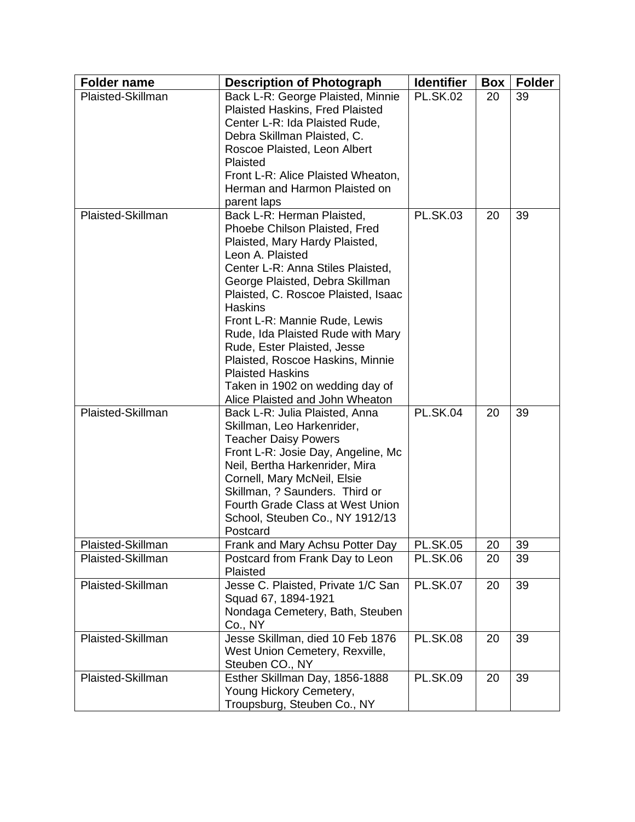| <b>Folder name</b> | <b>Description of Photograph</b>                                     | <b>Identifier</b> | Box | <b>Folder</b> |
|--------------------|----------------------------------------------------------------------|-------------------|-----|---------------|
| Plaisted-Skillman  | Back L-R: George Plaisted, Minnie                                    | <b>PL.SK.02</b>   | 20  | 39            |
|                    | Plaisted Haskins, Fred Plaisted                                      |                   |     |               |
|                    | Center L-R: Ida Plaisted Rude,                                       |                   |     |               |
|                    | Debra Skillman Plaisted, C.                                          |                   |     |               |
|                    | Roscoe Plaisted, Leon Albert                                         |                   |     |               |
|                    | Plaisted<br>Front L-R: Alice Plaisted Wheaton,                       |                   |     |               |
|                    | Herman and Harmon Plaisted on                                        |                   |     |               |
|                    | parent laps                                                          |                   |     |               |
| Plaisted-Skillman  | Back L-R: Herman Plaisted,                                           | <b>PL.SK.03</b>   | 20  | 39            |
|                    | Phoebe Chilson Plaisted, Fred                                        |                   |     |               |
|                    | Plaisted, Mary Hardy Plaisted,                                       |                   |     |               |
|                    | Leon A. Plaisted                                                     |                   |     |               |
|                    | Center L-R: Anna Stiles Plaisted,                                    |                   |     |               |
|                    | George Plaisted, Debra Skillman                                      |                   |     |               |
|                    | Plaisted, C. Roscoe Plaisted, Isaac                                  |                   |     |               |
|                    | <b>Haskins</b>                                                       |                   |     |               |
|                    | Front L-R: Mannie Rude, Lewis                                        |                   |     |               |
|                    | Rude, Ida Plaisted Rude with Mary                                    |                   |     |               |
|                    | Rude, Ester Plaisted, Jesse                                          |                   |     |               |
|                    | Plaisted, Roscoe Haskins, Minnie                                     |                   |     |               |
|                    | <b>Plaisted Haskins</b>                                              |                   |     |               |
|                    | Taken in 1902 on wedding day of                                      |                   |     |               |
|                    | Alice Plaisted and John Wheaton                                      |                   |     |               |
| Plaisted-Skillman  | Back L-R: Julia Plaisted, Anna                                       | <b>PL.SK.04</b>   | 20  | 39            |
|                    | Skillman, Leo Harkenrider,                                           |                   |     |               |
|                    | <b>Teacher Daisy Powers</b>                                          |                   |     |               |
|                    | Front L-R: Josie Day, Angeline, Mc<br>Neil, Bertha Harkenrider, Mira |                   |     |               |
|                    | Cornell, Mary McNeil, Elsie                                          |                   |     |               |
|                    | Skillman, ? Saunders. Third or                                       |                   |     |               |
|                    | Fourth Grade Class at West Union                                     |                   |     |               |
|                    | School, Steuben Co., NY 1912/13                                      |                   |     |               |
|                    | Postcard                                                             |                   |     |               |
| Plaisted-Skillman  | Frank and Mary Achsu Potter Day                                      | <b>PL.SK.05</b>   | 20  | 39            |
| Plaisted-Skillman  | Postcard from Frank Day to Leon                                      | <b>PL.SK.06</b>   | 20  | 39            |
|                    | Plaisted                                                             |                   |     |               |
| Plaisted-Skillman  | Jesse C. Plaisted, Private 1/C San                                   | <b>PL.SK.07</b>   | 20  | 39            |
|                    | Squad 67, 1894-1921                                                  |                   |     |               |
|                    | Nondaga Cemetery, Bath, Steuben                                      |                   |     |               |
|                    | Co., NY                                                              |                   |     |               |
| Plaisted-Skillman  | Jesse Skillman, died 10 Feb 1876                                     | <b>PL.SK.08</b>   | 20  | 39            |
|                    | West Union Cemetery, Rexville,                                       |                   |     |               |
|                    | Steuben CO., NY                                                      |                   |     |               |
| Plaisted-Skillman  | Esther Skillman Day, 1856-1888                                       | <b>PL.SK.09</b>   | 20  | 39            |
|                    | Young Hickory Cemetery,                                              |                   |     |               |
|                    | Troupsburg, Steuben Co., NY                                          |                   |     |               |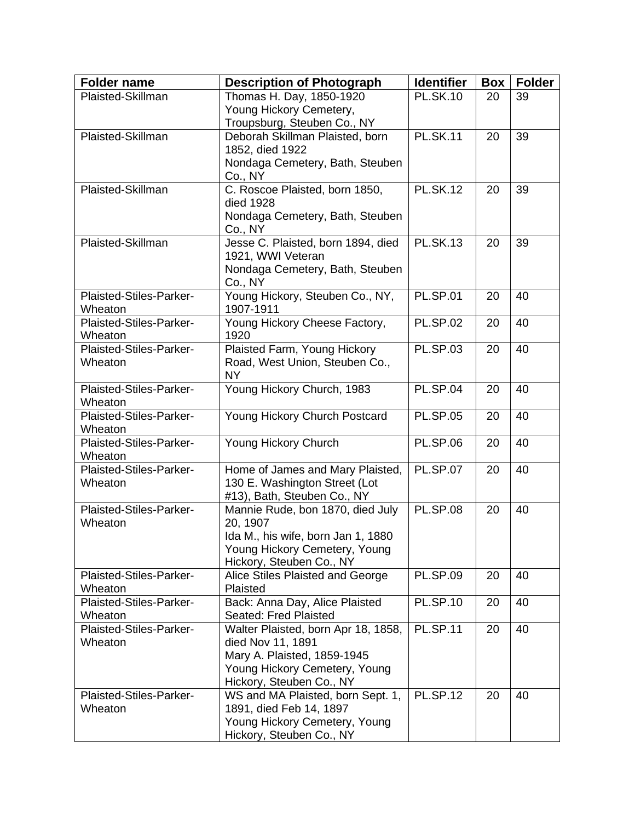| <b>Folder name</b>                 | <b>Description of Photograph</b>                         | <b>Identifier</b> | <b>Box</b> | <b>Folder</b> |
|------------------------------------|----------------------------------------------------------|-------------------|------------|---------------|
| Plaisted-Skillman                  | Thomas H. Day, 1850-1920                                 | <b>PL.SK.10</b>   | 20         | 39            |
|                                    | Young Hickory Cemetery,                                  |                   |            |               |
|                                    | Troupsburg, Steuben Co., NY                              |                   |            |               |
| Plaisted-Skillman                  | Deborah Skillman Plaisted, born                          | <b>PL.SK.11</b>   | 20         | 39            |
|                                    | 1852, died 1922                                          |                   |            |               |
|                                    | Nondaga Cemetery, Bath, Steuben                          |                   |            |               |
|                                    | Co., NY                                                  |                   |            |               |
| Plaisted-Skillman                  | C. Roscoe Plaisted, born 1850,                           | <b>PL.SK.12</b>   | 20         | 39            |
|                                    | died 1928                                                |                   |            |               |
|                                    | Nondaga Cemetery, Bath, Steuben                          |                   |            |               |
|                                    | Co., NY                                                  | <b>PL.SK.13</b>   |            |               |
| Plaisted-Skillman                  | Jesse C. Plaisted, born 1894, died                       |                   | 20         | 39            |
|                                    | 1921, WWI Veteran                                        |                   |            |               |
|                                    | Nondaga Cemetery, Bath, Steuben                          |                   |            |               |
| Plaisted-Stiles-Parker-            | Co., NY<br>Young Hickory, Steuben Co., NY,               | <b>PL.SP.01</b>   | 20         | 40            |
| Wheaton                            | 1907-1911                                                |                   |            |               |
| Plaisted-Stiles-Parker-            | Young Hickory Cheese Factory,                            | <b>PL.SP.02</b>   | 20         | 40            |
| Wheaton                            | 1920                                                     |                   |            |               |
| Plaisted-Stiles-Parker-            | Plaisted Farm, Young Hickory                             | <b>PL.SP.03</b>   | 20         | 40            |
| Wheaton                            | Road, West Union, Steuben Co.,                           |                   |            |               |
|                                    | <b>NY</b>                                                |                   |            |               |
| Plaisted-Stiles-Parker-            | Young Hickory Church, 1983                               | <b>PL.SP.04</b>   | 20         | 40            |
| Wheaton                            |                                                          |                   |            |               |
| Plaisted-Stiles-Parker-            | Young Hickory Church Postcard                            | <b>PL.SP.05</b>   | 20         | 40            |
| Wheaton                            |                                                          |                   |            |               |
| Plaisted-Stiles-Parker-            | Young Hickory Church                                     | <b>PL.SP.06</b>   | 20         | 40            |
| Wheaton                            |                                                          |                   |            |               |
| Plaisted-Stiles-Parker-            | Home of James and Mary Plaisted,                         | <b>PL.SP.07</b>   | 20         | 40            |
| Wheaton                            | 130 E. Washington Street (Lot                            |                   |            |               |
|                                    | #13), Bath, Steuben Co., NY                              |                   |            |               |
| Plaisted-Stiles-Parker-            | Mannie Rude, bon 1870, died July                         | <b>PL.SP.08</b>   | 20         | 40            |
| Wheaton                            | 20, 1907                                                 |                   |            |               |
|                                    | Ida M., his wife, born Jan 1, 1880                       |                   |            |               |
|                                    | Young Hickory Cemetery, Young                            |                   |            |               |
|                                    | Hickory, Steuben Co., NY                                 |                   |            |               |
| Plaisted-Stiles-Parker-            | Alice Stiles Plaisted and George                         | <b>PL.SP.09</b>   | 20         | 40            |
| Wheaton                            | Plaisted                                                 |                   |            |               |
| Plaisted-Stiles-Parker-            | Back: Anna Day, Alice Plaisted                           | <b>PL.SP.10</b>   | 20         | 40            |
| Wheaton<br>Plaisted-Stiles-Parker- | Seated: Fred Plaisted                                    | <b>PL.SP.11</b>   | 20         | 40            |
| Wheaton                            | Walter Plaisted, born Apr 18, 1858,<br>died Nov 11, 1891 |                   |            |               |
|                                    | Mary A. Plaisted, 1859-1945                              |                   |            |               |
|                                    | Young Hickory Cemetery, Young                            |                   |            |               |
|                                    | Hickory, Steuben Co., NY                                 |                   |            |               |
| Plaisted-Stiles-Parker-            | WS and MA Plaisted, born Sept. 1,                        | <b>PL.SP.12</b>   | 20         | 40            |
| Wheaton                            | 1891, died Feb 14, 1897                                  |                   |            |               |
|                                    | Young Hickory Cemetery, Young                            |                   |            |               |
|                                    | Hickory, Steuben Co., NY                                 |                   |            |               |